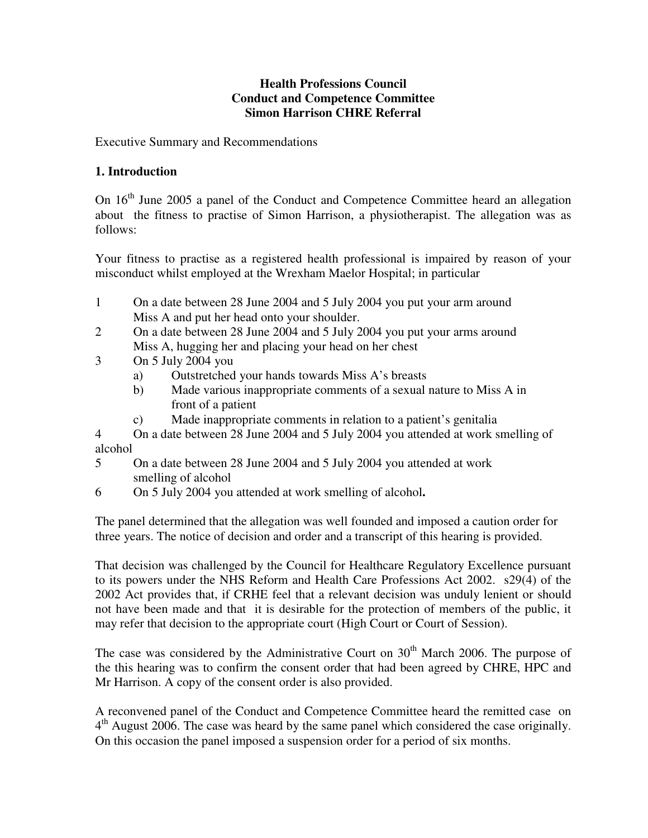### **Health Professions Council Conduct and Competence Committee Simon Harrison CHRE Referral**

Executive Summary and Recommendations

# **1. Introduction**

On 16<sup>th</sup> June 2005 a panel of the Conduct and Competence Committee heard an allegation about the fitness to practise of Simon Harrison, a physiotherapist. The allegation was as follows:

Your fitness to practise as a registered health professional is impaired by reason of your misconduct whilst employed at the Wrexham Maelor Hospital; in particular

- 1 On a date between 28 June 2004 and 5 July 2004 you put your arm around Miss A and put her head onto your shoulder.
- 2 On a date between 28 June 2004 and 5 July 2004 you put your arms around Miss A, hugging her and placing your head on her chest
- 3 On 5 July 2004 you
	- a) Outstretched your hands towards Miss A's breasts
	- b) Made various inappropriate comments of a sexual nature to Miss A in front of a patient
	- c) Made inappropriate comments in relation to a patient's genitalia

4 On a date between 28 June 2004 and 5 July 2004 you attended at work smelling of alcohol

- 5 On a date between 28 June 2004 and 5 July 2004 you attended at work smelling of alcohol
- 6 On 5 July 2004 you attended at work smelling of alcohol**.**

The panel determined that the allegation was well founded and imposed a caution order for three years. The notice of decision and order and a transcript of this hearing is provided.

That decision was challenged by the Council for Healthcare Regulatory Excellence pursuant to its powers under the NHS Reform and Health Care Professions Act 2002. s29(4) of the 2002 Act provides that, if CRHE feel that a relevant decision was unduly lenient or should not have been made and that it is desirable for the protection of members of the public, it may refer that decision to the appropriate court (High Court or Court of Session).

The case was considered by the Administrative Court on  $30<sup>th</sup>$  March 2006. The purpose of the this hearing was to confirm the consent order that had been agreed by CHRE, HPC and Mr Harrison. A copy of the consent order is also provided.

A reconvened panel of the Conduct and Competence Committee heard the remitted case on 4<sup>th</sup> August 2006. The case was heard by the same panel which considered the case originally. On this occasion the panel imposed a suspension order for a period of six months.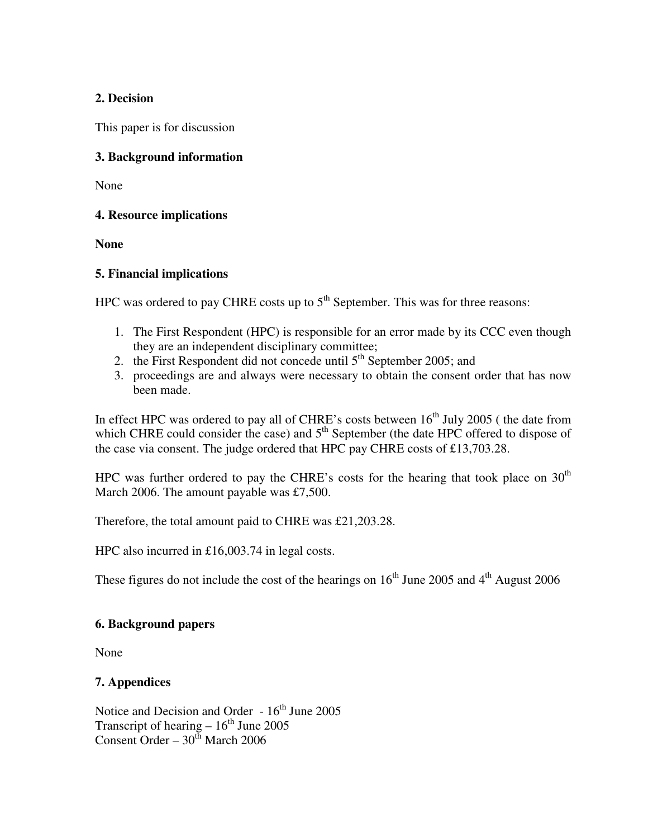# **2. Decision**

This paper is for discussion

# **3. Background information**

None

# **4. Resource implications**

**None** 

# **5. Financial implications**

HPC was ordered to pay CHRE costs up to  $5<sup>th</sup>$  September. This was for three reasons:

- 1. The First Respondent (HPC) is responsible for an error made by its CCC even though they are an independent disciplinary committee;
- 2. the First Respondent did not concede until  $5<sup>th</sup>$  September 2005; and
- 3. proceedings are and always were necessary to obtain the consent order that has now been made.

In effect HPC was ordered to pay all of CHRE's costs between  $16<sup>th</sup>$  July 2005 ( the date from which CHRE could consider the case) and  $5<sup>th</sup>$  September (the date HPC offered to dispose of the case via consent. The judge ordered that HPC pay CHRE costs of £13,703.28.

HPC was further ordered to pay the CHRE's costs for the hearing that took place on  $30<sup>th</sup>$ March 2006. The amount payable was £7,500.

Therefore, the total amount paid to CHRE was £21,203.28.

HPC also incurred in £16,003.74 in legal costs.

These figures do not include the cost of the hearings on  $16<sup>th</sup>$  June 2005 and  $4<sup>th</sup>$  August 2006

# **6. Background papers**

None

# **7. Appendices**

Notice and Decision and Order  $-16^{th}$  June 2005 Transcript of hearing  $-16^{th}$  June 2005 Consent Order –  $30<sup>th</sup>$  March 2006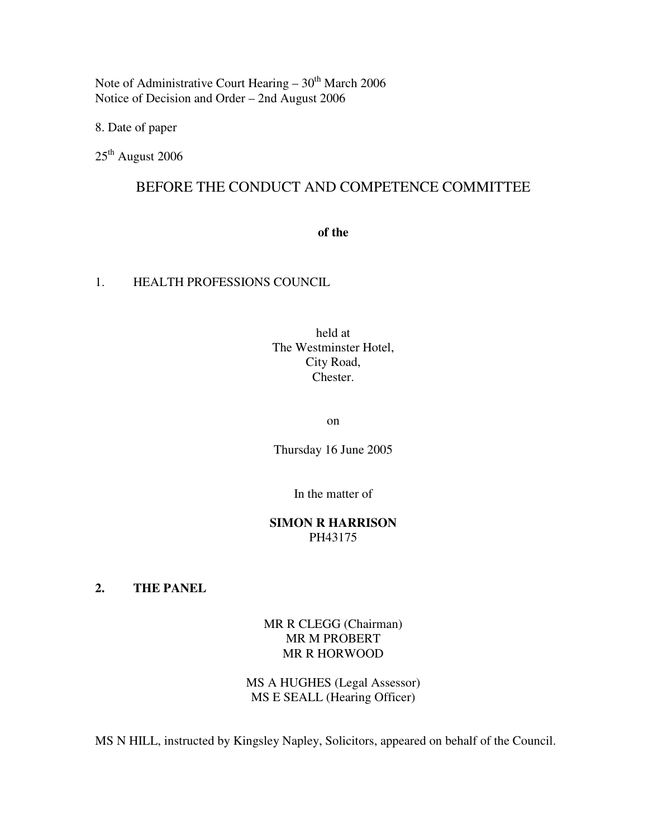Note of Administrative Court Hearing  $-30<sup>th</sup>$  March 2006 Notice of Decision and Order – 2nd August 2006

8. Date of paper

25<sup>th</sup> August 2006

# BEFORE THE CONDUCT AND COMPETENCE COMMITTEE

**of the** 

### 1. HEALTH PROFESSIONS COUNCIL

held at The Westminster Hotel, City Road, Chester.

on

Thursday 16 June 2005

In the matter of

### **SIMON R HARRISON**  PH43175

**2. THE PANEL** 

MR R CLEGG (Chairman) MR M PROBERT MR R HORWOOD

MS A HUGHES (Legal Assessor) MS E SEALL (Hearing Officer)

MS N HILL, instructed by Kingsley Napley, Solicitors, appeared on behalf of the Council.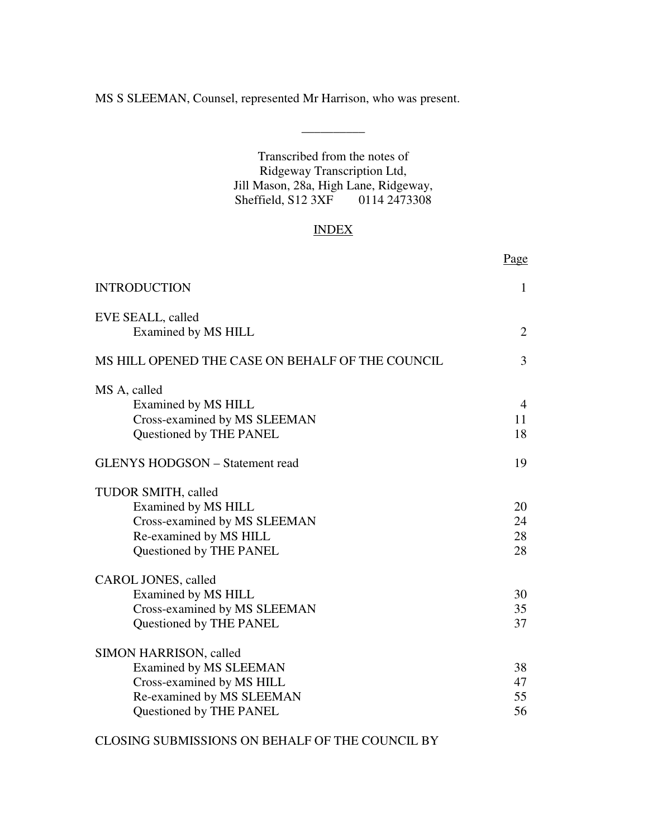MS S SLEEMAN, Counsel, represented Mr Harrison, who was present.

Transcribed from the notes of Ridgeway Transcription Ltd, Jill Mason, 28a, High Lane, Ridgeway, Sheffield, S12 3XF 0114 2473308

 $\overline{\phantom{a}}$  , we can also the set of  $\overline{\phantom{a}}$ 

# INDEX

|                                                                                                                                       | <u>Page</u>                |
|---------------------------------------------------------------------------------------------------------------------------------------|----------------------------|
| <b>INTRODUCTION</b>                                                                                                                   | 1                          |
| EVE SEALL, called<br>Examined by MS HILL                                                                                              | 2                          |
| MS HILL OPENED THE CASE ON BEHALF OF THE COUNCIL                                                                                      | 3                          |
| MS A, called<br>Examined by MS HILL<br>Cross-examined by MS SLEEMAN<br>Questioned by THE PANEL                                        | $\overline{4}$<br>11<br>18 |
| <b>GLENYS HODGSON - Statement read</b>                                                                                                | 19                         |
| TUDOR SMITH, called<br>Examined by MS HILL<br>Cross-examined by MS SLEEMAN<br>Re-examined by MS HILL<br>Questioned by THE PANEL       | 20<br>24<br>28<br>28       |
| CAROL JONES, called<br>Examined by MS HILL<br>Cross-examined by MS SLEEMAN<br>Questioned by THE PANEL                                 | 30<br>35<br>37             |
| SIMON HARRISON, called<br>Examined by MS SLEEMAN<br>Cross-examined by MS HILL<br>Re-examined by MS SLEEMAN<br>Questioned by THE PANEL | 38<br>47<br>55<br>56       |

CLOSING SUBMISSIONS ON BEHALF OF THE COUNCIL BY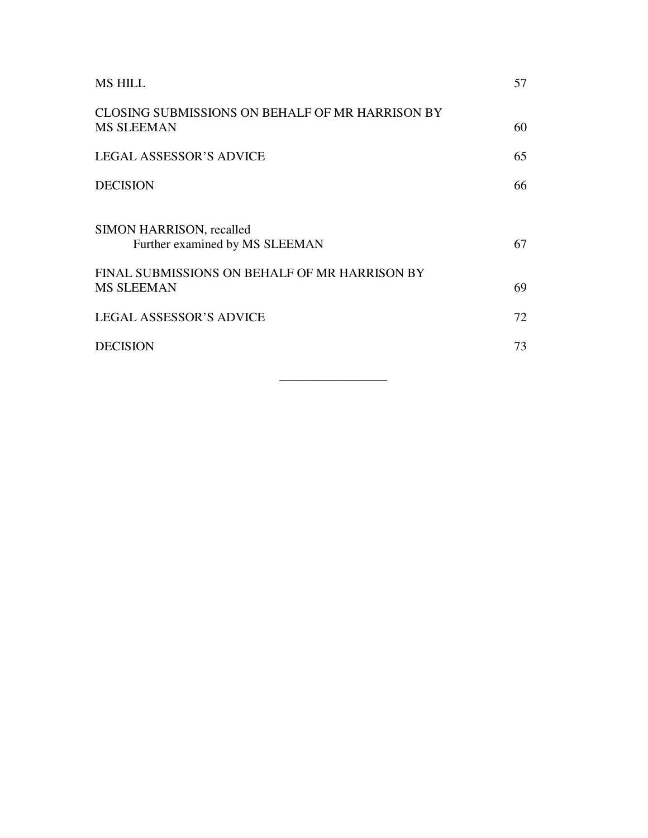| <b>MS HILL</b>                                                                                              | 57 |
|-------------------------------------------------------------------------------------------------------------|----|
| CLOSING SUBMISSIONS ON BEHALF OF MR HARRISON BY<br><b>MS SLEEMAN</b>                                        | 60 |
| <b>LEGAL ASSESSOR'S ADVICE</b>                                                                              | 65 |
| <b>DECISION</b>                                                                                             | 66 |
| SIMON HARRISON, recalled<br>Further examined by MS SLEEMAN<br>FINAL SUBMISSIONS ON BEHALF OF MR HARRISON BY | 67 |
| <b>MS SLEEMAN</b>                                                                                           | 69 |
| <b>LEGAL ASSESSOR'S ADVICE</b>                                                                              | 72 |
| <b>DECISION</b>                                                                                             | 73 |
|                                                                                                             |    |

\_\_\_\_\_\_\_\_\_\_\_\_\_\_\_\_\_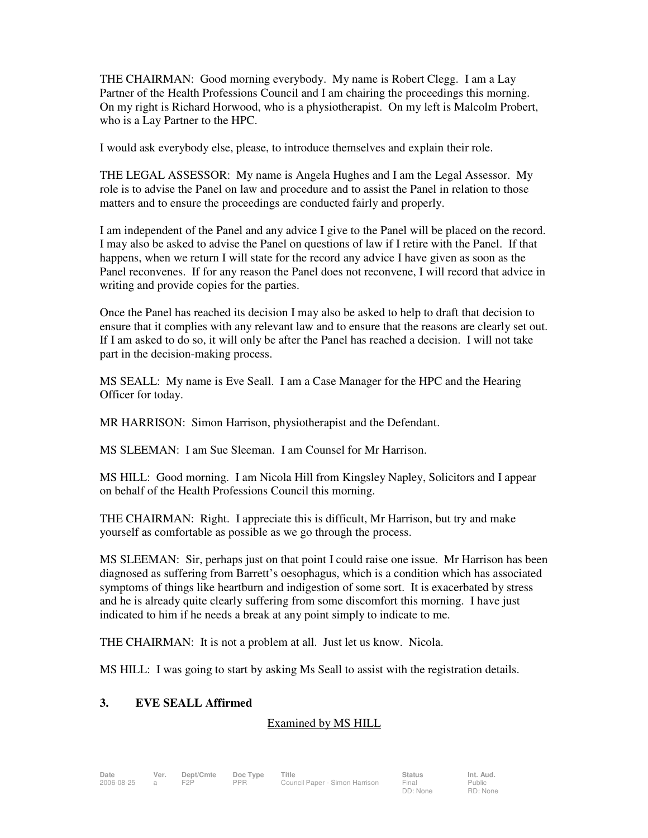THE CHAIRMAN: Good morning everybody. My name is Robert Clegg. I am a Lay Partner of the Health Professions Council and I am chairing the proceedings this morning. On my right is Richard Horwood, who is a physiotherapist. On my left is Malcolm Probert, who is a Lay Partner to the HPC.

I would ask everybody else, please, to introduce themselves and explain their role.

THE LEGAL ASSESSOR: My name is Angela Hughes and I am the Legal Assessor. My role is to advise the Panel on law and procedure and to assist the Panel in relation to those matters and to ensure the proceedings are conducted fairly and properly.

I am independent of the Panel and any advice I give to the Panel will be placed on the record. I may also be asked to advise the Panel on questions of law if I retire with the Panel. If that happens, when we return I will state for the record any advice I have given as soon as the Panel reconvenes. If for any reason the Panel does not reconvene, I will record that advice in writing and provide copies for the parties.

Once the Panel has reached its decision I may also be asked to help to draft that decision to ensure that it complies with any relevant law and to ensure that the reasons are clearly set out. If I am asked to do so, it will only be after the Panel has reached a decision. I will not take part in the decision-making process.

MS SEALL: My name is Eve Seall. I am a Case Manager for the HPC and the Hearing Officer for today.

MR HARRISON: Simon Harrison, physiotherapist and the Defendant.

MS SLEEMAN: I am Sue Sleeman. I am Counsel for Mr Harrison.

MS HILL: Good morning. I am Nicola Hill from Kingsley Napley, Solicitors and I appear on behalf of the Health Professions Council this morning.

THE CHAIRMAN: Right. I appreciate this is difficult, Mr Harrison, but try and make yourself as comfortable as possible as we go through the process.

MS SLEEMAN: Sir, perhaps just on that point I could raise one issue. Mr Harrison has been diagnosed as suffering from Barrett's oesophagus, which is a condition which has associated symptoms of things like heartburn and indigestion of some sort. It is exacerbated by stress and he is already quite clearly suffering from some discomfort this morning. I have just indicated to him if he needs a break at any point simply to indicate to me.

THE CHAIRMAN: It is not a problem at all. Just let us know. Nicola.

MS HILL: I was going to start by asking Ms Seall to assist with the registration details.

### **3. EVE SEALL Affirmed**

### Examined by MS HILL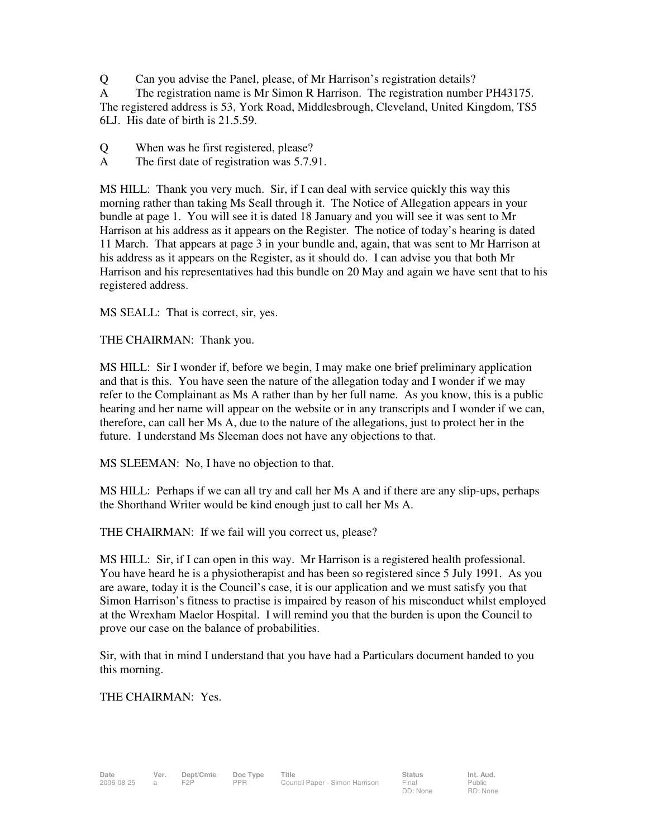Q Can you advise the Panel, please, of Mr Harrison's registration details?

A The registration name is Mr Simon R Harrison. The registration number PH43175.

The registered address is 53, York Road, Middlesbrough, Cleveland, United Kingdom, TS5 6LJ. His date of birth is 21.5.59.

- Q When was he first registered, please?
- A The first date of registration was 5.7.91.

MS HILL: Thank you very much. Sir, if I can deal with service quickly this way this morning rather than taking Ms Seall through it. The Notice of Allegation appears in your bundle at page 1. You will see it is dated 18 January and you will see it was sent to Mr Harrison at his address as it appears on the Register. The notice of today's hearing is dated 11 March. That appears at page 3 in your bundle and, again, that was sent to Mr Harrison at his address as it appears on the Register, as it should do. I can advise you that both Mr Harrison and his representatives had this bundle on 20 May and again we have sent that to his registered address.

MS SEALL: That is correct, sir, yes.

THE CHAIRMAN: Thank you.

MS HILL: Sir I wonder if, before we begin, I may make one brief preliminary application and that is this. You have seen the nature of the allegation today and I wonder if we may refer to the Complainant as Ms A rather than by her full name. As you know, this is a public hearing and her name will appear on the website or in any transcripts and I wonder if we can, therefore, can call her Ms A, due to the nature of the allegations, just to protect her in the future. I understand Ms Sleeman does not have any objections to that.

MS SLEEMAN: No, I have no objection to that.

MS HILL: Perhaps if we can all try and call her Ms A and if there are any slip-ups, perhaps the Shorthand Writer would be kind enough just to call her Ms A.

THE CHAIRMAN: If we fail will you correct us, please?

MS HILL: Sir, if I can open in this way. Mr Harrison is a registered health professional. You have heard he is a physiotherapist and has been so registered since 5 July 1991. As you are aware, today it is the Council's case, it is our application and we must satisfy you that Simon Harrison's fitness to practise is impaired by reason of his misconduct whilst employed at the Wrexham Maelor Hospital. I will remind you that the burden is upon the Council to prove our case on the balance of probabilities.

Sir, with that in mind I understand that you have had a Particulars document handed to you this morning.

THE CHAIRMAN: Yes.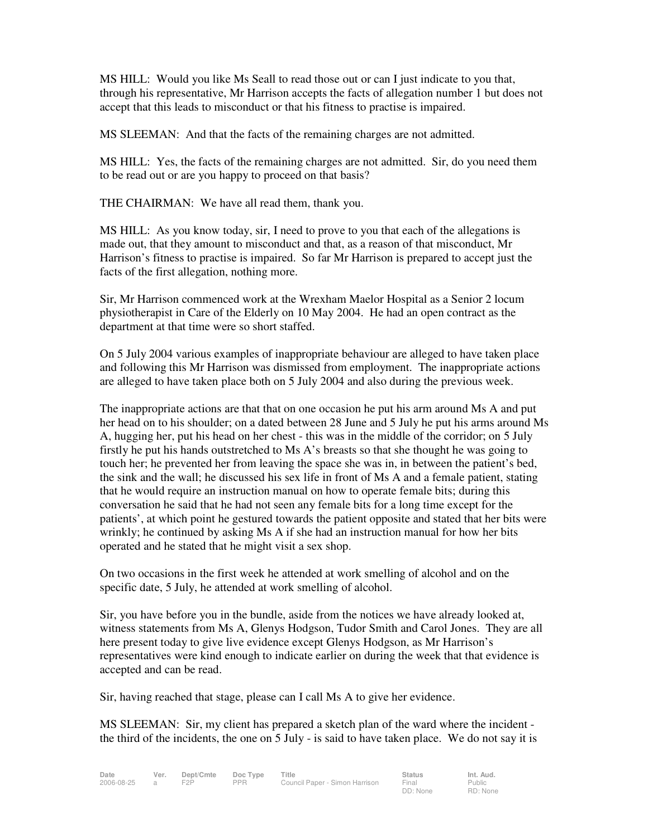MS HILL: Would you like Ms Seall to read those out or can I just indicate to you that, through his representative, Mr Harrison accepts the facts of allegation number 1 but does not accept that this leads to misconduct or that his fitness to practise is impaired.

MS SLEEMAN: And that the facts of the remaining charges are not admitted.

MS HILL: Yes, the facts of the remaining charges are not admitted. Sir, do you need them to be read out or are you happy to proceed on that basis?

THE CHAIRMAN: We have all read them, thank you.

MS HILL: As you know today, sir, I need to prove to you that each of the allegations is made out, that they amount to misconduct and that, as a reason of that misconduct, Mr Harrison's fitness to practise is impaired. So far Mr Harrison is prepared to accept just the facts of the first allegation, nothing more.

Sir, Mr Harrison commenced work at the Wrexham Maelor Hospital as a Senior 2 locum physiotherapist in Care of the Elderly on 10 May 2004. He had an open contract as the department at that time were so short staffed.

On 5 July 2004 various examples of inappropriate behaviour are alleged to have taken place and following this Mr Harrison was dismissed from employment. The inappropriate actions are alleged to have taken place both on 5 July 2004 and also during the previous week.

The inappropriate actions are that that on one occasion he put his arm around Ms A and put her head on to his shoulder; on a dated between 28 June and 5 July he put his arms around Ms A, hugging her, put his head on her chest - this was in the middle of the corridor; on 5 July firstly he put his hands outstretched to Ms A's breasts so that she thought he was going to touch her; he prevented her from leaving the space she was in, in between the patient's bed, the sink and the wall; he discussed his sex life in front of Ms A and a female patient, stating that he would require an instruction manual on how to operate female bits; during this conversation he said that he had not seen any female bits for a long time except for the patients', at which point he gestured towards the patient opposite and stated that her bits were wrinkly; he continued by asking Ms A if she had an instruction manual for how her bits operated and he stated that he might visit a sex shop.

On two occasions in the first week he attended at work smelling of alcohol and on the specific date, 5 July, he attended at work smelling of alcohol.

Sir, you have before you in the bundle, aside from the notices we have already looked at, witness statements from Ms A, Glenys Hodgson, Tudor Smith and Carol Jones. They are all here present today to give live evidence except Glenys Hodgson, as Mr Harrison's representatives were kind enough to indicate earlier on during the week that that evidence is accepted and can be read.

Sir, having reached that stage, please can I call Ms A to give her evidence.

MS SLEEMAN: Sir, my client has prepared a sketch plan of the ward where the incident the third of the incidents, the one on 5 July - is said to have taken place. We do not say it is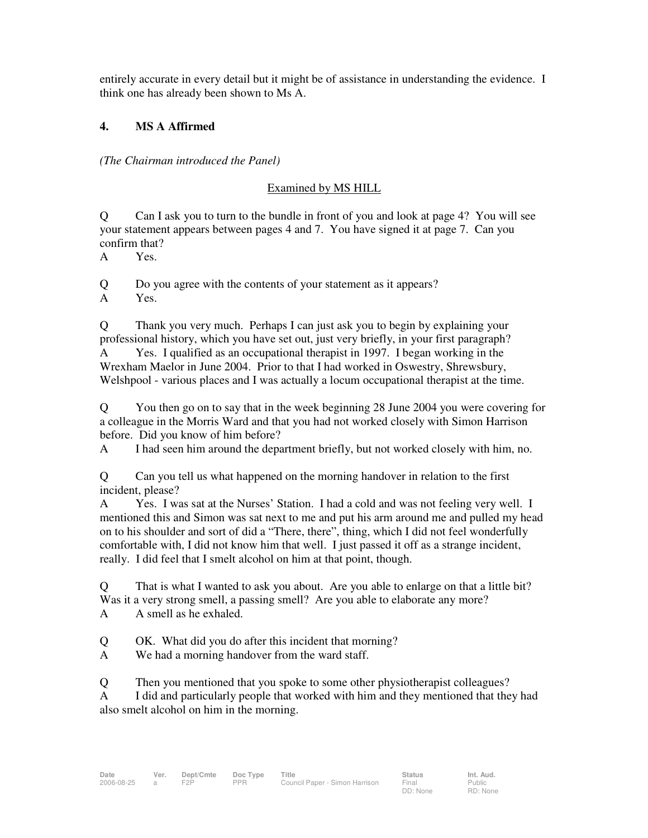entirely accurate in every detail but it might be of assistance in understanding the evidence. I think one has already been shown to Ms A.

### **4. MS A Affirmed**

*(The Chairman introduced the Panel)* 

### Examined by MS HILL

Q Can I ask you to turn to the bundle in front of you and look at page 4? You will see your statement appears between pages 4 and 7. You have signed it at page 7. Can you confirm that?

A Yes.

Q Do you agree with the contents of your statement as it appears? A Yes.

Q Thank you very much. Perhaps I can just ask you to begin by explaining your professional history, which you have set out, just very briefly, in your first paragraph? A Yes. I qualified as an occupational therapist in 1997. I began working in the Wrexham Maelor in June 2004. Prior to that I had worked in Oswestry, Shrewsbury, Welshpool - various places and I was actually a locum occupational therapist at the time.

Q You then go on to say that in the week beginning 28 June 2004 you were covering for a colleague in the Morris Ward and that you had not worked closely with Simon Harrison before. Did you know of him before?

A I had seen him around the department briefly, but not worked closely with him, no.

Q Can you tell us what happened on the morning handover in relation to the first incident, please?

A Yes. I was sat at the Nurses' Station. I had a cold and was not feeling very well. I mentioned this and Simon was sat next to me and put his arm around me and pulled my head on to his shoulder and sort of did a "There, there", thing, which I did not feel wonderfully comfortable with, I did not know him that well. I just passed it off as a strange incident, really. I did feel that I smelt alcohol on him at that point, though.

Q That is what I wanted to ask you about. Are you able to enlarge on that a little bit? Was it a very strong smell, a passing smell? Are you able to elaborate any more?

A A smell as he exhaled.

Q OK. What did you do after this incident that morning?

A We had a morning handover from the ward staff.

Q Then you mentioned that you spoke to some other physiotherapist colleagues? A I did and particularly people that worked with him and they mentioned that they had also smelt alcohol on him in the morning.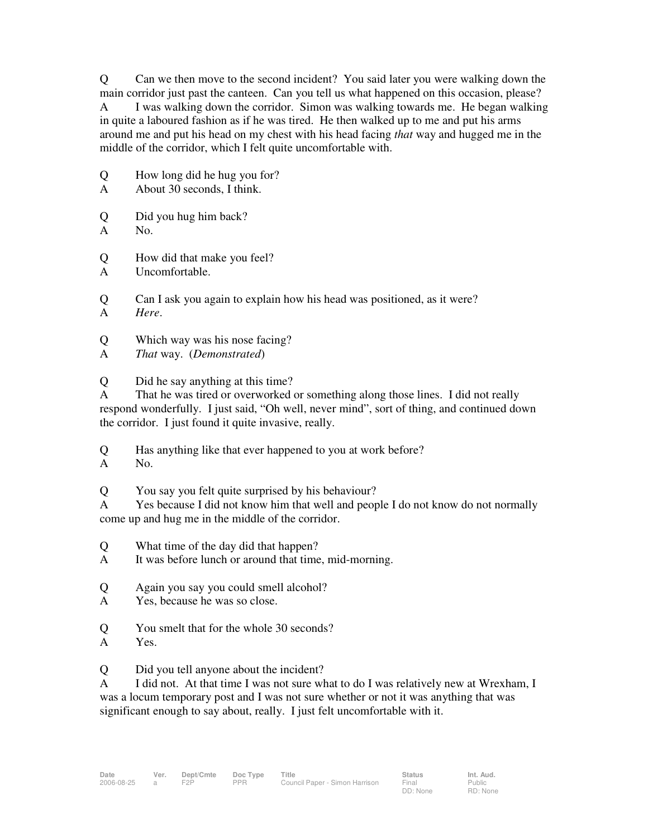Q Can we then move to the second incident? You said later you were walking down the main corridor just past the canteen. Can you tell us what happened on this occasion, please? A I was walking down the corridor. Simon was walking towards me. He began walking in quite a laboured fashion as if he was tired. He then walked up to me and put his arms around me and put his head on my chest with his head facing *that* way and hugged me in the middle of the corridor, which I felt quite uncomfortable with.

- Q How long did he hug you for?
- A About 30 seconds, I think.
- Q Did you hug him back?
- A No.

Q How did that make you feel?

- A Uncomfortable.
- Q Can I ask you again to explain how his head was positioned, as it were? A *Here*.
- Q Which way was his nose facing?
- A *That* way. (*Demonstrated*)
- Q Did he say anything at this time?

A That he was tired or overworked or something along those lines. I did not really respond wonderfully. I just said, "Oh well, never mind", sort of thing, and continued down the corridor. I just found it quite invasive, really.

Q Has anything like that ever happened to you at work before?

- A No.
- Q You say you felt quite surprised by his behaviour?

A Yes because I did not know him that well and people I do not know do not normally come up and hug me in the middle of the corridor.

- Q What time of the day did that happen?
- A It was before lunch or around that time, mid-morning.
- Q Again you say you could smell alcohol?
- A Yes, because he was so close.
- Q You smelt that for the whole 30 seconds?
- A Yes.

Q Did you tell anyone about the incident?

A I did not. At that time I was not sure what to do I was relatively new at Wrexham, I was a locum temporary post and I was not sure whether or not it was anything that was significant enough to say about, really. I just felt uncomfortable with it.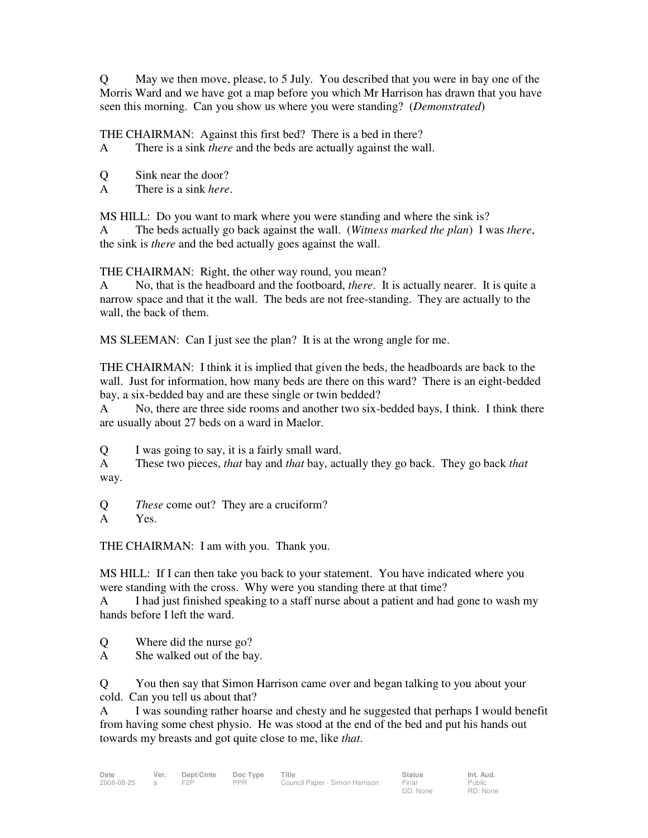Q May we then move, please, to 5 July. You described that you were in bay one of the Morris Ward and we have got a map before you which Mr Harrison has drawn that you have seen this morning. Can you show us where you were standing? (*Demonstrated*)

THE CHAIRMAN: Against this first bed? There is a bed in there?

A There is a sink *there* and the beds are actually against the wall.

Q Sink near the door?

A There is a sink *here*.

MS HILL: Do you want to mark where you were standing and where the sink is?

A The beds actually go back against the wall. (*Witness marked the plan*) I was *there*, the sink is *there* and the bed actually goes against the wall.

THE CHAIRMAN: Right, the other way round, you mean?

A No, that is the headboard and the footboard, *there*. It is actually nearer. It is quite a narrow space and that it the wall. The beds are not free-standing. They are actually to the wall, the back of them.

MS SLEEMAN: Can I just see the plan? It is at the wrong angle for me.

THE CHAIRMAN: I think it is implied that given the beds, the headboards are back to the wall. Just for information, how many beds are there on this ward? There is an eight-bedded bay, a six-bedded bay and are these single or twin bedded?

A No, there are three side rooms and another two six-bedded bays, I think. I think there are usually about 27 beds on a ward in Maelor.

Q I was going to say, it is a fairly small ward.

A These two pieces, *that* bay and *that* bay, actually they go back. They go back *that* way.

Q *These* come out? They are a cruciform?

A Yes.

THE CHAIRMAN: I am with you. Thank you.

MS HILL: If I can then take you back to your statement. You have indicated where you were standing with the cross. Why were you standing there at that time?

A I had just finished speaking to a staff nurse about a patient and had gone to wash my hands before I left the ward.

Q Where did the nurse go?

A She walked out of the bay.

Q You then say that Simon Harrison came over and began talking to you about your cold. Can you tell us about that?

A I was sounding rather hoarse and chesty and he suggested that perhaps I would benefit from having some chest physio. He was stood at the end of the bed and put his hands out towards my breasts and got quite close to me, like *that*.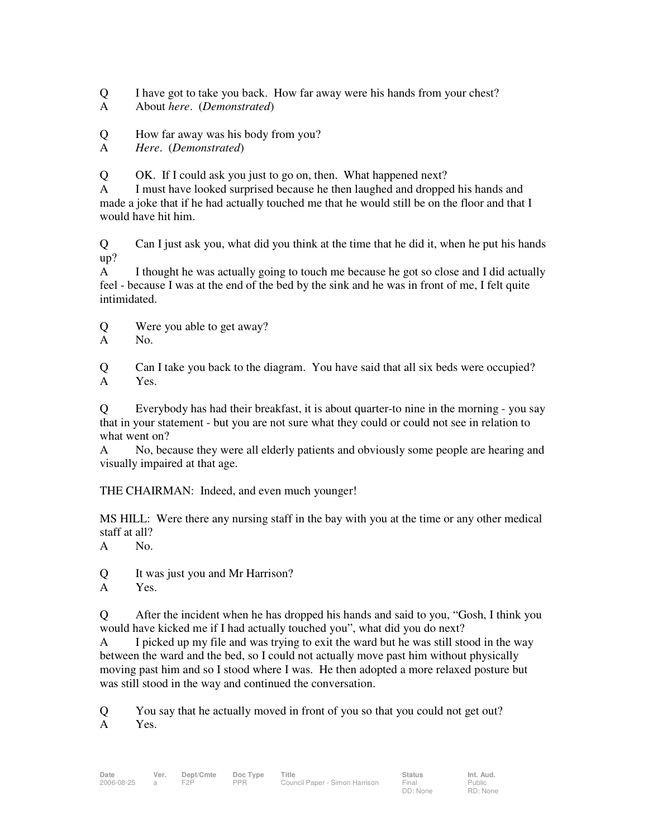Q I have got to take you back. How far away were his hands from your chest?

- A About *here*. (*Demonstrated*)
- Q How far away was his body from you?

A *Here*. (*Demonstrated*)

Q OK. If I could ask you just to go on, then. What happened next?

A I must have looked surprised because he then laughed and dropped his hands and made a joke that if he had actually touched me that he would still be on the floor and that I would have hit him.

Q Can I just ask you, what did you think at the time that he did it, when he put his hands up?

A I thought he was actually going to touch me because he got so close and I did actually feel - because I was at the end of the bed by the sink and he was in front of me, I felt quite intimidated.

Q Were you able to get away?

A No.

Q Can I take you back to the diagram. You have said that all six beds were occupied? A Yes.

Q Everybody has had their breakfast, it is about quarter-to nine in the morning - you say that in your statement - but you are not sure what they could or could not see in relation to what went on?

A No, because they were all elderly patients and obviously some people are hearing and visually impaired at that age.

THE CHAIRMAN: Indeed, and even much younger!

MS HILL: Were there any nursing staff in the bay with you at the time or any other medical staff at all?

A No.

Q It was just you and Mr Harrison?

A Yes.

Q After the incident when he has dropped his hands and said to you, "Gosh, I think you would have kicked me if I had actually touched you", what did you do next?

A I picked up my file and was trying to exit the ward but he was still stood in the way between the ward and the bed, so I could not actually move past him without physically moving past him and so I stood where I was. He then adopted a more relaxed posture but was still stood in the way and continued the conversation.

Q You say that he actually moved in front of you so that you could not get out? A Yes.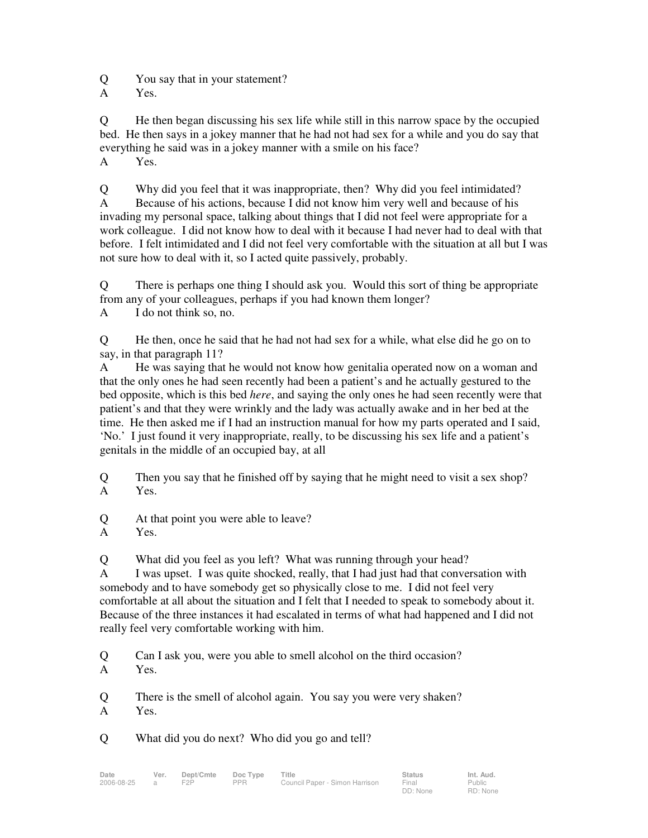Q You say that in your statement?

A Yes.

Q He then began discussing his sex life while still in this narrow space by the occupied bed. He then says in a jokey manner that he had not had sex for a while and you do say that everything he said was in a jokey manner with a smile on his face?

A Yes.

Q Why did you feel that it was inappropriate, then? Why did you feel intimidated? A Because of his actions, because I did not know him very well and because of his invading my personal space, talking about things that I did not feel were appropriate for a work colleague. I did not know how to deal with it because I had never had to deal with that before. I felt intimidated and I did not feel very comfortable with the situation at all but I was not sure how to deal with it, so I acted quite passively, probably.

Q There is perhaps one thing I should ask you. Would this sort of thing be appropriate from any of your colleagues, perhaps if you had known them longer?

A I do not think so, no.

Q He then, once he said that he had not had sex for a while, what else did he go on to say, in that paragraph 11?

A He was saying that he would not know how genitalia operated now on a woman and that the only ones he had seen recently had been a patient's and he actually gestured to the bed opposite, which is this bed *here*, and saying the only ones he had seen recently were that patient's and that they were wrinkly and the lady was actually awake and in her bed at the time. He then asked me if I had an instruction manual for how my parts operated and I said, 'No.' I just found it very inappropriate, really, to be discussing his sex life and a patient's genitals in the middle of an occupied bay, at all

Q Then you say that he finished off by saying that he might need to visit a sex shop? A Yes.

Q At that point you were able to leave?

Q What did you feel as you left? What was running through your head?

A I was upset. I was quite shocked, really, that I had just had that conversation with somebody and to have somebody get so physically close to me. I did not feel very comfortable at all about the situation and I felt that I needed to speak to somebody about it. Because of the three instances it had escalated in terms of what had happened and I did not really feel very comfortable working with him.

Q Can I ask you, were you able to smell alcohol on the third occasion?

Q There is the smell of alcohol again. You say you were very shaken?

A Yes.

Q What did you do next? Who did you go and tell?

A Yes.

A Yes.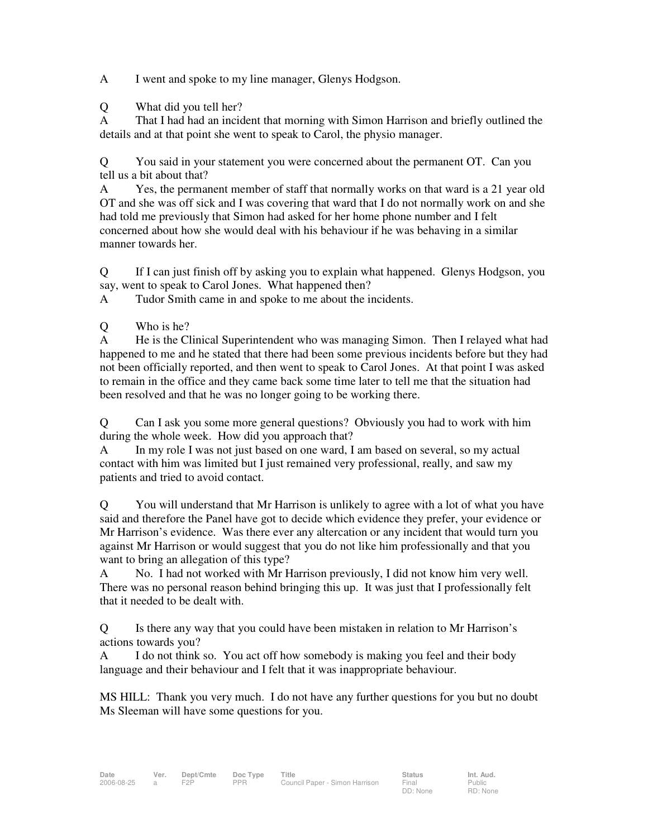A I went and spoke to my line manager, Glenys Hodgson.

Q What did you tell her?

A That I had had an incident that morning with Simon Harrison and briefly outlined the details and at that point she went to speak to Carol, the physio manager.

Q You said in your statement you were concerned about the permanent OT. Can you tell us a bit about that?

A Yes, the permanent member of staff that normally works on that ward is a 21 year old OT and she was off sick and I was covering that ward that I do not normally work on and she had told me previously that Simon had asked for her home phone number and I felt concerned about how she would deal with his behaviour if he was behaving in a similar manner towards her.

Q If I can just finish off by asking you to explain what happened. Glenys Hodgson, you say, went to speak to Carol Jones. What happened then?

A Tudor Smith came in and spoke to me about the incidents.

Q Who is he?

A He is the Clinical Superintendent who was managing Simon. Then I relayed what had happened to me and he stated that there had been some previous incidents before but they had not been officially reported, and then went to speak to Carol Jones. At that point I was asked to remain in the office and they came back some time later to tell me that the situation had been resolved and that he was no longer going to be working there.

Q Can I ask you some more general questions? Obviously you had to work with him during the whole week. How did you approach that?

A In my role I was not just based on one ward, I am based on several, so my actual contact with him was limited but I just remained very professional, really, and saw my patients and tried to avoid contact.

Q You will understand that Mr Harrison is unlikely to agree with a lot of what you have said and therefore the Panel have got to decide which evidence they prefer, your evidence or Mr Harrison's evidence. Was there ever any altercation or any incident that would turn you against Mr Harrison or would suggest that you do not like him professionally and that you want to bring an allegation of this type?

A No. I had not worked with Mr Harrison previously, I did not know him very well. There was no personal reason behind bringing this up. It was just that I professionally felt that it needed to be dealt with.

Q Is there any way that you could have been mistaken in relation to Mr Harrison's actions towards you?

A I do not think so. You act off how somebody is making you feel and their body language and their behaviour and I felt that it was inappropriate behaviour.

MS HILL: Thank you very much. I do not have any further questions for you but no doubt Ms Sleeman will have some questions for you.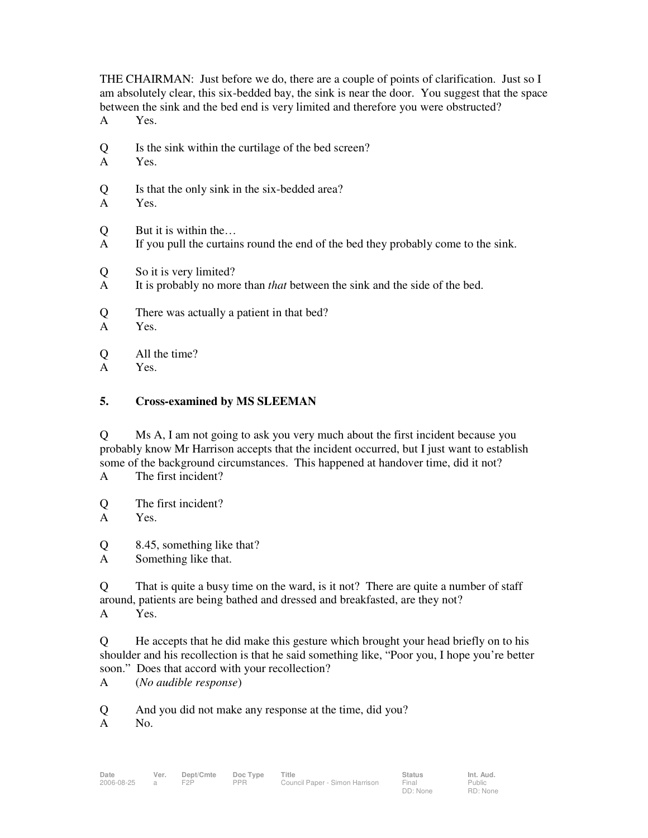THE CHAIRMAN: Just before we do, there are a couple of points of clarification. Just so I am absolutely clear, this six-bedded bay, the sink is near the door. You suggest that the space between the sink and the bed end is very limited and therefore you were obstructed?

- A Yes.
- Q Is the sink within the curtilage of the bed screen?
- A Yes.
- Q Is that the only sink in the six-bedded area?
- A Yes.
- Q But it is within the…
- A If you pull the curtains round the end of the bed they probably come to the sink.
- Q So it is very limited?
- A It is probably no more than *that* between the sink and the side of the bed.
- Q There was actually a patient in that bed?
- A Yes.
- Q All the time?
- A Yes.

### **5. Cross-examined by MS SLEEMAN**

Q Ms A, I am not going to ask you very much about the first incident because you probably know Mr Harrison accepts that the incident occurred, but I just want to establish some of the background circumstances. This happened at handover time, did it not?

- A The first incident?
- Q The first incident?

A Yes.

Q 8.45, something like that?

A Something like that.

Q That is quite a busy time on the ward, is it not? There are quite a number of staff around, patients are being bathed and dressed and breakfasted, are they not? A Yes.

Q He accepts that he did make this gesture which brought your head briefly on to his shoulder and his recollection is that he said something like, "Poor you, I hope you're better soon." Does that accord with your recollection?

A (*No audible response*)

Q And you did not make any response at the time, did you?

A No.

DD: None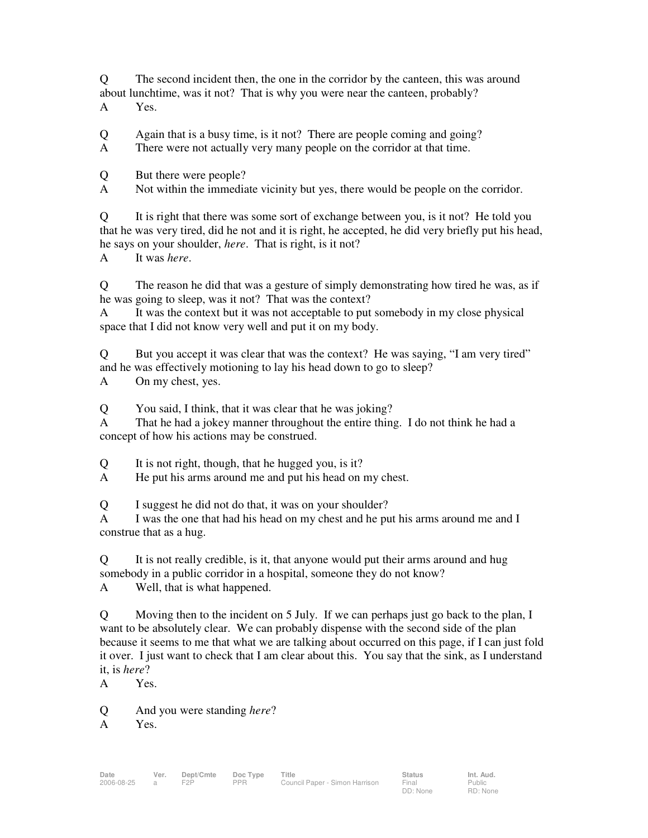Q The second incident then, the one in the corridor by the canteen, this was around about lunchtime, was it not? That is why you were near the canteen, probably? A Yes.

Q Again that is a busy time, is it not? There are people coming and going?

A There were not actually very many people on the corridor at that time.

Q But there were people?

A Not within the immediate vicinity but yes, there would be people on the corridor.

Q It is right that there was some sort of exchange between you, is it not? He told you that he was very tired, did he not and it is right, he accepted, he did very briefly put his head, he says on your shoulder, *here*. That is right, is it not?

A It was *here*.

Q The reason he did that was a gesture of simply demonstrating how tired he was, as if he was going to sleep, was it not? That was the context?

A It was the context but it was not acceptable to put somebody in my close physical space that I did not know very well and put it on my body.

Q But you accept it was clear that was the context? He was saying, "I am very tired" and he was effectively motioning to lay his head down to go to sleep?

A On my chest, yes.

Q You said, I think, that it was clear that he was joking?

A That he had a jokey manner throughout the entire thing. I do not think he had a concept of how his actions may be construed.

Q It is not right, though, that he hugged you, is it?

A He put his arms around me and put his head on my chest.

Q I suggest he did not do that, it was on your shoulder?

A I was the one that had his head on my chest and he put his arms around me and I construe that as a hug.

Q It is not really credible, is it, that anyone would put their arms around and hug somebody in a public corridor in a hospital, someone they do not know?

A Well, that is what happened.

Q Moving then to the incident on 5 July. If we can perhaps just go back to the plan, I want to be absolutely clear. We can probably dispense with the second side of the plan because it seems to me that what we are talking about occurred on this page, if I can just fold it over. I just want to check that I am clear about this. You say that the sink, as I understand it, is *here*?

A Yes.

Q And you were standing *here*?

A Yes.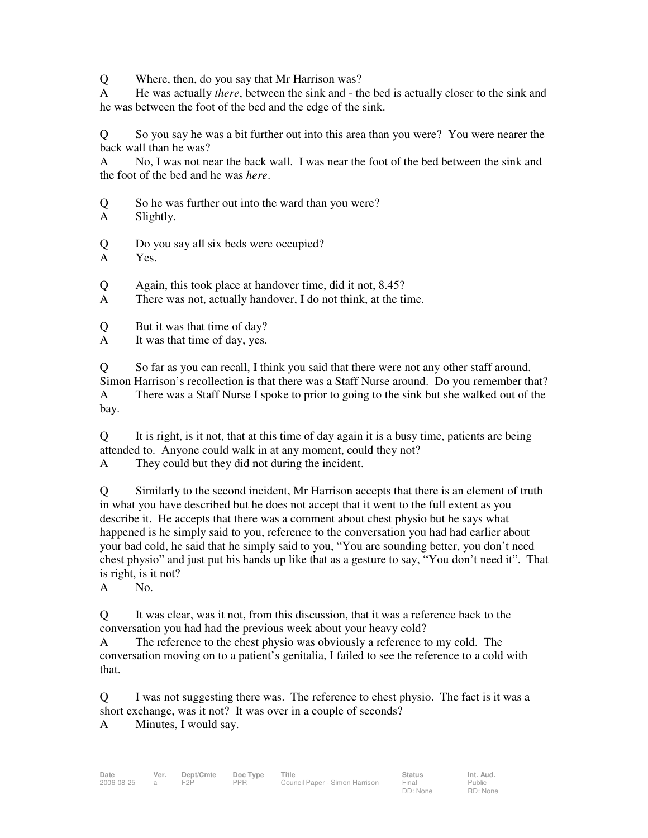Q Where, then, do you say that Mr Harrison was?

A He was actually *there*, between the sink and - the bed is actually closer to the sink and he was between the foot of the bed and the edge of the sink.

Q So you say he was a bit further out into this area than you were? You were nearer the back wall than he was?

A No, I was not near the back wall. I was near the foot of the bed between the sink and the foot of the bed and he was *here*.

Q So he was further out into the ward than you were?

A Slightly.

- Q Do you say all six beds were occupied?
- A Yes.

Q Again, this took place at handover time, did it not, 8.45?

A There was not, actually handover, I do not think, at the time.

Q But it was that time of day?

A It was that time of day, yes.

Q So far as you can recall, I think you said that there were not any other staff around. Simon Harrison's recollection is that there was a Staff Nurse around. Do you remember that? A There was a Staff Nurse I spoke to prior to going to the sink but she walked out of the bay.

Q It is right, is it not, that at this time of day again it is a busy time, patients are being attended to. Anyone could walk in at any moment, could they not?

A They could but they did not during the incident.

Q Similarly to the second incident, Mr Harrison accepts that there is an element of truth in what you have described but he does not accept that it went to the full extent as you describe it. He accepts that there was a comment about chest physio but he says what happened is he simply said to you, reference to the conversation you had had earlier about your bad cold, he said that he simply said to you, "You are sounding better, you don't need chest physio" and just put his hands up like that as a gesture to say, "You don't need it". That is right, is it not?

A No.

Q It was clear, was it not, from this discussion, that it was a reference back to the conversation you had had the previous week about your heavy cold?

A The reference to the chest physio was obviously a reference to my cold. The conversation moving on to a patient's genitalia, I failed to see the reference to a cold with that.

Q I was not suggesting there was. The reference to chest physio. The fact is it was a short exchange, was it not? It was over in a couple of seconds?

A Minutes, I would say.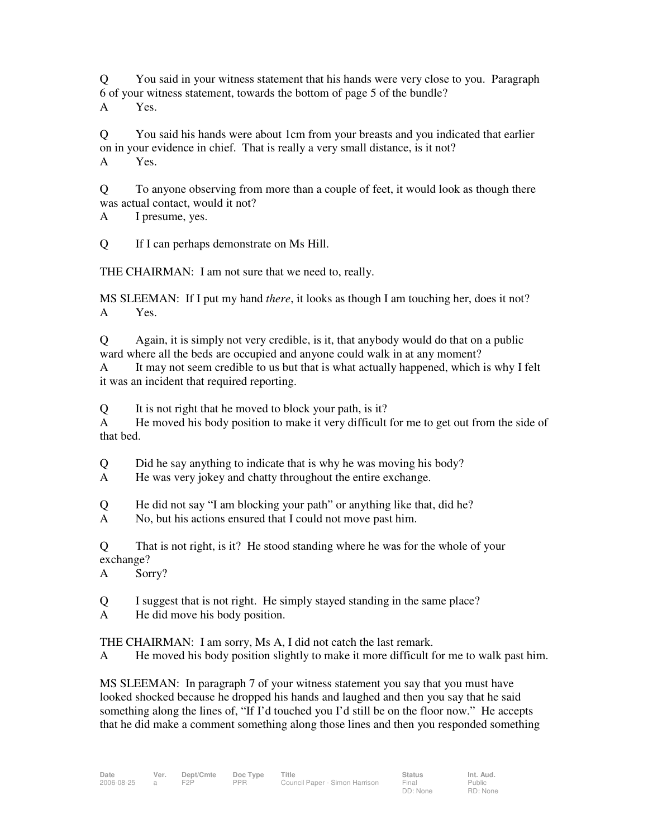Q You said in your witness statement that his hands were very close to you. Paragraph 6 of your witness statement, towards the bottom of page 5 of the bundle? A Yes.

Q You said his hands were about 1cm from your breasts and you indicated that earlier on in your evidence in chief. That is really a very small distance, is it not? A Yes.

Q To anyone observing from more than a couple of feet, it would look as though there was actual contact, would it not?

A I presume, yes.

Q If I can perhaps demonstrate on Ms Hill.

THE CHAIRMAN: I am not sure that we need to, really.

MS SLEEMAN: If I put my hand *there*, it looks as though I am touching her, does it not? A Yes.

Q Again, it is simply not very credible, is it, that anybody would do that on a public ward where all the beds are occupied and anyone could walk in at any moment?

A It may not seem credible to us but that is what actually happened, which is why I felt it was an incident that required reporting.

Q It is not right that he moved to block your path, is it?

A He moved his body position to make it very difficult for me to get out from the side of that bed.

Q Did he say anything to indicate that is why he was moving his body?

A He was very jokey and chatty throughout the entire exchange.

Q He did not say "I am blocking your path" or anything like that, did he?

A No, but his actions ensured that I could not move past him.

Q That is not right, is it? He stood standing where he was for the whole of your exchange?

A Sorry?

Q I suggest that is not right. He simply stayed standing in the same place?

A He did move his body position.

THE CHAIRMAN: I am sorry, Ms A, I did not catch the last remark.

A He moved his body position slightly to make it more difficult for me to walk past him.

MS SLEEMAN: In paragraph 7 of your witness statement you say that you must have looked shocked because he dropped his hands and laughed and then you say that he said something along the lines of, "If I'd touched you I'd still be on the floor now." He accepts that he did make a comment something along those lines and then you responded something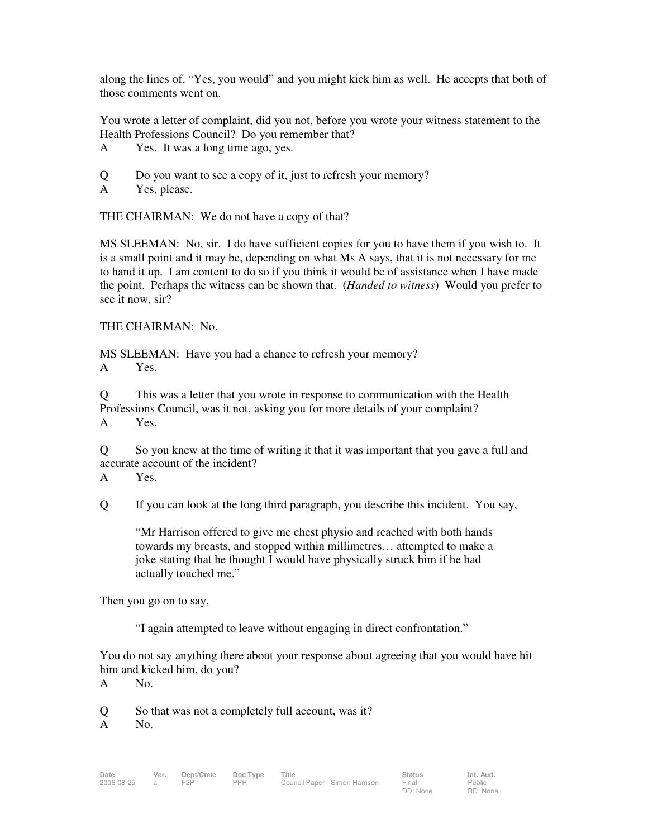along the lines of, "Yes, you would" and you might kick him as well. He accepts that both of those comments went on.

You wrote a letter of complaint, did you not, before you wrote your witness statement to the Health Professions Council? Do you remember that?

- A Yes. It was a long time ago, yes.
- Q Do you want to see a copy of it, just to refresh your memory?
- A Yes, please.

THE CHAIRMAN: We do not have a copy of that?

MS SLEEMAN: No, sir. I do have sufficient copies for you to have them if you wish to. It is a small point and it may be, depending on what Ms A says, that it is not necessary for me to hand it up. I am content to do so if you think it would be of assistance when I have made the point. Perhaps the witness can be shown that. (*Handed to witness*) Would you prefer to see it now, sir?

#### THE CHAIRMAN: No.

MS SLEEMAN: Have you had a chance to refresh your memory? A Yes.

Q This was a letter that you wrote in response to communication with the Health Professions Council, was it not, asking you for more details of your complaint? A Yes.

Q So you knew at the time of writing it that it was important that you gave a full and accurate account of the incident?

A Yes.

Q If you can look at the long third paragraph, you describe this incident. You say,

"Mr Harrison offered to give me chest physio and reached with both hands towards my breasts, and stopped within millimetres… attempted to make a joke stating that he thought I would have physically struck him if he had actually touched me."

Then you go on to say,

"I again attempted to leave without engaging in direct confrontation."

You do not say anything there about your response about agreeing that you would have hit him and kicked him, do you?

A No.

Q So that was not a completely full account, was it?

A No.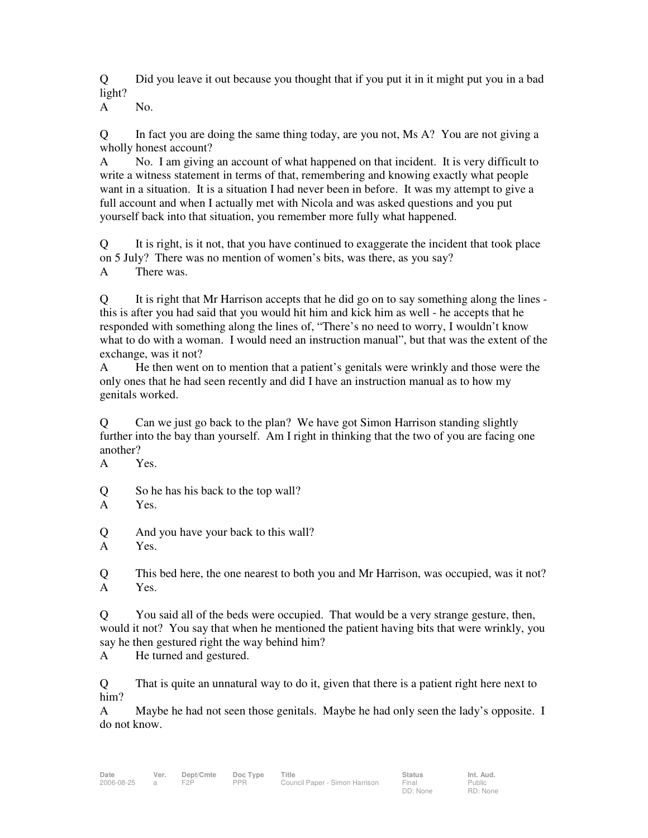Q Did you leave it out because you thought that if you put it in it might put you in a bad light?

A No.

Q In fact you are doing the same thing today, are you not, Ms A? You are not giving a wholly honest account?

A No. I am giving an account of what happened on that incident. It is very difficult to write a witness statement in terms of that, remembering and knowing exactly what people want in a situation. It is a situation I had never been in before. It was my attempt to give a full account and when I actually met with Nicola and was asked questions and you put yourself back into that situation, you remember more fully what happened.

Q It is right, is it not, that you have continued to exaggerate the incident that took place on 5 July? There was no mention of women's bits, was there, as you say? A There was.

Q It is right that Mr Harrison accepts that he did go on to say something along the lines this is after you had said that you would hit him and kick him as well - he accepts that he responded with something along the lines of, "There's no need to worry, I wouldn't know what to do with a woman. I would need an instruction manual", but that was the extent of the exchange, was it not?

A He then went on to mention that a patient's genitals were wrinkly and those were the only ones that he had seen recently and did I have an instruction manual as to how my genitals worked.

Q Can we just go back to the plan? We have got Simon Harrison standing slightly further into the bay than yourself. Am I right in thinking that the two of you are facing one another?

A Yes.

Q So he has his back to the top wall?

A Yes.

Q And you have your back to this wall?

A Yes.

Q This bed here, the one nearest to both you and Mr Harrison, was occupied, was it not? A Yes.

Q You said all of the beds were occupied. That would be a very strange gesture, then, would it not? You say that when he mentioned the patient having bits that were wrinkly, you say he then gestured right the way behind him?

A He turned and gestured.

Q That is quite an unnatural way to do it, given that there is a patient right here next to him?

A Maybe he had not seen those genitals. Maybe he had only seen the lady's opposite. I do not know.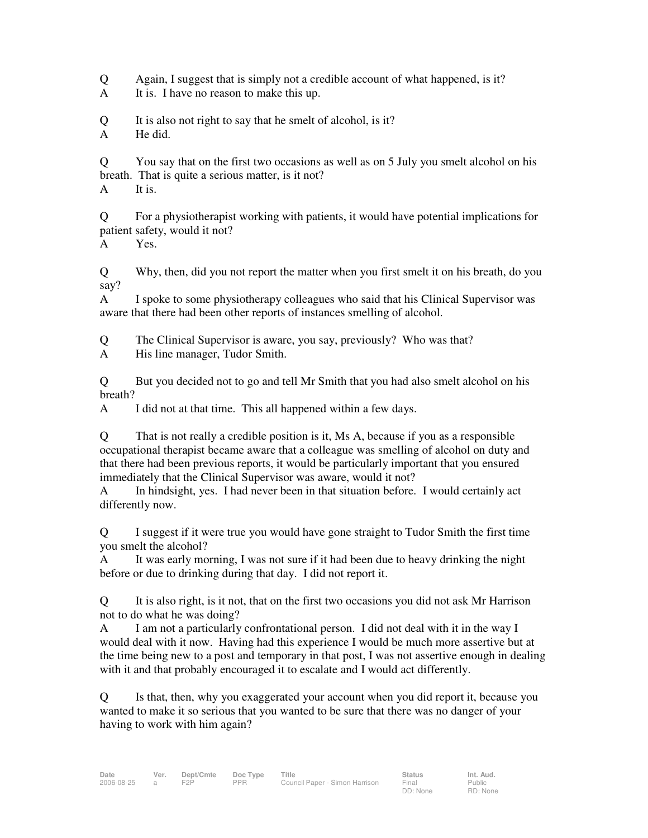Q Again, I suggest that is simply not a credible account of what happened, is it?

A It is. I have no reason to make this up.

Q It is also not right to say that he smelt of alcohol, is it?

A He did.

Q You say that on the first two occasions as well as on 5 July you smelt alcohol on his breath. That is quite a serious matter, is it not?

A It is.

Q For a physiotherapist working with patients, it would have potential implications for patient safety, would it not?

A Yes.

Q Why, then, did you not report the matter when you first smelt it on his breath, do you say?

A I spoke to some physiotherapy colleagues who said that his Clinical Supervisor was aware that there had been other reports of instances smelling of alcohol.

Q The Clinical Supervisor is aware, you say, previously? Who was that?

A His line manager, Tudor Smith.

Q But you decided not to go and tell Mr Smith that you had also smelt alcohol on his breath?

A I did not at that time. This all happened within a few days.

Q That is not really a credible position is it, Ms A, because if you as a responsible occupational therapist became aware that a colleague was smelling of alcohol on duty and that there had been previous reports, it would be particularly important that you ensured immediately that the Clinical Supervisor was aware, would it not?

A In hindsight, yes. I had never been in that situation before. I would certainly act differently now.

Q I suggest if it were true you would have gone straight to Tudor Smith the first time you smelt the alcohol?

A It was early morning, I was not sure if it had been due to heavy drinking the night before or due to drinking during that day. I did not report it.

Q It is also right, is it not, that on the first two occasions you did not ask Mr Harrison not to do what he was doing?

A I am not a particularly confrontational person. I did not deal with it in the way I would deal with it now. Having had this experience I would be much more assertive but at the time being new to a post and temporary in that post, I was not assertive enough in dealing with it and that probably encouraged it to escalate and I would act differently.

Q Is that, then, why you exaggerated your account when you did report it, because you wanted to make it so serious that you wanted to be sure that there was no danger of your having to work with him again?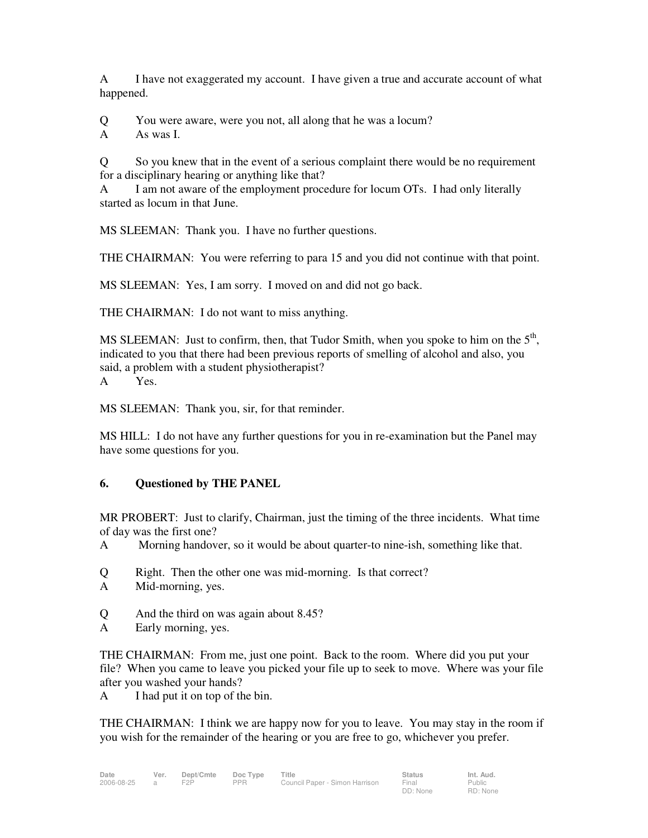A I have not exaggerated my account. I have given a true and accurate account of what happened.

Q You were aware, were you not, all along that he was a locum?

A As was I.

Q So you knew that in the event of a serious complaint there would be no requirement for a disciplinary hearing or anything like that?

A I am not aware of the employment procedure for locum OTs. I had only literally started as locum in that June.

MS SLEEMAN: Thank you. I have no further questions.

THE CHAIRMAN: You were referring to para 15 and you did not continue with that point.

MS SLEEMAN: Yes, I am sorry. I moved on and did not go back.

THE CHAIRMAN: I do not want to miss anything.

MS SLEEMAN: Just to confirm, then, that Tudor Smith, when you spoke to him on the  $5<sup>th</sup>$ , indicated to you that there had been previous reports of smelling of alcohol and also, you said, a problem with a student physiotherapist? A Yes.

MS SLEEMAN: Thank you, sir, for that reminder.

MS HILL: I do not have any further questions for you in re-examination but the Panel may have some questions for you.

### **6. Questioned by THE PANEL**

MR PROBERT: Just to clarify, Chairman, just the timing of the three incidents. What time of day was the first one?

A Morning handover, so it would be about quarter-to nine-ish, something like that.

- Q Right. Then the other one was mid-morning. Is that correct?
- A Mid-morning, yes.
- Q And the third on was again about 8.45?
- A Early morning, yes.

THE CHAIRMAN: From me, just one point. Back to the room. Where did you put your file? When you came to leave you picked your file up to seek to move. Where was your file after you washed your hands?

A I had put it on top of the bin.

THE CHAIRMAN: I think we are happy now for you to leave. You may stay in the room if you wish for the remainder of the hearing or you are free to go, whichever you prefer.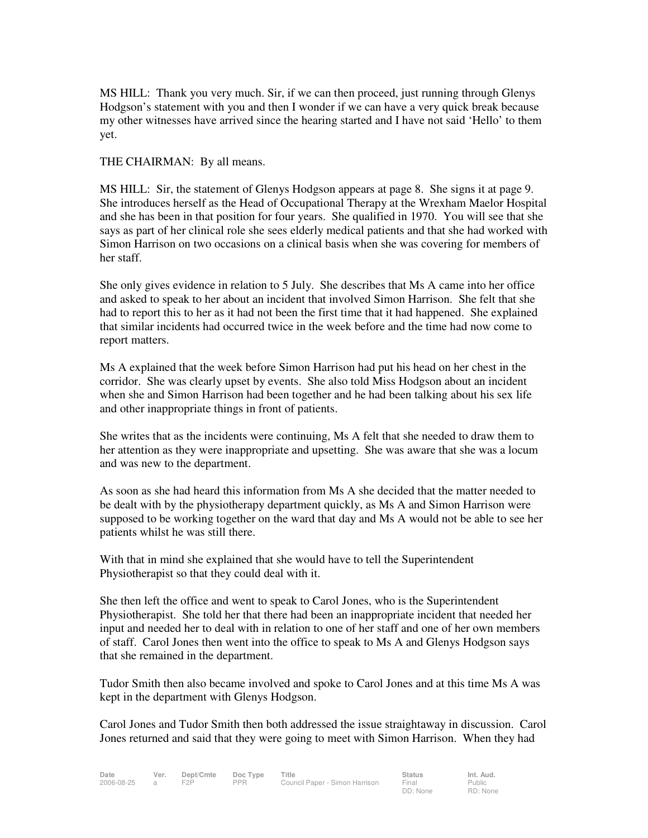MS HILL: Thank you very much. Sir, if we can then proceed, just running through Glenys Hodgson's statement with you and then I wonder if we can have a very quick break because my other witnesses have arrived since the hearing started and I have not said 'Hello' to them yet.

THE CHAIRMAN: By all means.

MS HILL: Sir, the statement of Glenys Hodgson appears at page 8. She signs it at page 9. She introduces herself as the Head of Occupational Therapy at the Wrexham Maelor Hospital and she has been in that position for four years. She qualified in 1970. You will see that she says as part of her clinical role she sees elderly medical patients and that she had worked with Simon Harrison on two occasions on a clinical basis when she was covering for members of her staff.

She only gives evidence in relation to 5 July. She describes that Ms A came into her office and asked to speak to her about an incident that involved Simon Harrison. She felt that she had to report this to her as it had not been the first time that it had happened. She explained that similar incidents had occurred twice in the week before and the time had now come to report matters.

Ms A explained that the week before Simon Harrison had put his head on her chest in the corridor. She was clearly upset by events. She also told Miss Hodgson about an incident when she and Simon Harrison had been together and he had been talking about his sex life and other inappropriate things in front of patients.

She writes that as the incidents were continuing, Ms A felt that she needed to draw them to her attention as they were inappropriate and upsetting. She was aware that she was a locum and was new to the department.

As soon as she had heard this information from Ms A she decided that the matter needed to be dealt with by the physiotherapy department quickly, as Ms A and Simon Harrison were supposed to be working together on the ward that day and Ms A would not be able to see her patients whilst he was still there.

With that in mind she explained that she would have to tell the Superintendent Physiotherapist so that they could deal with it.

She then left the office and went to speak to Carol Jones, who is the Superintendent Physiotherapist. She told her that there had been an inappropriate incident that needed her input and needed her to deal with in relation to one of her staff and one of her own members of staff. Carol Jones then went into the office to speak to Ms A and Glenys Hodgson says that she remained in the department.

Tudor Smith then also became involved and spoke to Carol Jones and at this time Ms A was kept in the department with Glenys Hodgson.

Carol Jones and Tudor Smith then both addressed the issue straightaway in discussion. Carol Jones returned and said that they were going to meet with Simon Harrison. When they had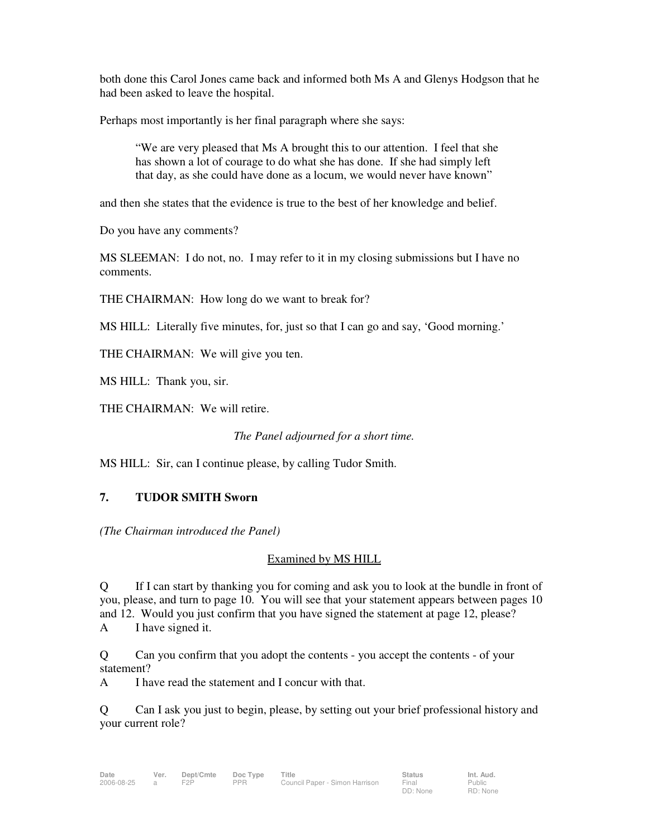both done this Carol Jones came back and informed both Ms A and Glenys Hodgson that he had been asked to leave the hospital.

Perhaps most importantly is her final paragraph where she says:

"We are very pleased that Ms A brought this to our attention. I feel that she has shown a lot of courage to do what she has done. If she had simply left that day, as she could have done as a locum, we would never have known"

and then she states that the evidence is true to the best of her knowledge and belief.

Do you have any comments?

MS SLEEMAN: I do not, no. I may refer to it in my closing submissions but I have no comments.

THE CHAIRMAN: How long do we want to break for?

MS HILL: Literally five minutes, for, just so that I can go and say, 'Good morning.'

THE CHAIRMAN: We will give you ten.

MS HILL: Thank you, sir.

THE CHAIRMAN: We will retire.

*The Panel adjourned for a short time.* 

MS HILL: Sir, can I continue please, by calling Tudor Smith.

### **7. TUDOR SMITH Sworn**

*(The Chairman introduced the Panel)* 

### Examined by MS HILL

Q If I can start by thanking you for coming and ask you to look at the bundle in front of you, please, and turn to page 10. You will see that your statement appears between pages 10 and 12. Would you just confirm that you have signed the statement at page 12, please? A I have signed it.

Q Can you confirm that you adopt the contents - you accept the contents - of your statement?

A I have read the statement and I concur with that.

Q Can I ask you just to begin, please, by setting out your brief professional history and your current role?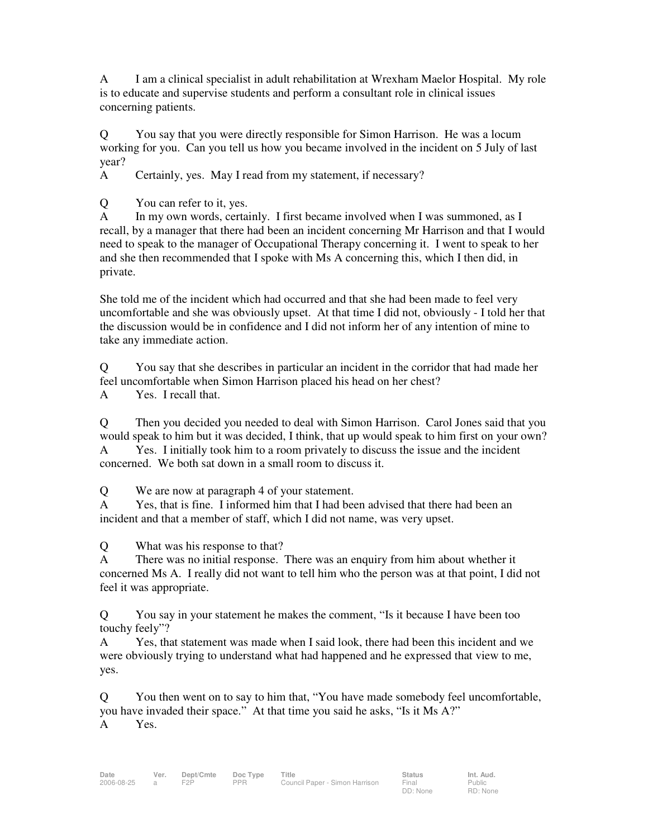A I am a clinical specialist in adult rehabilitation at Wrexham Maelor Hospital. My role is to educate and supervise students and perform a consultant role in clinical issues concerning patients.

Q You say that you were directly responsible for Simon Harrison. He was a locum working for you. Can you tell us how you became involved in the incident on 5 July of last year?

A Certainly, yes. May I read from my statement, if necessary?

Q You can refer to it, yes.

A In my own words, certainly. I first became involved when I was summoned, as I recall, by a manager that there had been an incident concerning Mr Harrison and that I would need to speak to the manager of Occupational Therapy concerning it. I went to speak to her and she then recommended that I spoke with Ms A concerning this, which I then did, in private.

She told me of the incident which had occurred and that she had been made to feel very uncomfortable and she was obviously upset. At that time I did not, obviously - I told her that the discussion would be in confidence and I did not inform her of any intention of mine to take any immediate action.

Q You say that she describes in particular an incident in the corridor that had made her feel uncomfortable when Simon Harrison placed his head on her chest?

A Yes. I recall that.

Q Then you decided you needed to deal with Simon Harrison. Carol Jones said that you would speak to him but it was decided, I think, that up would speak to him first on your own? A Yes. I initially took him to a room privately to discuss the issue and the incident concerned. We both sat down in a small room to discuss it.

Q We are now at paragraph 4 of your statement.

A Yes, that is fine. I informed him that I had been advised that there had been an incident and that a member of staff, which I did not name, was very upset.

Q What was his response to that?

A There was no initial response. There was an enquiry from him about whether it concerned Ms A. I really did not want to tell him who the person was at that point, I did not feel it was appropriate.

Q You say in your statement he makes the comment, "Is it because I have been too touchy feely"?

A Yes, that statement was made when I said look, there had been this incident and we were obviously trying to understand what had happened and he expressed that view to me, yes.

Q You then went on to say to him that, "You have made somebody feel uncomfortable, you have invaded their space." At that time you said he asks, "Is it Ms A?" A Yes.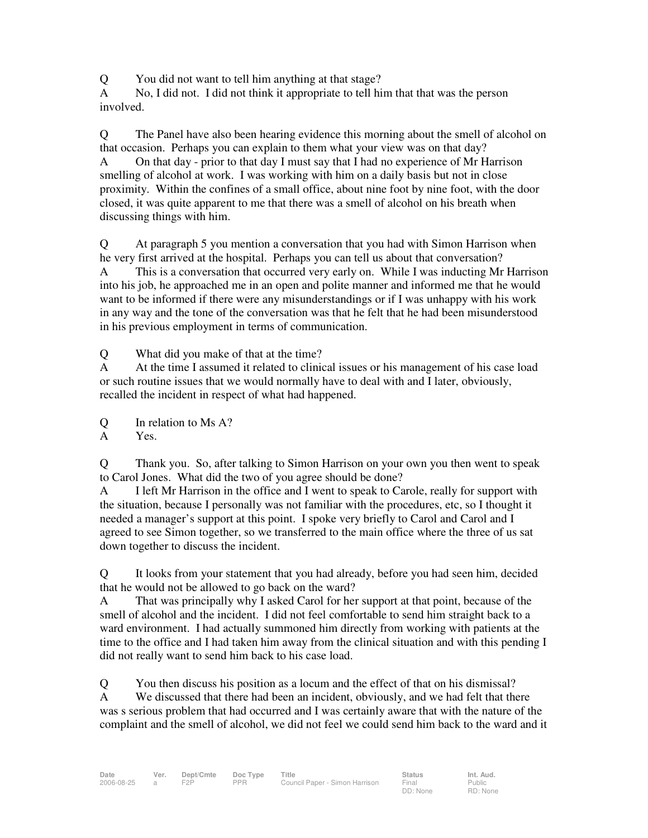Q You did not want to tell him anything at that stage?

A No, I did not. I did not think it appropriate to tell him that that was the person involved.

Q The Panel have also been hearing evidence this morning about the smell of alcohol on that occasion. Perhaps you can explain to them what your view was on that day?

A On that day - prior to that day I must say that I had no experience of Mr Harrison smelling of alcohol at work. I was working with him on a daily basis but not in close proximity. Within the confines of a small office, about nine foot by nine foot, with the door closed, it was quite apparent to me that there was a smell of alcohol on his breath when discussing things with him.

Q At paragraph 5 you mention a conversation that you had with Simon Harrison when he very first arrived at the hospital. Perhaps you can tell us about that conversation? A This is a conversation that occurred very early on. While I was inducting Mr Harrison into his job, he approached me in an open and polite manner and informed me that he would want to be informed if there were any misunderstandings or if I was unhappy with his work in any way and the tone of the conversation was that he felt that he had been misunderstood in his previous employment in terms of communication.

Q What did you make of that at the time?

A At the time I assumed it related to clinical issues or his management of his case load or such routine issues that we would normally have to deal with and I later, obviously, recalled the incident in respect of what had happened.

Q In relation to Ms A?

A Yes.

Q Thank you. So, after talking to Simon Harrison on your own you then went to speak to Carol Jones. What did the two of you agree should be done?

A I left Mr Harrison in the office and I went to speak to Carole, really for support with the situation, because I personally was not familiar with the procedures, etc, so I thought it needed a manager's support at this point. I spoke very briefly to Carol and Carol and I agreed to see Simon together, so we transferred to the main office where the three of us sat down together to discuss the incident.

Q It looks from your statement that you had already, before you had seen him, decided that he would not be allowed to go back on the ward?

A That was principally why I asked Carol for her support at that point, because of the smell of alcohol and the incident. I did not feel comfortable to send him straight back to a ward environment. I had actually summoned him directly from working with patients at the time to the office and I had taken him away from the clinical situation and with this pending I did not really want to send him back to his case load.

Q You then discuss his position as a locum and the effect of that on his dismissal? A We discussed that there had been an incident, obviously, and we had felt that there was s serious problem that had occurred and I was certainly aware that with the nature of the complaint and the smell of alcohol, we did not feel we could send him back to the ward and it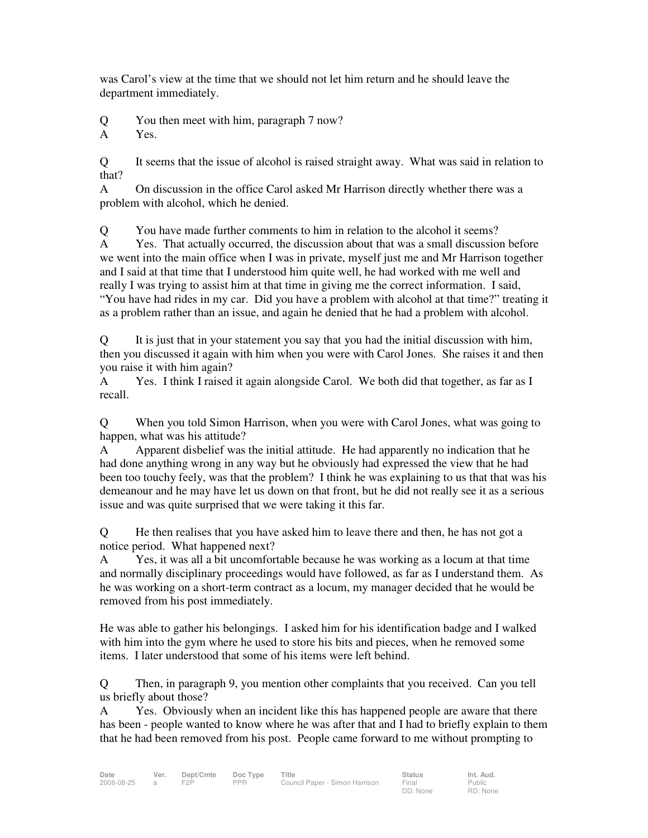was Carol's view at the time that we should not let him return and he should leave the department immediately.

Q You then meet with him, paragraph 7 now?

A Yes.

Q It seems that the issue of alcohol is raised straight away. What was said in relation to that?

A On discussion in the office Carol asked Mr Harrison directly whether there was a problem with alcohol, which he denied.

Q You have made further comments to him in relation to the alcohol it seems?

A Yes. That actually occurred, the discussion about that was a small discussion before we went into the main office when I was in private, myself just me and Mr Harrison together and I said at that time that I understood him quite well, he had worked with me well and really I was trying to assist him at that time in giving me the correct information. I said, "You have had rides in my car. Did you have a problem with alcohol at that time?" treating it as a problem rather than an issue, and again he denied that he had a problem with alcohol.

Q It is just that in your statement you say that you had the initial discussion with him, then you discussed it again with him when you were with Carol Jones. She raises it and then you raise it with him again?

A Yes. I think I raised it again alongside Carol. We both did that together, as far as I recall.

Q When you told Simon Harrison, when you were with Carol Jones, what was going to happen, what was his attitude?

A Apparent disbelief was the initial attitude. He had apparently no indication that he had done anything wrong in any way but he obviously had expressed the view that he had been too touchy feely, was that the problem? I think he was explaining to us that that was his demeanour and he may have let us down on that front, but he did not really see it as a serious issue and was quite surprised that we were taking it this far.

Q He then realises that you have asked him to leave there and then, he has not got a notice period. What happened next?

A Yes, it was all a bit uncomfortable because he was working as a locum at that time and normally disciplinary proceedings would have followed, as far as I understand them. As he was working on a short-term contract as a locum, my manager decided that he would be removed from his post immediately.

He was able to gather his belongings. I asked him for his identification badge and I walked with him into the gym where he used to store his bits and pieces, when he removed some items. I later understood that some of his items were left behind.

Q Then, in paragraph 9, you mention other complaints that you received. Can you tell us briefly about those?

A Yes. Obviously when an incident like this has happened people are aware that there has been - people wanted to know where he was after that and I had to briefly explain to them that he had been removed from his post. People came forward to me without prompting to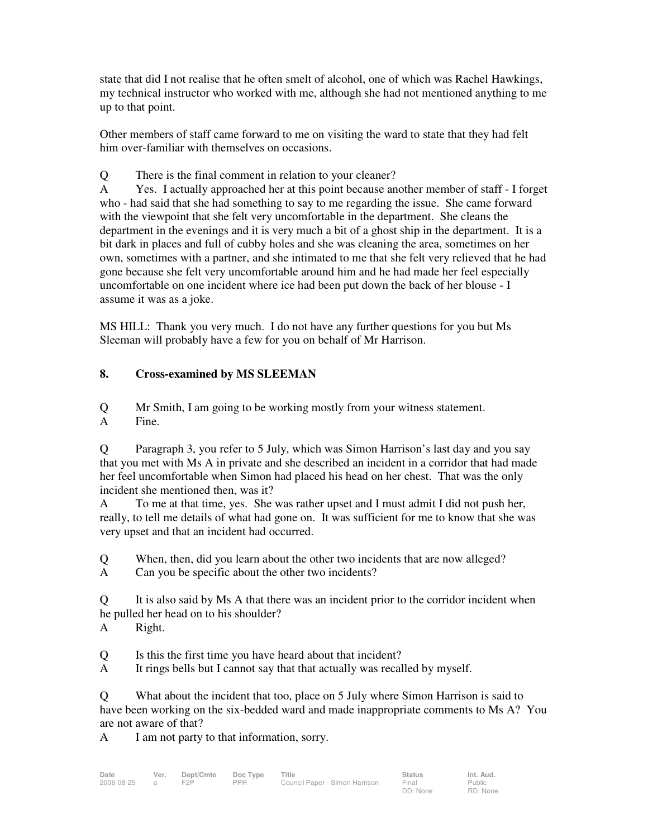state that did I not realise that he often smelt of alcohol, one of which was Rachel Hawkings, my technical instructor who worked with me, although she had not mentioned anything to me up to that point.

Other members of staff came forward to me on visiting the ward to state that they had felt him over-familiar with themselves on occasions.

Q There is the final comment in relation to your cleaner?

A Yes. I actually approached her at this point because another member of staff - I forget who - had said that she had something to say to me regarding the issue. She came forward with the viewpoint that she felt very uncomfortable in the department. She cleans the department in the evenings and it is very much a bit of a ghost ship in the department. It is a bit dark in places and full of cubby holes and she was cleaning the area, sometimes on her own, sometimes with a partner, and she intimated to me that she felt very relieved that he had gone because she felt very uncomfortable around him and he had made her feel especially uncomfortable on one incident where ice had been put down the back of her blouse - I assume it was as a joke.

MS HILL: Thank you very much. I do not have any further questions for you but Ms Sleeman will probably have a few for you on behalf of Mr Harrison.

### **8. Cross-examined by MS SLEEMAN**

Q Mr Smith, I am going to be working mostly from your witness statement. A Fine.

Q Paragraph 3, you refer to 5 July, which was Simon Harrison's last day and you say that you met with Ms A in private and she described an incident in a corridor that had made her feel uncomfortable when Simon had placed his head on her chest. That was the only incident she mentioned then, was it?

A To me at that time, yes. She was rather upset and I must admit I did not push her, really, to tell me details of what had gone on. It was sufficient for me to know that she was very upset and that an incident had occurred.

Q When, then, did you learn about the other two incidents that are now alleged?

A Can you be specific about the other two incidents?

Q It is also said by Ms A that there was an incident prior to the corridor incident when he pulled her head on to his shoulder?

A Right.

Q Is this the first time you have heard about that incident?

A It rings bells but I cannot say that that actually was recalled by myself.

Q What about the incident that too, place on 5 July where Simon Harrison is said to have been working on the six-bedded ward and made inappropriate comments to Ms A? You are not aware of that?

A I am not party to that information, sorry.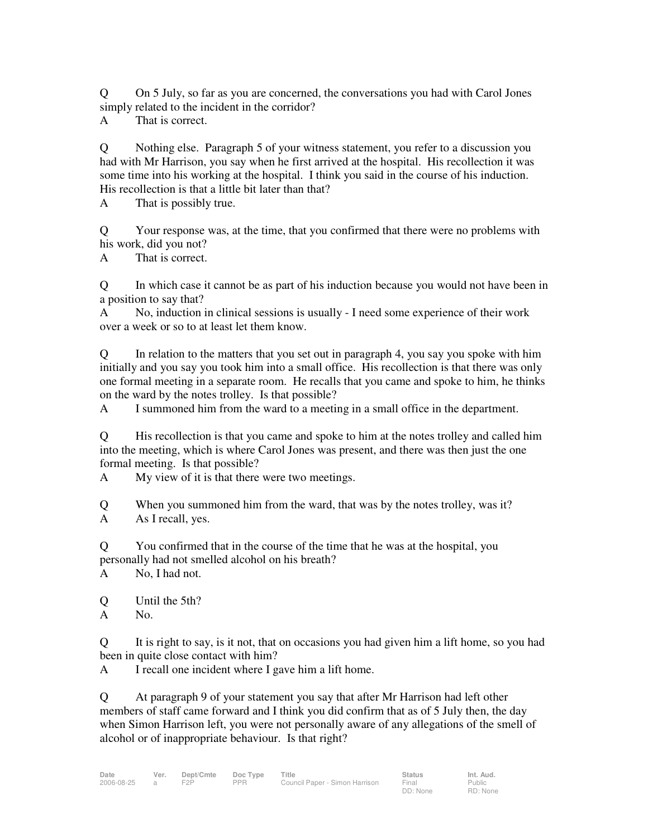Q On 5 July, so far as you are concerned, the conversations you had with Carol Jones simply related to the incident in the corridor?

A That is correct.

Q Nothing else. Paragraph 5 of your witness statement, you refer to a discussion you had with Mr Harrison, you say when he first arrived at the hospital. His recollection it was some time into his working at the hospital. I think you said in the course of his induction. His recollection is that a little bit later than that?

A That is possibly true.

Q Your response was, at the time, that you confirmed that there were no problems with his work, did you not?

A That is correct.

Q In which case it cannot be as part of his induction because you would not have been in a position to say that?

A No, induction in clinical sessions is usually - I need some experience of their work over a week or so to at least let them know.

Q In relation to the matters that you set out in paragraph 4, you say you spoke with him initially and you say you took him into a small office. His recollection is that there was only one formal meeting in a separate room. He recalls that you came and spoke to him, he thinks on the ward by the notes trolley. Is that possible?

A I summoned him from the ward to a meeting in a small office in the department.

Q His recollection is that you came and spoke to him at the notes trolley and called him into the meeting, which is where Carol Jones was present, and there was then just the one formal meeting. Is that possible?

A My view of it is that there were two meetings.

Q When you summoned him from the ward, that was by the notes trolley, was it? A As I recall, yes.

Q You confirmed that in the course of the time that he was at the hospital, you personally had not smelled alcohol on his breath?

A No, I had not.

Q Until the 5th?

A No.

Q It is right to say, is it not, that on occasions you had given him a lift home, so you had been in quite close contact with him?

A I recall one incident where I gave him a lift home.

Q At paragraph 9 of your statement you say that after Mr Harrison had left other members of staff came forward and I think you did confirm that as of 5 July then, the day when Simon Harrison left, you were not personally aware of any allegations of the smell of alcohol or of inappropriate behaviour. Is that right?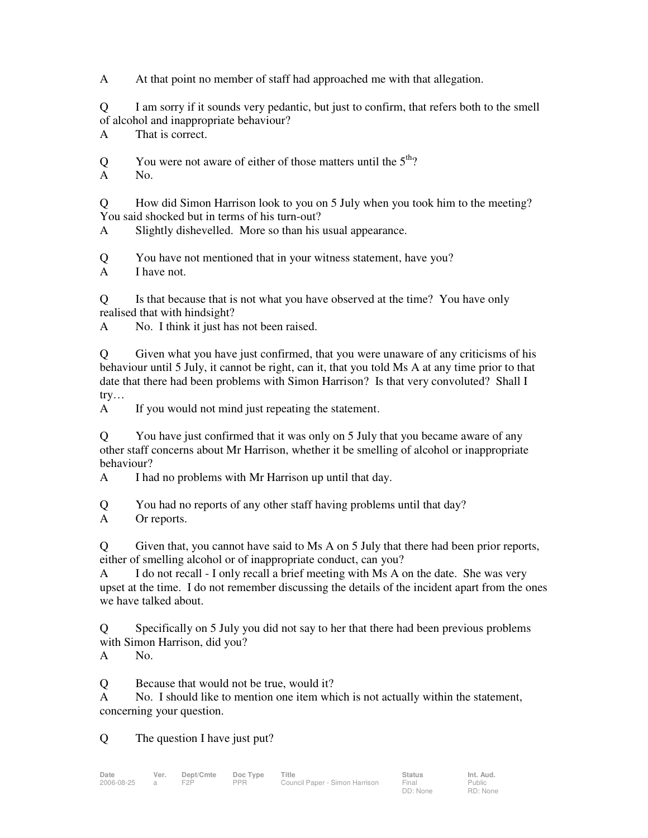A At that point no member of staff had approached me with that allegation.

Q I am sorry if it sounds very pedantic, but just to confirm, that refers both to the smell of alcohol and inappropriate behaviour?

A That is correct.

Q You were not aware of either of those matters until the  $5<sup>th</sup>$ ?

A No.

Q How did Simon Harrison look to you on 5 July when you took him to the meeting? You said shocked but in terms of his turn-out?

A Slightly dishevelled. More so than his usual appearance.

Q You have not mentioned that in your witness statement, have you?

A I have not.

Q Is that because that is not what you have observed at the time? You have only realised that with hindsight?

A No. I think it just has not been raised.

Q Given what you have just confirmed, that you were unaware of any criticisms of his behaviour until 5 July, it cannot be right, can it, that you told Ms A at any time prior to that date that there had been problems with Simon Harrison? Is that very convoluted? Shall I try…

A If you would not mind just repeating the statement.

Q You have just confirmed that it was only on 5 July that you became aware of any other staff concerns about Mr Harrison, whether it be smelling of alcohol or inappropriate behaviour?

A I had no problems with Mr Harrison up until that day.

Q You had no reports of any other staff having problems until that day?

A Or reports.

Q Given that, you cannot have said to Ms A on 5 July that there had been prior reports, either of smelling alcohol or of inappropriate conduct, can you?

A I do not recall - I only recall a brief meeting with Ms A on the date. She was very upset at the time. I do not remember discussing the details of the incident apart from the ones we have talked about.

Q Specifically on 5 July you did not say to her that there had been previous problems with Simon Harrison, did you?

A No.

Q Because that would not be true, would it?

A No. I should like to mention one item which is not actually within the statement, concerning your question.

Q The question I have just put?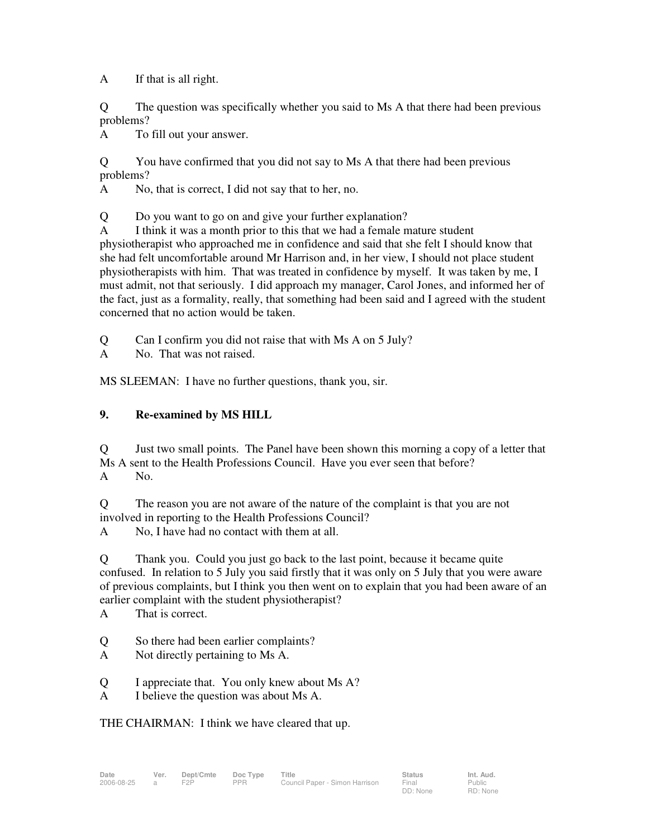A If that is all right.

Q The question was specifically whether you said to Ms A that there had been previous problems?

A To fill out your answer.

Q You have confirmed that you did not say to Ms A that there had been previous problems?

A No, that is correct, I did not say that to her, no.

Q Do you want to go on and give your further explanation?

A I think it was a month prior to this that we had a female mature student physiotherapist who approached me in confidence and said that she felt I should know that she had felt uncomfortable around Mr Harrison and, in her view, I should not place student physiotherapists with him. That was treated in confidence by myself. It was taken by me, I must admit, not that seriously. I did approach my manager, Carol Jones, and informed her of the fact, just as a formality, really, that something had been said and I agreed with the student concerned that no action would be taken.

Q Can I confirm you did not raise that with Ms A on 5 July?

A No. That was not raised.

MS SLEEMAN: I have no further questions, thank you, sir.

### **9. Re-examined by MS HILL**

Q Just two small points. The Panel have been shown this morning a copy of a letter that Ms A sent to the Health Professions Council. Have you ever seen that before? A No.

Q The reason you are not aware of the nature of the complaint is that you are not involved in reporting to the Health Professions Council?

A No, I have had no contact with them at all.

Q Thank you. Could you just go back to the last point, because it became quite confused. In relation to 5 July you said firstly that it was only on 5 July that you were aware of previous complaints, but I think you then went on to explain that you had been aware of an earlier complaint with the student physiotherapist?

A That is correct.

- Q So there had been earlier complaints?
- A Not directly pertaining to Ms A.
- Q I appreciate that. You only knew about Ms A?
- A I believe the question was about Ms A.

THE CHAIRMAN: I think we have cleared that up.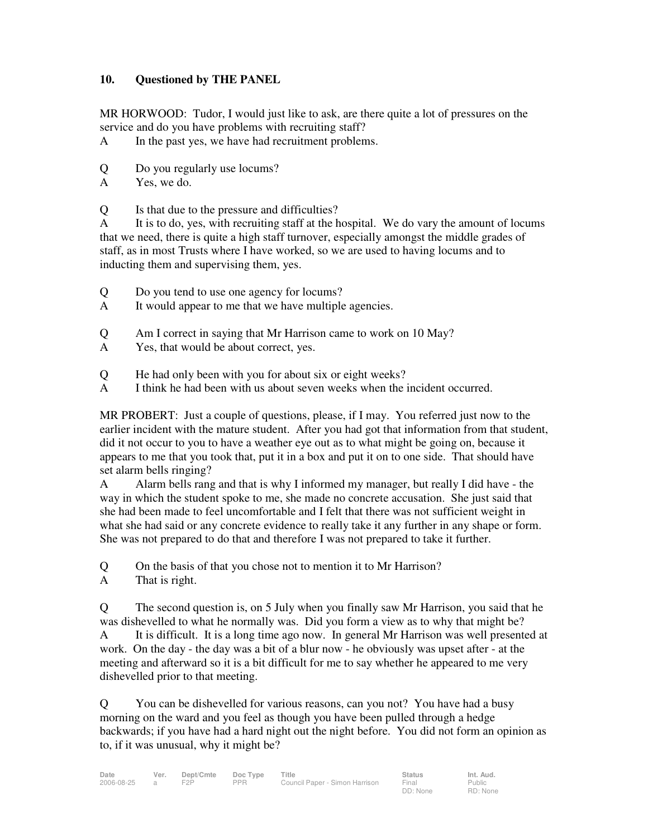### **10. Questioned by THE PANEL**

MR HORWOOD: Tudor, I would just like to ask, are there quite a lot of pressures on the service and do you have problems with recruiting staff?

- A In the past yes, we have had recruitment problems.
- Q Do you regularly use locums?
- A Yes, we do.
- Q Is that due to the pressure and difficulties?

A It is to do, yes, with recruiting staff at the hospital. We do vary the amount of locums that we need, there is quite a high staff turnover, especially amongst the middle grades of staff, as in most Trusts where I have worked, so we are used to having locums and to inducting them and supervising them, yes.

- Q Do you tend to use one agency for locums?
- A It would appear to me that we have multiple agencies.
- Q Am I correct in saying that Mr Harrison came to work on 10 May?
- A Yes, that would be about correct, yes.
- Q He had only been with you for about six or eight weeks?
- A I think he had been with us about seven weeks when the incident occurred.

MR PROBERT: Just a couple of questions, please, if I may. You referred just now to the earlier incident with the mature student. After you had got that information from that student, did it not occur to you to have a weather eye out as to what might be going on, because it appears to me that you took that, put it in a box and put it on to one side. That should have set alarm bells ringing?

A Alarm bells rang and that is why I informed my manager, but really I did have - the way in which the student spoke to me, she made no concrete accusation. She just said that she had been made to feel uncomfortable and I felt that there was not sufficient weight in what she had said or any concrete evidence to really take it any further in any shape or form. She was not prepared to do that and therefore I was not prepared to take it further.

- Q On the basis of that you chose not to mention it to Mr Harrison?
- A That is right.

Q The second question is, on 5 July when you finally saw Mr Harrison, you said that he was dishevelled to what he normally was. Did you form a view as to why that might be? A It is difficult. It is a long time ago now. In general Mr Harrison was well presented at work. On the day - the day was a bit of a blur now - he obviously was upset after - at the meeting and afterward so it is a bit difficult for me to say whether he appeared to me very dishevelled prior to that meeting.

Q You can be dishevelled for various reasons, can you not? You have had a busy morning on the ward and you feel as though you have been pulled through a hedge backwards; if you have had a hard night out the night before. You did not form an opinion as to, if it was unusual, why it might be?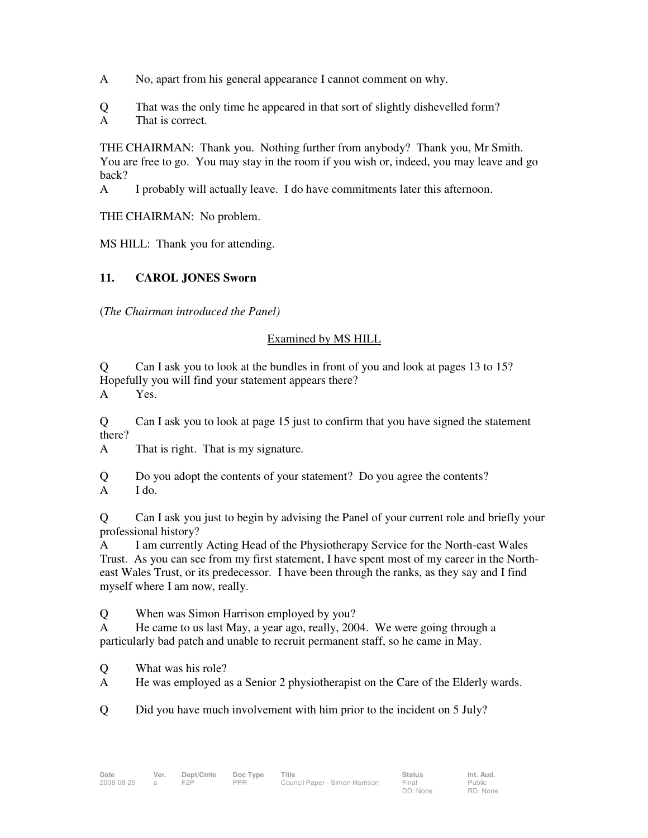- A No, apart from his general appearance I cannot comment on why.
- Q That was the only time he appeared in that sort of slightly dishevelled form?
- A That is correct.

THE CHAIRMAN: Thank you. Nothing further from anybody? Thank you, Mr Smith. You are free to go. You may stay in the room if you wish or, indeed, you may leave and go back?

A I probably will actually leave. I do have commitments later this afternoon.

THE CHAIRMAN: No problem.

MS HILL: Thank you for attending.

### **11. CAROL JONES Sworn**

(*The Chairman introduced the Panel)* 

#### Examined by MS HILL

Q Can I ask you to look at the bundles in front of you and look at pages 13 to 15? Hopefully you will find your statement appears there?

A Yes.

Q Can I ask you to look at page 15 just to confirm that you have signed the statement there?

A That is right. That is my signature.

Q Do you adopt the contents of your statement? Do you agree the contents? A I do.

Q Can I ask you just to begin by advising the Panel of your current role and briefly your professional history?

A I am currently Acting Head of the Physiotherapy Service for the North-east Wales Trust. As you can see from my first statement, I have spent most of my career in the Northeast Wales Trust, or its predecessor. I have been through the ranks, as they say and I find myself where I am now, really.

Q When was Simon Harrison employed by you?

A He came to us last May, a year ago, really, 2004. We were going through a particularly bad patch and unable to recruit permanent staff, so he came in May.

- Q What was his role?
- A He was employed as a Senior 2 physiotherapist on the Care of the Elderly wards.

Q Did you have much involvement with him prior to the incident on 5 July?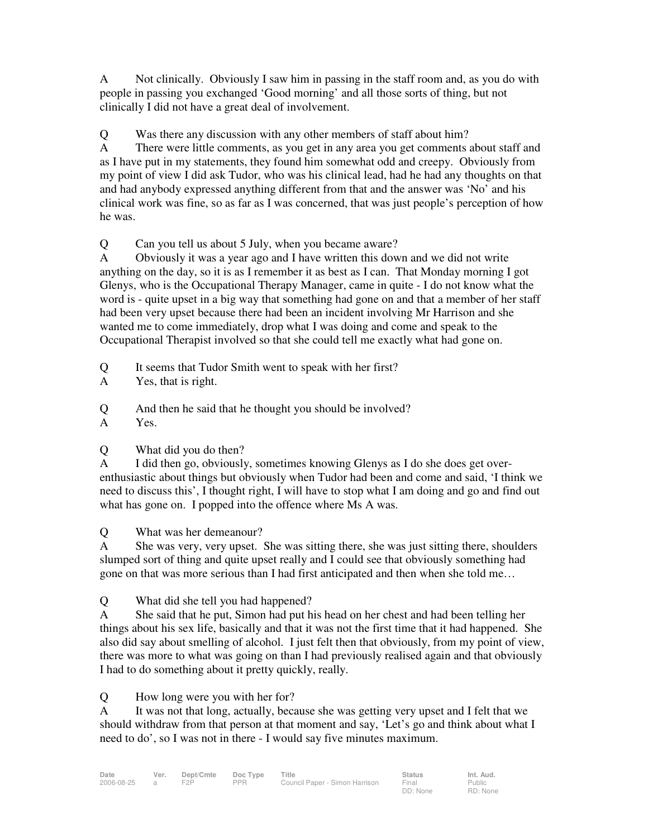A Not clinically. Obviously I saw him in passing in the staff room and, as you do with people in passing you exchanged 'Good morning' and all those sorts of thing, but not clinically I did not have a great deal of involvement.

Q Was there any discussion with any other members of staff about him?

A There were little comments, as you get in any area you get comments about staff and as I have put in my statements, they found him somewhat odd and creepy. Obviously from my point of view I did ask Tudor, who was his clinical lead, had he had any thoughts on that and had anybody expressed anything different from that and the answer was 'No' and his clinical work was fine, so as far as I was concerned, that was just people's perception of how he was.

Q Can you tell us about 5 July, when you became aware?

A Obviously it was a year ago and I have written this down and we did not write anything on the day, so it is as I remember it as best as I can. That Monday morning I got Glenys, who is the Occupational Therapy Manager, came in quite - I do not know what the word is - quite upset in a big way that something had gone on and that a member of her staff had been very upset because there had been an incident involving Mr Harrison and she wanted me to come immediately, drop what I was doing and come and speak to the Occupational Therapist involved so that she could tell me exactly what had gone on.

Q It seems that Tudor Smith went to speak with her first?

A Yes, that is right.

Q And then he said that he thought you should be involved?

A Yes.

Q What did you do then?

A I did then go, obviously, sometimes knowing Glenys as I do she does get overenthusiastic about things but obviously when Tudor had been and come and said, 'I think we need to discuss this', I thought right, I will have to stop what I am doing and go and find out what has gone on. I popped into the offence where Ms A was.

Q What was her demeanour?

A She was very, very upset. She was sitting there, she was just sitting there, shoulders slumped sort of thing and quite upset really and I could see that obviously something had gone on that was more serious than I had first anticipated and then when she told me…

Q What did she tell you had happened?

A She said that he put, Simon had put his head on her chest and had been telling her things about his sex life, basically and that it was not the first time that it had happened. She also did say about smelling of alcohol. I just felt then that obviously, from my point of view, there was more to what was going on than I had previously realised again and that obviously I had to do something about it pretty quickly, really.

Q How long were you with her for?

A It was not that long, actually, because she was getting very upset and I felt that we should withdraw from that person at that moment and say, 'Let's go and think about what I need to do', so I was not in there - I would say five minutes maximum.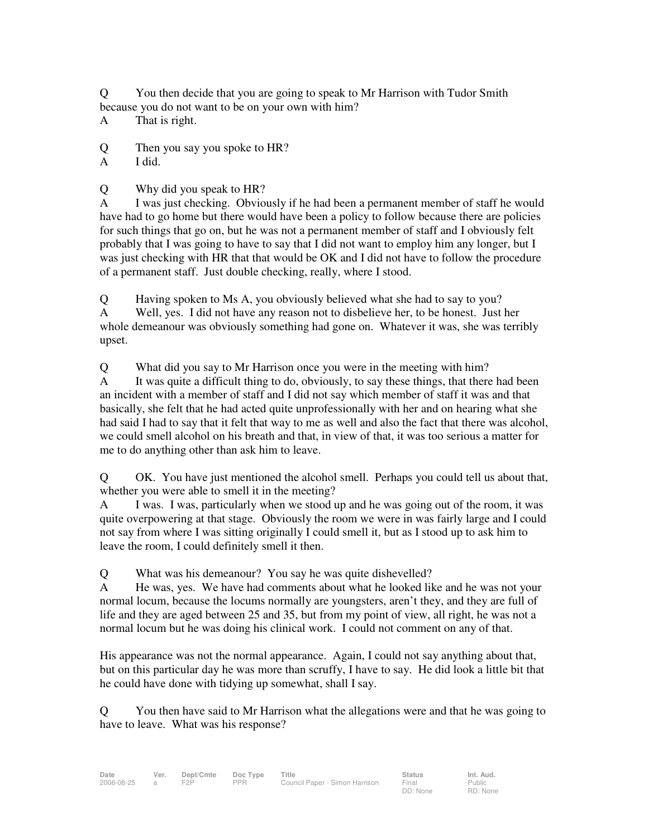Q You then decide that you are going to speak to Mr Harrison with Tudor Smith because you do not want to be on your own with him?

A That is right.

Q Then you say you spoke to HR?

A I did.

Q Why did you speak to HR?

A I was just checking. Obviously if he had been a permanent member of staff he would have had to go home but there would have been a policy to follow because there are policies for such things that go on, but he was not a permanent member of staff and I obviously felt probably that I was going to have to say that I did not want to employ him any longer, but I was just checking with HR that that would be OK and I did not have to follow the procedure of a permanent staff. Just double checking, really, where I stood.

Q Having spoken to Ms A, you obviously believed what she had to say to you? A Well, yes. I did not have any reason not to disbelieve her, to be honest. Just her whole demeanour was obviously something had gone on. Whatever it was, she was terribly upset.

Q What did you say to Mr Harrison once you were in the meeting with him?

A It was quite a difficult thing to do, obviously, to say these things, that there had been an incident with a member of staff and I did not say which member of staff it was and that basically, she felt that he had acted quite unprofessionally with her and on hearing what she had said I had to say that it felt that way to me as well and also the fact that there was alcohol, we could smell alcohol on his breath and that, in view of that, it was too serious a matter for me to do anything other than ask him to leave.

Q OK. You have just mentioned the alcohol smell. Perhaps you could tell us about that, whether you were able to smell it in the meeting?

A I was. I was, particularly when we stood up and he was going out of the room, it was quite overpowering at that stage. Obviously the room we were in was fairly large and I could not say from where I was sitting originally I could smell it, but as I stood up to ask him to leave the room, I could definitely smell it then.

Q What was his demeanour? You say he was quite dishevelled?

A He was, yes. We have had comments about what he looked like and he was not your normal locum, because the locums normally are youngsters, aren't they, and they are full of life and they are aged between 25 and 35, but from my point of view, all right, he was not a normal locum but he was doing his clinical work. I could not comment on any of that.

His appearance was not the normal appearance. Again, I could not say anything about that, but on this particular day he was more than scruffy, I have to say. He did look a little bit that he could have done with tidying up somewhat, shall I say.

Q You then have said to Mr Harrison what the allegations were and that he was going to have to leave. What was his response?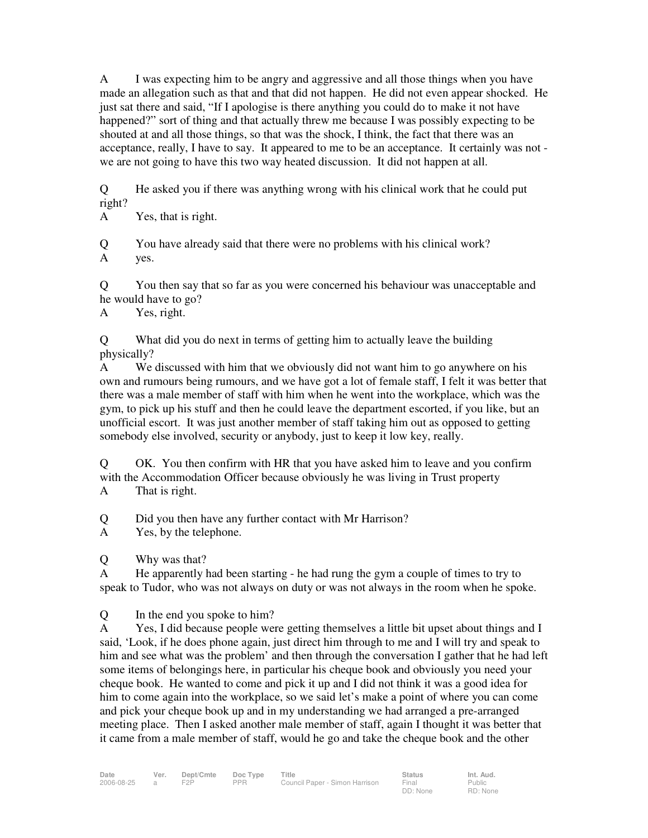A I was expecting him to be angry and aggressive and all those things when you have made an allegation such as that and that did not happen. He did not even appear shocked. He just sat there and said, "If I apologise is there anything you could do to make it not have happened?" sort of thing and that actually threw me because I was possibly expecting to be shouted at and all those things, so that was the shock, I think, the fact that there was an acceptance, really, I have to say. It appeared to me to be an acceptance. It certainly was not we are not going to have this two way heated discussion. It did not happen at all.

Q He asked you if there was anything wrong with his clinical work that he could put right?

A Yes, that is right.

Q You have already said that there were no problems with his clinical work? A yes.

Q You then say that so far as you were concerned his behaviour was unacceptable and he would have to go?

A Yes, right.

Q What did you do next in terms of getting him to actually leave the building physically?

A We discussed with him that we obviously did not want him to go anywhere on his own and rumours being rumours, and we have got a lot of female staff, I felt it was better that there was a male member of staff with him when he went into the workplace, which was the gym, to pick up his stuff and then he could leave the department escorted, if you like, but an unofficial escort. It was just another member of staff taking him out as opposed to getting somebody else involved, security or anybody, just to keep it low key, really.

Q OK. You then confirm with HR that you have asked him to leave and you confirm with the Accommodation Officer because obviously he was living in Trust property A That is right.

Q Did you then have any further contact with Mr Harrison?

A Yes, by the telephone.

Q Why was that?

A He apparently had been starting - he had rung the gym a couple of times to try to speak to Tudor, who was not always on duty or was not always in the room when he spoke.

Q In the end you spoke to him?

A Yes, I did because people were getting themselves a little bit upset about things and I said, 'Look, if he does phone again, just direct him through to me and I will try and speak to him and see what was the problem' and then through the conversation I gather that he had left some items of belongings here, in particular his cheque book and obviously you need your cheque book. He wanted to come and pick it up and I did not think it was a good idea for him to come again into the workplace, so we said let's make a point of where you can come and pick your cheque book up and in my understanding we had arranged a pre-arranged meeting place. Then I asked another male member of staff, again I thought it was better that it came from a male member of staff, would he go and take the cheque book and the other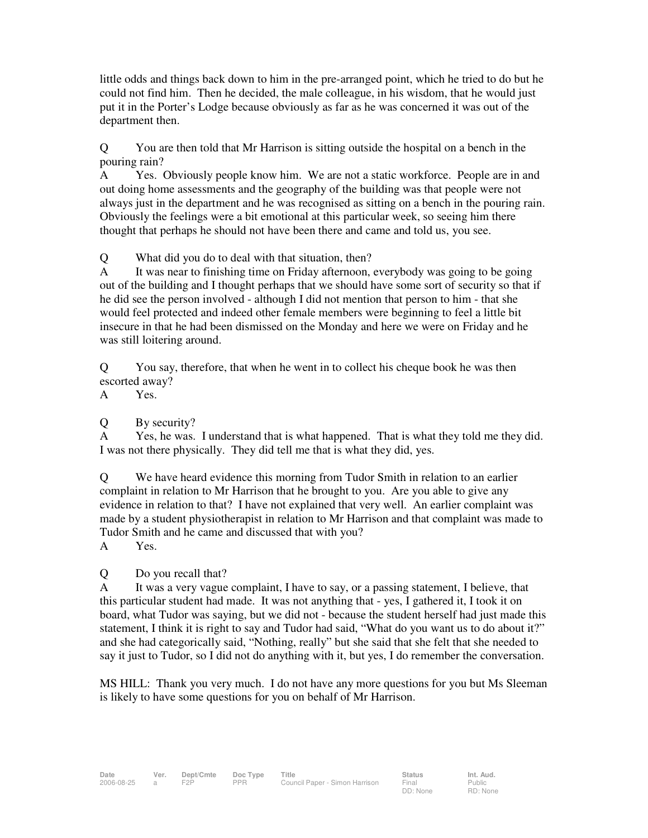little odds and things back down to him in the pre-arranged point, which he tried to do but he could not find him. Then he decided, the male colleague, in his wisdom, that he would just put it in the Porter's Lodge because obviously as far as he was concerned it was out of the department then.

Q You are then told that Mr Harrison is sitting outside the hospital on a bench in the pouring rain?

A Yes. Obviously people know him. We are not a static workforce. People are in and out doing home assessments and the geography of the building was that people were not always just in the department and he was recognised as sitting on a bench in the pouring rain. Obviously the feelings were a bit emotional at this particular week, so seeing him there thought that perhaps he should not have been there and came and told us, you see.

Q What did you do to deal with that situation, then?

A It was near to finishing time on Friday afternoon, everybody was going to be going out of the building and I thought perhaps that we should have some sort of security so that if he did see the person involved - although I did not mention that person to him - that she would feel protected and indeed other female members were beginning to feel a little bit insecure in that he had been dismissed on the Monday and here we were on Friday and he was still loitering around.

Q You say, therefore, that when he went in to collect his cheque book he was then escorted away?

A Yes.

Q By security?

A Yes, he was. I understand that is what happened. That is what they told me they did. I was not there physically. They did tell me that is what they did, yes.

Q We have heard evidence this morning from Tudor Smith in relation to an earlier complaint in relation to Mr Harrison that he brought to you. Are you able to give any evidence in relation to that? I have not explained that very well. An earlier complaint was made by a student physiotherapist in relation to Mr Harrison and that complaint was made to Tudor Smith and he came and discussed that with you?

A Yes.

Q Do you recall that?

A It was a very vague complaint, I have to say, or a passing statement, I believe, that this particular student had made. It was not anything that - yes, I gathered it, I took it on board, what Tudor was saying, but we did not - because the student herself had just made this statement, I think it is right to say and Tudor had said, "What do you want us to do about it?" and she had categorically said, "Nothing, really" but she said that she felt that she needed to say it just to Tudor, so I did not do anything with it, but yes, I do remember the conversation.

MS HILL: Thank you very much. I do not have any more questions for you but Ms Sleeman is likely to have some questions for you on behalf of Mr Harrison.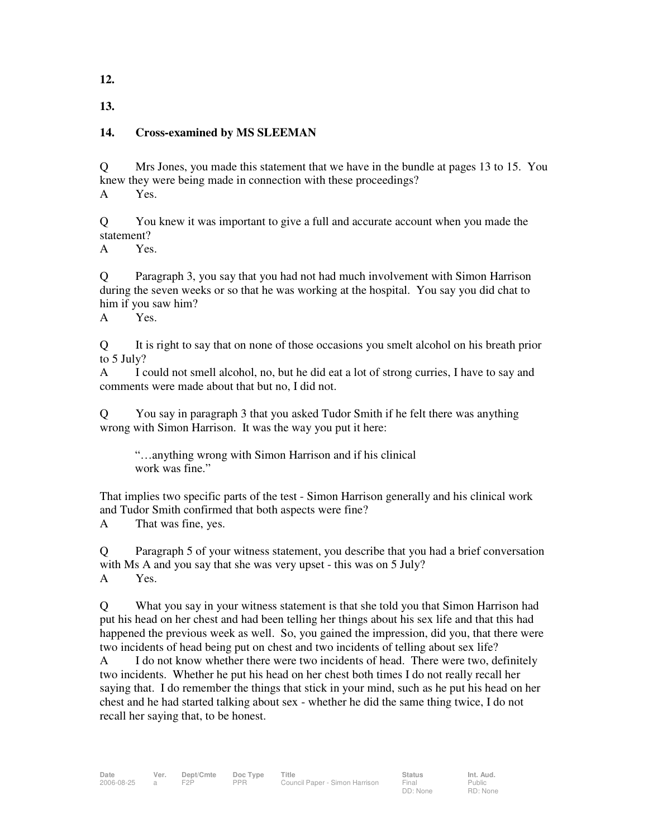**12.**

**13.**

# **14. Cross-examined by MS SLEEMAN**

Q Mrs Jones, you made this statement that we have in the bundle at pages 13 to 15. You knew they were being made in connection with these proceedings? A Yes.

Q You knew it was important to give a full and accurate account when you made the statement?

A Yes.

Q Paragraph 3, you say that you had not had much involvement with Simon Harrison during the seven weeks or so that he was working at the hospital. You say you did chat to him if you saw him?

A Yes.

Q It is right to say that on none of those occasions you smelt alcohol on his breath prior to 5 July?

A I could not smell alcohol, no, but he did eat a lot of strong curries, I have to say and comments were made about that but no, I did not.

Q You say in paragraph 3 that you asked Tudor Smith if he felt there was anything wrong with Simon Harrison. It was the way you put it here:

"…anything wrong with Simon Harrison and if his clinical work was fine."

That implies two specific parts of the test - Simon Harrison generally and his clinical work and Tudor Smith confirmed that both aspects were fine?

A That was fine, yes.

Q Paragraph 5 of your witness statement, you describe that you had a brief conversation with Ms A and you say that she was very upset - this was on 5 July? A Yes.

Q What you say in your witness statement is that she told you that Simon Harrison had put his head on her chest and had been telling her things about his sex life and that this had happened the previous week as well. So, you gained the impression, did you, that there were two incidents of head being put on chest and two incidents of telling about sex life?

A I do not know whether there were two incidents of head. There were two, definitely two incidents. Whether he put his head on her chest both times I do not really recall her saying that. I do remember the things that stick in your mind, such as he put his head on her chest and he had started talking about sex - whether he did the same thing twice, I do not recall her saying that, to be honest.

Public RD: None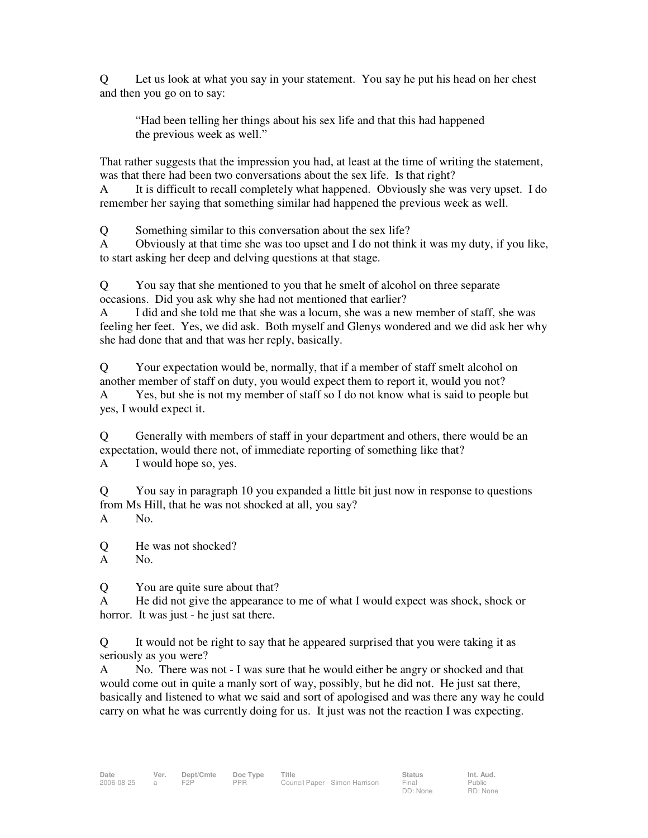Q Let us look at what you say in your statement. You say he put his head on her chest and then you go on to say:

"Had been telling her things about his sex life and that this had happened the previous week as well."

That rather suggests that the impression you had, at least at the time of writing the statement, was that there had been two conversations about the sex life. Is that right?

A It is difficult to recall completely what happened. Obviously she was very upset. I do remember her saying that something similar had happened the previous week as well.

Q Something similar to this conversation about the sex life?

A Obviously at that time she was too upset and I do not think it was my duty, if you like, to start asking her deep and delving questions at that stage.

Q You say that she mentioned to you that he smelt of alcohol on three separate occasions. Did you ask why she had not mentioned that earlier?

A I did and she told me that she was a locum, she was a new member of staff, she was feeling her feet. Yes, we did ask. Both myself and Glenys wondered and we did ask her why she had done that and that was her reply, basically.

Q Your expectation would be, normally, that if a member of staff smelt alcohol on another member of staff on duty, you would expect them to report it, would you not? A Yes, but she is not my member of staff so I do not know what is said to people but yes, I would expect it.

Q Generally with members of staff in your department and others, there would be an expectation, would there not, of immediate reporting of something like that?

A I would hope so, yes.

Q You say in paragraph 10 you expanded a little bit just now in response to questions from Ms Hill, that he was not shocked at all, you say? A No.

Q He was not shocked?

A No.

Q You are quite sure about that?

A He did not give the appearance to me of what I would expect was shock, shock or horror. It was just - he just sat there.

Q It would not be right to say that he appeared surprised that you were taking it as seriously as you were?

A No. There was not - I was sure that he would either be angry or shocked and that would come out in quite a manly sort of way, possibly, but he did not. He just sat there, basically and listened to what we said and sort of apologised and was there any way he could carry on what he was currently doing for us. It just was not the reaction I was expecting.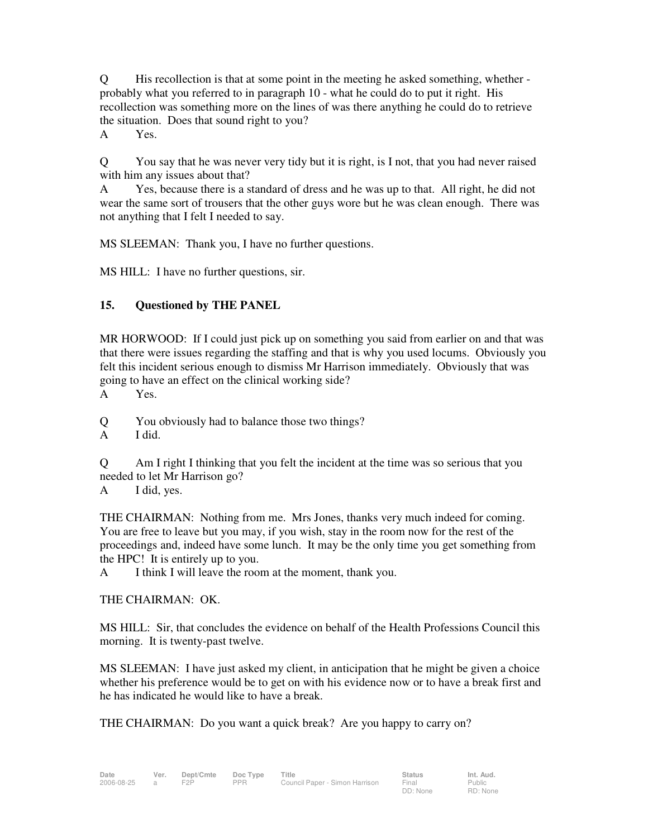Q His recollection is that at some point in the meeting he asked something, whether probably what you referred to in paragraph 10 - what he could do to put it right. His recollection was something more on the lines of was there anything he could do to retrieve the situation. Does that sound right to you?

A Yes.

Q You say that he was never very tidy but it is right, is I not, that you had never raised with him any issues about that?

A Yes, because there is a standard of dress and he was up to that. All right, he did not wear the same sort of trousers that the other guys wore but he was clean enough. There was not anything that I felt I needed to say.

MS SLEEMAN: Thank you, I have no further questions.

MS HILL: I have no further questions, sir.

## **15. Questioned by THE PANEL**

MR HORWOOD: If I could just pick up on something you said from earlier on and that was that there were issues regarding the staffing and that is why you used locums. Obviously you felt this incident serious enough to dismiss Mr Harrison immediately. Obviously that was going to have an effect on the clinical working side?

A Yes.

Q You obviously had to balance those two things?

A I did.

Q Am I right I thinking that you felt the incident at the time was so serious that you needed to let Mr Harrison go?

A I did, yes.

THE CHAIRMAN: Nothing from me. Mrs Jones, thanks very much indeed for coming. You are free to leave but you may, if you wish, stay in the room now for the rest of the proceedings and, indeed have some lunch. It may be the only time you get something from the HPC! It is entirely up to you.

A I think I will leave the room at the moment, thank you.

THE CHAIRMAN: OK.

MS HILL: Sir, that concludes the evidence on behalf of the Health Professions Council this morning. It is twenty-past twelve.

MS SLEEMAN: I have just asked my client, in anticipation that he might be given a choice whether his preference would be to get on with his evidence now or to have a break first and he has indicated he would like to have a break.

THE CHAIRMAN: Do you want a quick break? Are you happy to carry on?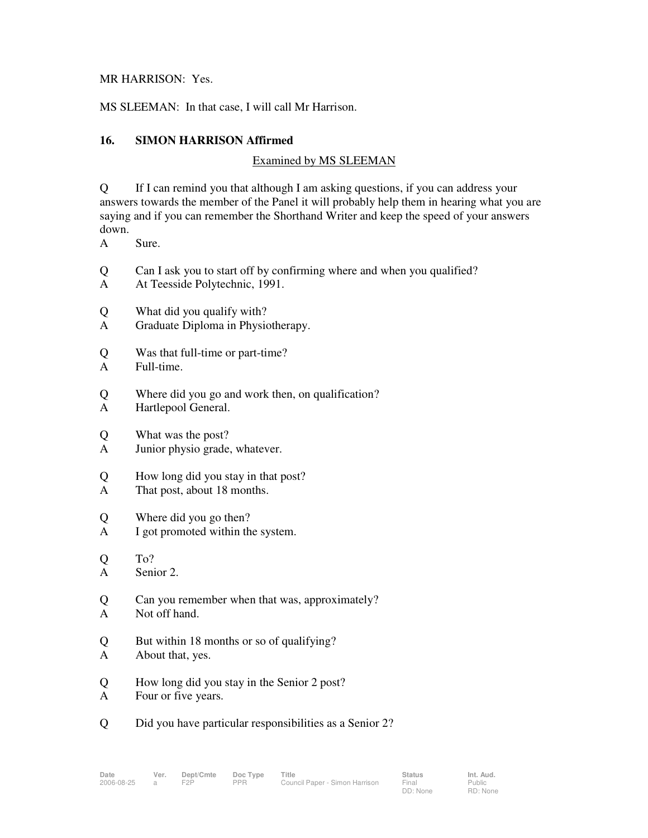#### MR HARRISON: Yes.

MS SLEEMAN: In that case, I will call Mr Harrison.

## **16. SIMON HARRISON Affirmed**

## Examined by MS SLEEMAN

Q If I can remind you that although I am asking questions, if you can address your answers towards the member of the Panel it will probably help them in hearing what you are saying and if you can remember the Shorthand Writer and keep the speed of your answers down.

- A Sure.
- Q Can I ask you to start off by confirming where and when you qualified?
- A At Teesside Polytechnic, 1991.
- Q What did you qualify with?
- A Graduate Diploma in Physiotherapy.
- Q Was that full-time or part-time?
- A Full-time.
- Q Where did you go and work then, on qualification?
- A Hartlepool General.
- Q What was the post?
- A Junior physio grade, whatever.
- Q How long did you stay in that post?
- A That post, about 18 months.
- Q Where did you go then?
- A I got promoted within the system.
- Q To? A Senior 2.
- Q Can you remember when that was, approximately? A Not off hand.
- Q But within 18 months or so of qualifying?
- A About that, yes.
- Q How long did you stay in the Senior 2 post?
- A Four or five years.
- Q Did you have particular responsibilities as a Senior 2?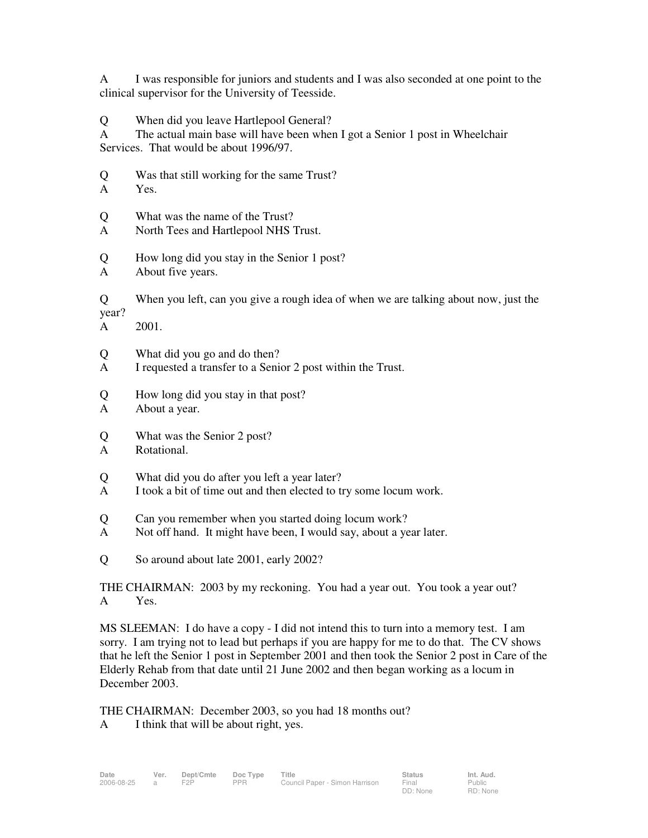A I was responsible for juniors and students and I was also seconded at one point to the clinical supervisor for the University of Teesside.

Q When did you leave Hartlepool General?

A The actual main base will have been when I got a Senior 1 post in Wheelchair Services. That would be about 1996/97.

- Q Was that still working for the same Trust?
- A Yes.

Q What was the name of the Trust?

- A North Tees and Hartlepool NHS Trust.
- Q How long did you stay in the Senior 1 post?
- A About five years.

Q When you left, can you give a rough idea of when we are talking about now, just the year?

A 2001.

- Q What did you go and do then?
- A I requested a transfer to a Senior 2 post within the Trust.
- Q How long did you stay in that post?
- A About a year.
- Q What was the Senior 2 post?
- A Rotational.
- Q What did you do after you left a year later?
- A I took a bit of time out and then elected to try some locum work.
- Q Can you remember when you started doing locum work?
- A Not off hand. It might have been, I would say, about a year later.
- Q So around about late 2001, early 2002?

THE CHAIRMAN: 2003 by my reckoning. You had a year out. You took a year out? A Yes.

MS SLEEMAN: I do have a copy - I did not intend this to turn into a memory test. I am sorry. I am trying not to lead but perhaps if you are happy for me to do that. The CV shows that he left the Senior 1 post in September 2001 and then took the Senior 2 post in Care of the Elderly Rehab from that date until 21 June 2002 and then began working as a locum in December 2003.

THE CHAIRMAN: December 2003, so you had 18 months out?

A I think that will be about right, yes.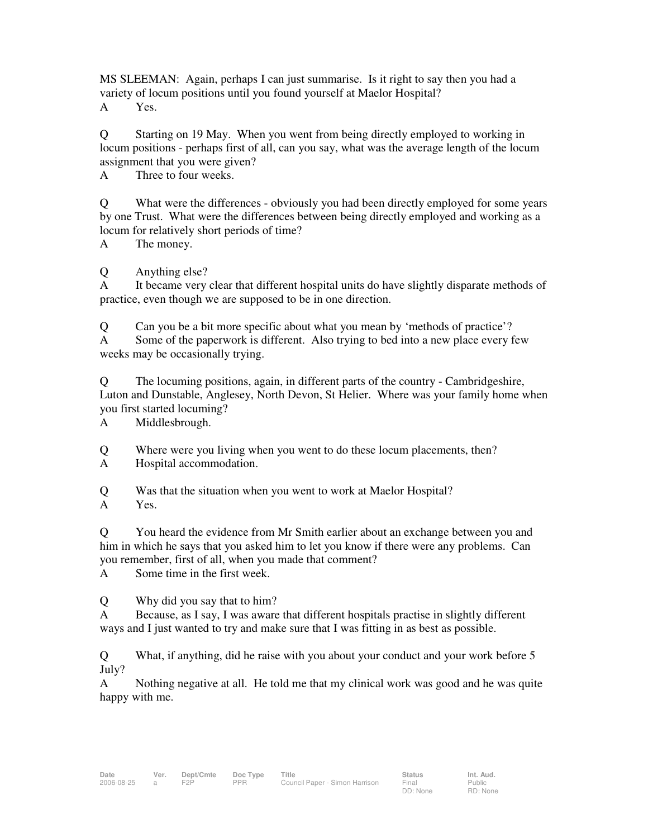MS SLEEMAN: Again, perhaps I can just summarise. Is it right to say then you had a variety of locum positions until you found yourself at Maelor Hospital? A Yes.

Q Starting on 19 May. When you went from being directly employed to working in locum positions - perhaps first of all, can you say, what was the average length of the locum assignment that you were given?

A Three to four weeks.

Q What were the differences - obviously you had been directly employed for some years by one Trust. What were the differences between being directly employed and working as a locum for relatively short periods of time?

A The money.

Q Anything else?

A It became very clear that different hospital units do have slightly disparate methods of practice, even though we are supposed to be in one direction.

Q Can you be a bit more specific about what you mean by 'methods of practice'?

A Some of the paperwork is different. Also trying to bed into a new place every few weeks may be occasionally trying.

Q The locuming positions, again, in different parts of the country - Cambridgeshire, Luton and Dunstable, Anglesey, North Devon, St Helier. Where was your family home when you first started locuming?

A Middlesbrough.

Q Where were you living when you went to do these locum placements, then? A Hospital accommodation.

Q Was that the situation when you went to work at Maelor Hospital?

A Yes.

Q You heard the evidence from Mr Smith earlier about an exchange between you and him in which he says that you asked him to let you know if there were any problems. Can you remember, first of all, when you made that comment?

A Some time in the first week.

Q Why did you say that to him?

A Because, as I say, I was aware that different hospitals practise in slightly different ways and I just wanted to try and make sure that I was fitting in as best as possible.

Q What, if anything, did he raise with you about your conduct and your work before 5 July?

A Nothing negative at all. He told me that my clinical work was good and he was quite happy with me.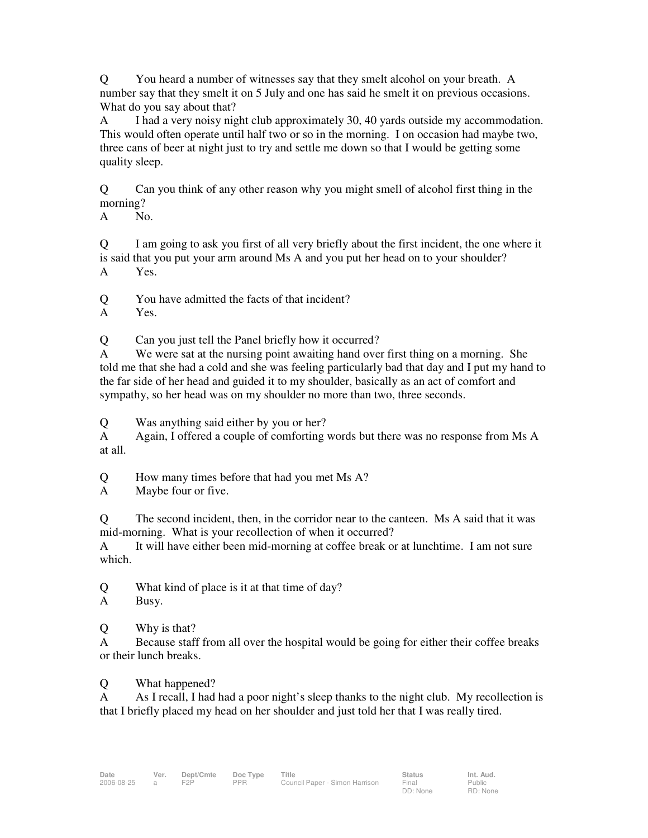Q You heard a number of witnesses say that they smelt alcohol on your breath. A number say that they smelt it on 5 July and one has said he smelt it on previous occasions. What do you say about that?

A I had a very noisy night club approximately 30, 40 yards outside my accommodation. This would often operate until half two or so in the morning. I on occasion had maybe two, three cans of beer at night just to try and settle me down so that I would be getting some quality sleep.

Q Can you think of any other reason why you might smell of alcohol first thing in the morning?

A No.

Q I am going to ask you first of all very briefly about the first incident, the one where it is said that you put your arm around Ms A and you put her head on to your shoulder? A Yes.

Q You have admitted the facts of that incident?

A Yes.

Q Can you just tell the Panel briefly how it occurred?

A We were sat at the nursing point awaiting hand over first thing on a morning. She told me that she had a cold and she was feeling particularly bad that day and I put my hand to the far side of her head and guided it to my shoulder, basically as an act of comfort and sympathy, so her head was on my shoulder no more than two, three seconds.

Q Was anything said either by you or her?

A Again, I offered a couple of comforting words but there was no response from Ms A at all.

Q How many times before that had you met Ms A?

A Maybe four or five.

Q The second incident, then, in the corridor near to the canteen. Ms A said that it was mid-morning. What is your recollection of when it occurred?

A It will have either been mid-morning at coffee break or at lunchtime. I am not sure which.

Q What kind of place is it at that time of day?

A Busy.

Q Why is that?

A Because staff from all over the hospital would be going for either their coffee breaks or their lunch breaks.

Q What happened?

A As I recall, I had had a poor night's sleep thanks to the night club. My recollection is that I briefly placed my head on her shoulder and just told her that I was really tired.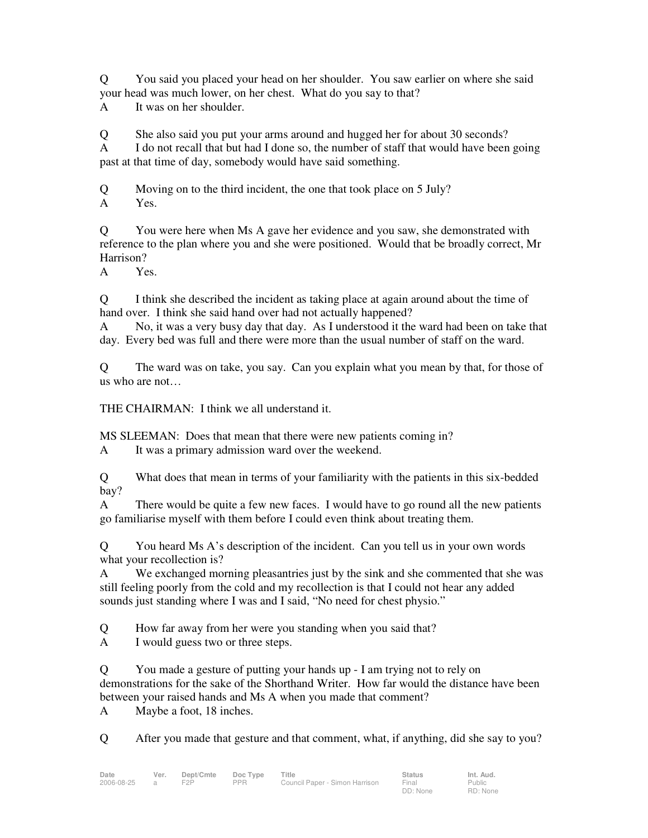Q You said you placed your head on her shoulder. You saw earlier on where she said your head was much lower, on her chest. What do you say to that?

A It was on her shoulder.

Q She also said you put your arms around and hugged her for about 30 seconds?

A I do not recall that but had I done so, the number of staff that would have been going past at that time of day, somebody would have said something.

Q Moving on to the third incident, the one that took place on 5 July? A Yes.

Q You were here when Ms A gave her evidence and you saw, she demonstrated with reference to the plan where you and she were positioned. Would that be broadly correct, Mr Harrison?

A Yes.

Q I think she described the incident as taking place at again around about the time of hand over. I think she said hand over had not actually happened?

A No, it was a very busy day that day. As I understood it the ward had been on take that day. Every bed was full and there were more than the usual number of staff on the ward.

Q The ward was on take, you say. Can you explain what you mean by that, for those of us who are not…

THE CHAIRMAN: I think we all understand it.

MS SLEEMAN: Does that mean that there were new patients coming in?

A It was a primary admission ward over the weekend.

Q What does that mean in terms of your familiarity with the patients in this six-bedded bay?

A There would be quite a few new faces. I would have to go round all the new patients go familiarise myself with them before I could even think about treating them.

Q You heard Ms A's description of the incident. Can you tell us in your own words what your recollection is?

A We exchanged morning pleasantries just by the sink and she commented that she was still feeling poorly from the cold and my recollection is that I could not hear any added sounds just standing where I was and I said, "No need for chest physio."

Q How far away from her were you standing when you said that?

A I would guess two or three steps.

Q You made a gesture of putting your hands up - I am trying not to rely on demonstrations for the sake of the Shorthand Writer. How far would the distance have been between your raised hands and Ms A when you made that comment?

A Maybe a foot, 18 inches.

Q After you made that gesture and that comment, what, if anything, did she say to you?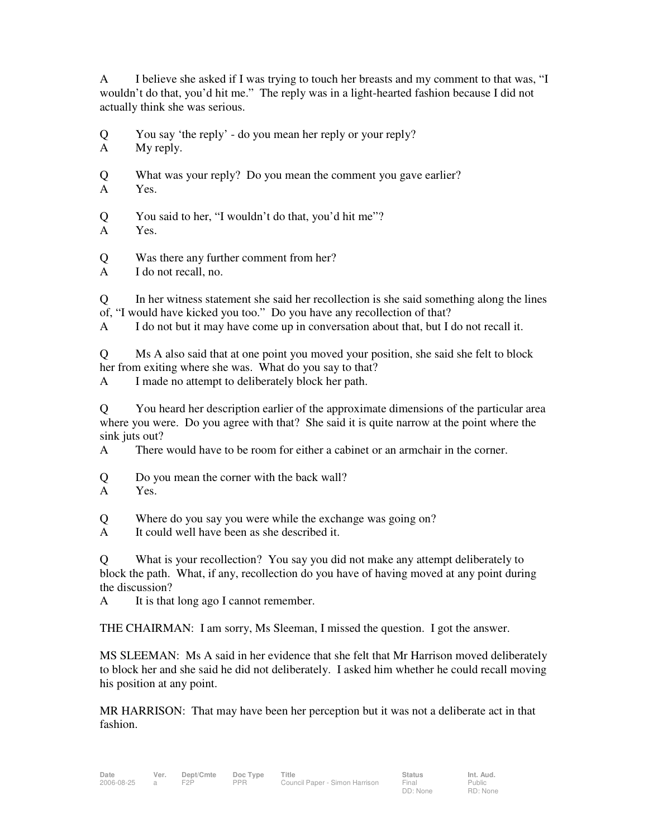A I believe she asked if I was trying to touch her breasts and my comment to that was, "I wouldn't do that, you'd hit me." The reply was in a light-hearted fashion because I did not actually think she was serious.

Q You say 'the reply' - do you mean her reply or your reply?

A My reply.

Q What was your reply? Do you mean the comment you gave earlier?

A Yes.

Q You said to her, "I wouldn't do that, you'd hit me"?

A Yes.

Q Was there any further comment from her?

A I do not recall, no.

Q In her witness statement she said her recollection is she said something along the lines of, "I would have kicked you too." Do you have any recollection of that?

A I do not but it may have come up in conversation about that, but I do not recall it.

Q Ms A also said that at one point you moved your position, she said she felt to block her from exiting where she was. What do you say to that?

A I made no attempt to deliberately block her path.

Q You heard her description earlier of the approximate dimensions of the particular area where you were. Do you agree with that? She said it is quite narrow at the point where the sink juts out?

A There would have to be room for either a cabinet or an armchair in the corner.

Q Do you mean the corner with the back wall?

Q Where do you say you were while the exchange was going on?

A It could well have been as she described it.

Q What is your recollection? You say you did not make any attempt deliberately to block the path. What, if any, recollection do you have of having moved at any point during the discussion?

A It is that long ago I cannot remember.

THE CHAIRMAN: I am sorry, Ms Sleeman, I missed the question. I got the answer.

MS SLEEMAN: Ms A said in her evidence that she felt that Mr Harrison moved deliberately to block her and she said he did not deliberately. I asked him whether he could recall moving his position at any point.

MR HARRISON: That may have been her perception but it was not a deliberate act in that fashion.

A Yes.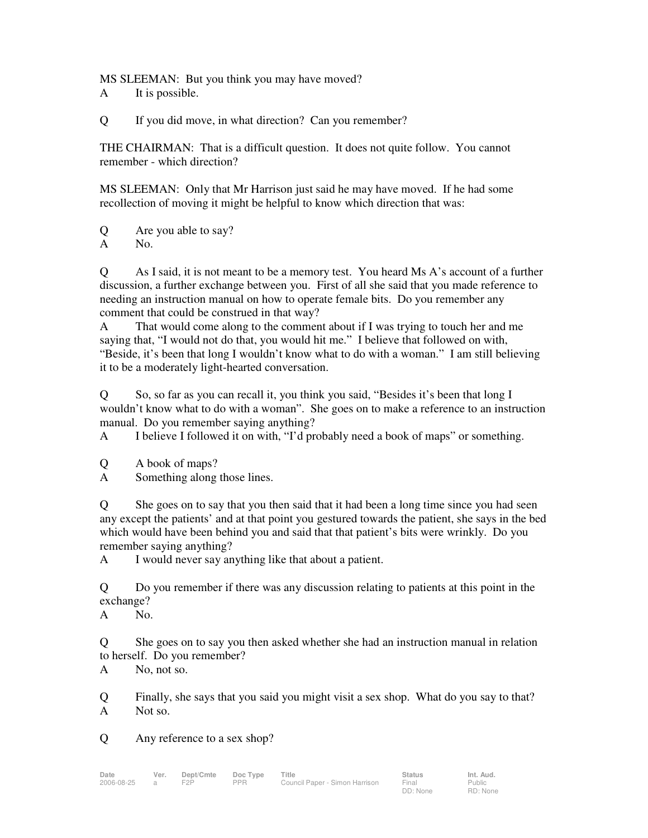MS SLEEMAN: But you think you may have moved?

A It is possible.

Q If you did move, in what direction? Can you remember?

THE CHAIRMAN: That is a difficult question. It does not quite follow. You cannot remember - which direction?

MS SLEEMAN: Only that Mr Harrison just said he may have moved. If he had some recollection of moving it might be helpful to know which direction that was:

Q Are you able to say? A No.

Q As I said, it is not meant to be a memory test. You heard Ms A's account of a further discussion, a further exchange between you. First of all she said that you made reference to needing an instruction manual on how to operate female bits. Do you remember any comment that could be construed in that way?

A That would come along to the comment about if I was trying to touch her and me saying that, "I would not do that, you would hit me." I believe that followed on with, "Beside, it's been that long I wouldn't know what to do with a woman." I am still believing it to be a moderately light-hearted conversation.

Q So, so far as you can recall it, you think you said, "Besides it's been that long I wouldn't know what to do with a woman". She goes on to make a reference to an instruction manual. Do you remember saying anything?

A I believe I followed it on with, "I'd probably need a book of maps" or something.

Q A book of maps?

A Something along those lines.

Q She goes on to say that you then said that it had been a long time since you had seen any except the patients' and at that point you gestured towards the patient, she says in the bed which would have been behind you and said that that patient's bits were wrinkly. Do you remember saying anything?

A I would never say anything like that about a patient.

Q Do you remember if there was any discussion relating to patients at this point in the exchange?

A No.

Q She goes on to say you then asked whether she had an instruction manual in relation to herself. Do you remember?

A No, not so.

Q Finally, she says that you said you might visit a sex shop. What do you say to that? A Not so.

Q Any reference to a sex shop?

DD: None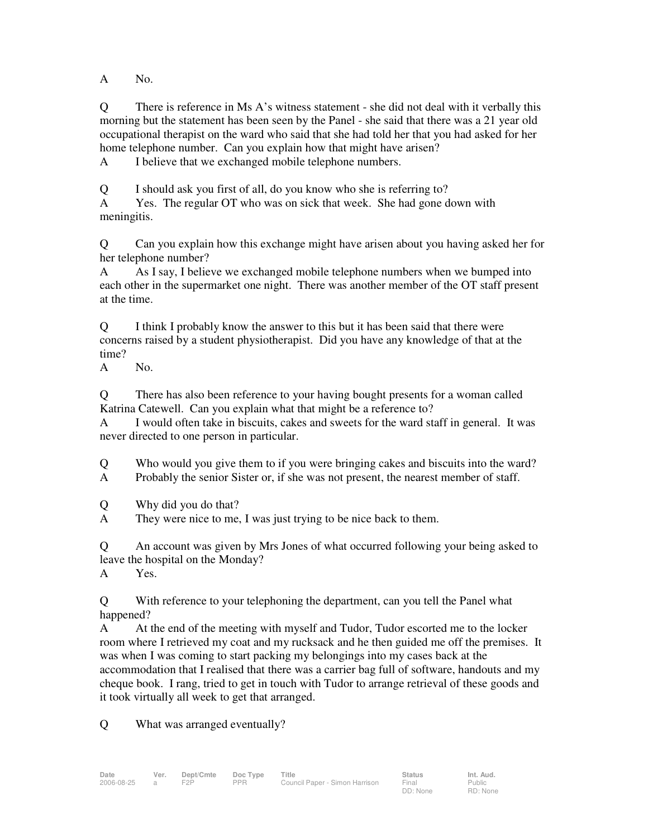A No.

Q There is reference in Ms A's witness statement - she did not deal with it verbally this morning but the statement has been seen by the Panel - she said that there was a 21 year old occupational therapist on the ward who said that she had told her that you had asked for her home telephone number. Can you explain how that might have arisen?

A I believe that we exchanged mobile telephone numbers.

Q I should ask you first of all, do you know who she is referring to?

A Yes. The regular OT who was on sick that week. She had gone down with meningitis.

Q Can you explain how this exchange might have arisen about you having asked her for her telephone number?

A As I say, I believe we exchanged mobile telephone numbers when we bumped into each other in the supermarket one night. There was another member of the OT staff present at the time.

Q I think I probably know the answer to this but it has been said that there were concerns raised by a student physiotherapist. Did you have any knowledge of that at the time?

A No.

Q There has also been reference to your having bought presents for a woman called Katrina Catewell. Can you explain what that might be a reference to?

A I would often take in biscuits, cakes and sweets for the ward staff in general. It was never directed to one person in particular.

Q Who would you give them to if you were bringing cakes and biscuits into the ward?

A Probably the senior Sister or, if she was not present, the nearest member of staff.

Q Why did you do that?

A They were nice to me, I was just trying to be nice back to them.

Q An account was given by Mrs Jones of what occurred following your being asked to leave the hospital on the Monday?

A Yes.

Q With reference to your telephoning the department, can you tell the Panel what happened?

A At the end of the meeting with myself and Tudor, Tudor escorted me to the locker room where I retrieved my coat and my rucksack and he then guided me off the premises. It was when I was coming to start packing my belongings into my cases back at the accommodation that I realised that there was a carrier bag full of software, handouts and my cheque book. I rang, tried to get in touch with Tudor to arrange retrieval of these goods and it took virtually all week to get that arranged.

Q What was arranged eventually?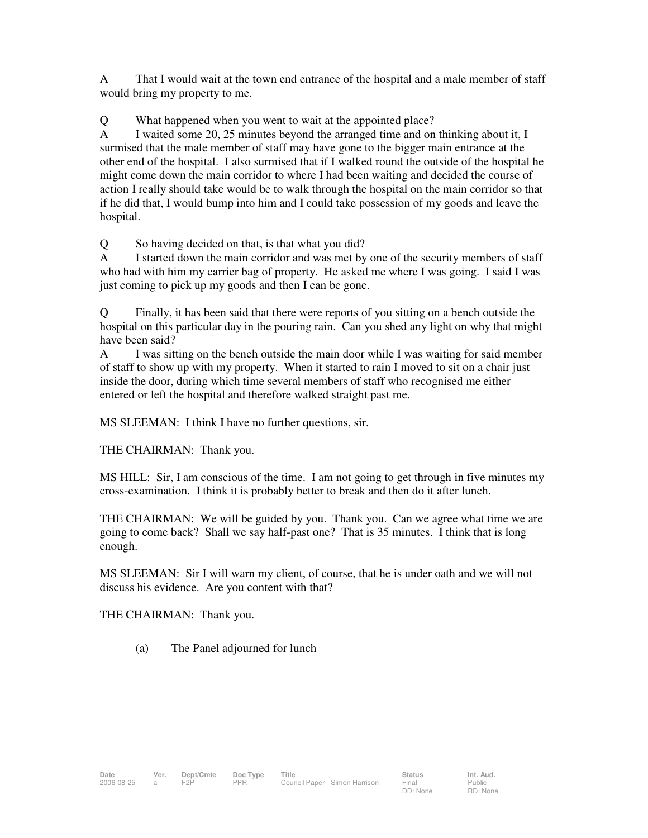A That I would wait at the town end entrance of the hospital and a male member of staff would bring my property to me.

Q What happened when you went to wait at the appointed place?

A I waited some 20, 25 minutes beyond the arranged time and on thinking about it, I surmised that the male member of staff may have gone to the bigger main entrance at the other end of the hospital. I also surmised that if I walked round the outside of the hospital he might come down the main corridor to where I had been waiting and decided the course of action I really should take would be to walk through the hospital on the main corridor so that if he did that, I would bump into him and I could take possession of my goods and leave the hospital.

Q So having decided on that, is that what you did?

A I started down the main corridor and was met by one of the security members of staff who had with him my carrier bag of property. He asked me where I was going. I said I was just coming to pick up my goods and then I can be gone.

Q Finally, it has been said that there were reports of you sitting on a bench outside the hospital on this particular day in the pouring rain. Can you shed any light on why that might have been said?

A I was sitting on the bench outside the main door while I was waiting for said member of staff to show up with my property. When it started to rain I moved to sit on a chair just inside the door, during which time several members of staff who recognised me either entered or left the hospital and therefore walked straight past me.

MS SLEEMAN: I think I have no further questions, sir.

THE CHAIRMAN: Thank you.

MS HILL: Sir, I am conscious of the time. I am not going to get through in five minutes my cross-examination. I think it is probably better to break and then do it after lunch.

THE CHAIRMAN: We will be guided by you. Thank you. Can we agree what time we are going to come back? Shall we say half-past one? That is 35 minutes. I think that is long enough.

MS SLEEMAN: Sir I will warn my client, of course, that he is under oath and we will not discuss his evidence. Are you content with that?

THE CHAIRMAN: Thank you.

(a) The Panel adjourned for lunch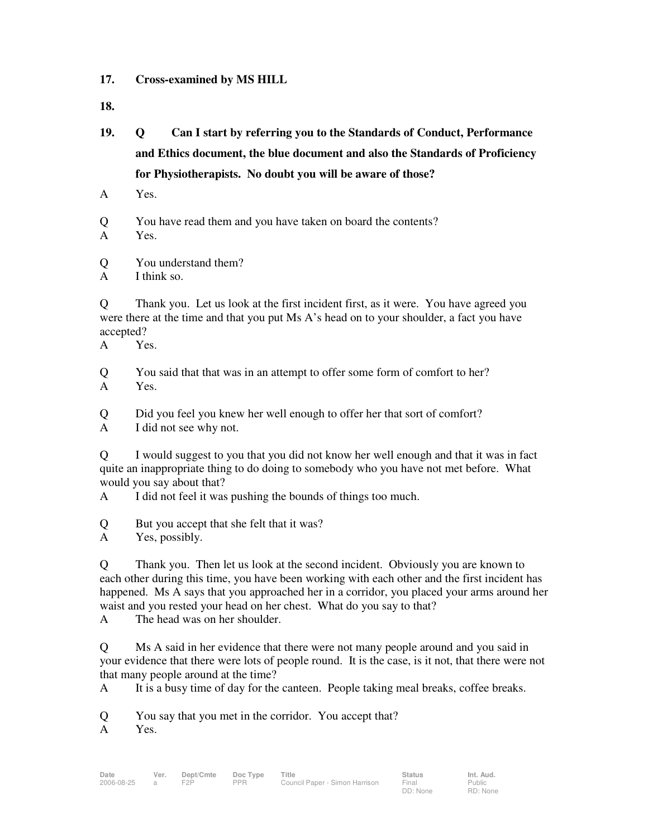- **17. Cross-examined by MS HILL**
- **18.**
- **19. Q Can I start by referring you to the Standards of Conduct, Performance and Ethics document, the blue document and also the Standards of Proficiency for Physiotherapists. No doubt you will be aware of those?**
- A Yes.
- Q You have read them and you have taken on board the contents?
- A Yes.
- Q You understand them?
- A I think so.

Q Thank you. Let us look at the first incident first, as it were. You have agreed you were there at the time and that you put Ms A's head on to your shoulder, a fact you have accepted?

A Yes.

- Q You said that that was in an attempt to offer some form of comfort to her? A Yes.
- Q Did you feel you knew her well enough to offer her that sort of comfort?

A I did not see why not.

Q I would suggest to you that you did not know her well enough and that it was in fact quite an inappropriate thing to do doing to somebody who you have not met before. What would you say about that?

A I did not feel it was pushing the bounds of things too much.

Q But you accept that she felt that it was?

A Yes, possibly.

Q Thank you. Then let us look at the second incident. Obviously you are known to each other during this time, you have been working with each other and the first incident has happened. Ms A says that you approached her in a corridor, you placed your arms around her waist and you rested your head on her chest. What do you say to that?

A The head was on her shoulder.

Q Ms A said in her evidence that there were not many people around and you said in your evidence that there were lots of people round. It is the case, is it not, that there were not that many people around at the time?

> Public RD: None

A It is a busy time of day for the canteen. People taking meal breaks, coffee breaks.

Q You say that you met in the corridor. You accept that?

A Yes.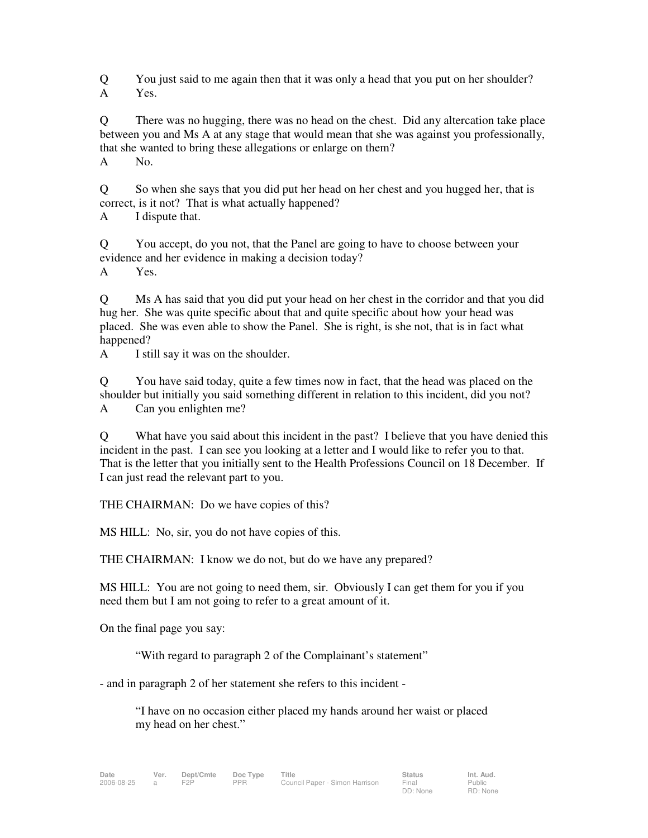Q You just said to me again then that it was only a head that you put on her shoulder? A Yes.

Q There was no hugging, there was no head on the chest. Did any altercation take place between you and Ms A at any stage that would mean that she was against you professionally, that she wanted to bring these allegations or enlarge on them?

A No.

Q So when she says that you did put her head on her chest and you hugged her, that is correct, is it not? That is what actually happened?

A I dispute that.

Q You accept, do you not, that the Panel are going to have to choose between your evidence and her evidence in making a decision today?

A Yes.

Q Ms A has said that you did put your head on her chest in the corridor and that you did hug her. She was quite specific about that and quite specific about how your head was placed. She was even able to show the Panel. She is right, is she not, that is in fact what happened?

A I still say it was on the shoulder.

Q You have said today, quite a few times now in fact, that the head was placed on the shoulder but initially you said something different in relation to this incident, did you not? A Can you enlighten me?

Q What have you said about this incident in the past? I believe that you have denied this incident in the past. I can see you looking at a letter and I would like to refer you to that. That is the letter that you initially sent to the Health Professions Council on 18 December. If I can just read the relevant part to you.

THE CHAIRMAN: Do we have copies of this?

MS HILL: No, sir, you do not have copies of this.

THE CHAIRMAN: I know we do not, but do we have any prepared?

MS HILL: You are not going to need them, sir. Obviously I can get them for you if you need them but I am not going to refer to a great amount of it.

On the final page you say:

"With regard to paragraph 2 of the Complainant's statement"

- and in paragraph 2 of her statement she refers to this incident -

"I have on no occasion either placed my hands around her waist or placed my head on her chest."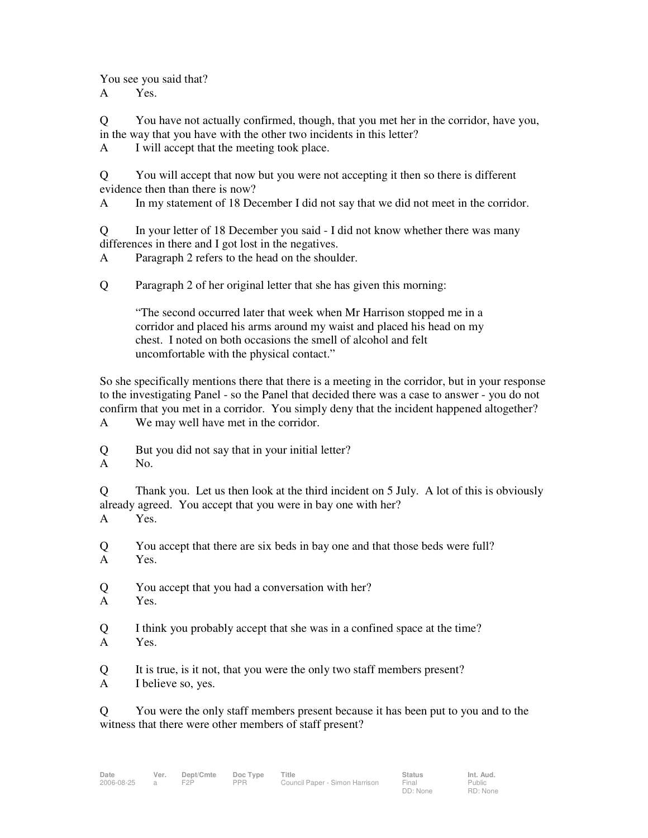You see you said that?

A Yes.

Q You have not actually confirmed, though, that you met her in the corridor, have you, in the way that you have with the other two incidents in this letter?

A I will accept that the meeting took place.

Q You will accept that now but you were not accepting it then so there is different evidence then than there is now?

A In my statement of 18 December I did not say that we did not meet in the corridor.

Q In your letter of 18 December you said - I did not know whether there was many differences in there and I got lost in the negatives.

A Paragraph 2 refers to the head on the shoulder.

Q Paragraph 2 of her original letter that she has given this morning:

"The second occurred later that week when Mr Harrison stopped me in a corridor and placed his arms around my waist and placed his head on my chest. I noted on both occasions the smell of alcohol and felt uncomfortable with the physical contact."

So she specifically mentions there that there is a meeting in the corridor, but in your response to the investigating Panel - so the Panel that decided there was a case to answer - you do not confirm that you met in a corridor. You simply deny that the incident happened altogether? A We may well have met in the corridor.

Q But you did not say that in your initial letter?

A No.

Q Thank you. Let us then look at the third incident on 5 July. A lot of this is obviously already agreed. You accept that you were in bay one with her? A Yes.

Q You accept that there are six beds in bay one and that those beds were full? A Yes.

- Q You accept that you had a conversation with her?
- A Yes.
- Q I think you probably accept that she was in a confined space at the time? A Yes.
- Q It is true, is it not, that you were the only two staff members present?
- A I believe so, yes.

Q You were the only staff members present because it has been put to you and to the witness that there were other members of staff present?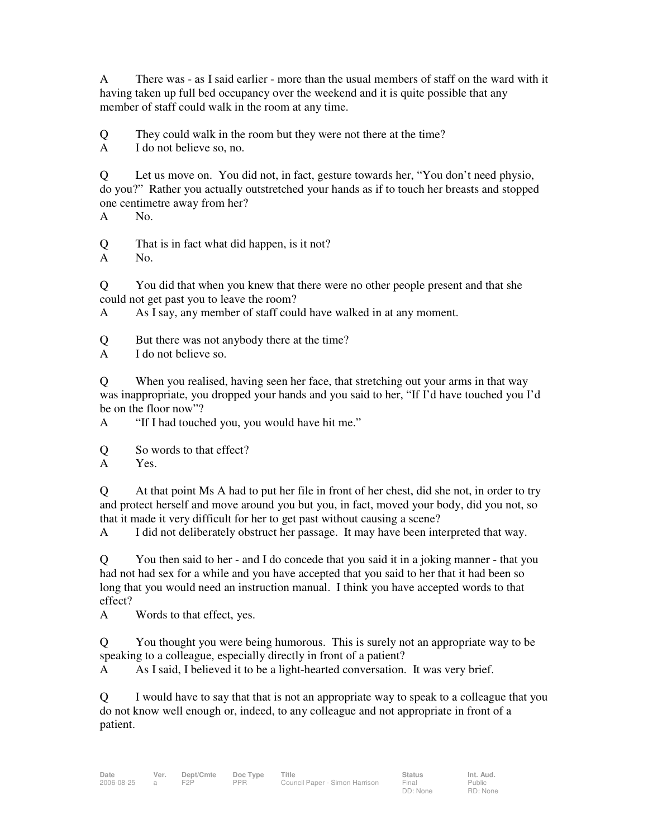A There was - as I said earlier - more than the usual members of staff on the ward with it having taken up full bed occupancy over the weekend and it is quite possible that any member of staff could walk in the room at any time.

Q They could walk in the room but they were not there at the time?

A I do not believe so, no.

Q Let us move on. You did not, in fact, gesture towards her, "You don't need physio, do you?" Rather you actually outstretched your hands as if to touch her breasts and stopped one centimetre away from her?

A No.

Q That is in fact what did happen, is it not?

A No.

Q You did that when you knew that there were no other people present and that she could not get past you to leave the room?

A As I say, any member of staff could have walked in at any moment.

Q But there was not anybody there at the time?

A I do not believe so.

Q When you realised, having seen her face, that stretching out your arms in that way was inappropriate, you dropped your hands and you said to her, "If I'd have touched you I'd be on the floor now"?

A "If I had touched you, you would have hit me."

Q So words to that effect?

A Yes.

Q At that point Ms A had to put her file in front of her chest, did she not, in order to try and protect herself and move around you but you, in fact, moved your body, did you not, so that it made it very difficult for her to get past without causing a scene?

A I did not deliberately obstruct her passage. It may have been interpreted that way.

Q You then said to her - and I do concede that you said it in a joking manner - that you had not had sex for a while and you have accepted that you said to her that it had been so long that you would need an instruction manual. I think you have accepted words to that effect?

A Words to that effect, yes.

Q You thought you were being humorous. This is surely not an appropriate way to be speaking to a colleague, especially directly in front of a patient?

A As I said, I believed it to be a light-hearted conversation. It was very brief.

Q I would have to say that that is not an appropriate way to speak to a colleague that you do not know well enough or, indeed, to any colleague and not appropriate in front of a patient.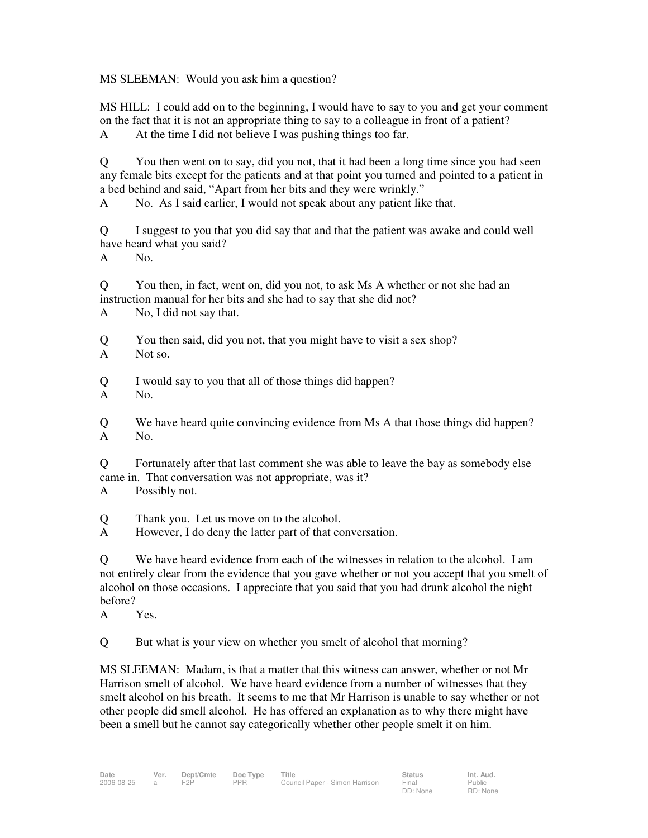MS SLEEMAN: Would you ask him a question?

MS HILL: I could add on to the beginning, I would have to say to you and get your comment on the fact that it is not an appropriate thing to say to a colleague in front of a patient? A At the time I did not believe I was pushing things too far.

Q You then went on to say, did you not, that it had been a long time since you had seen any female bits except for the patients and at that point you turned and pointed to a patient in a bed behind and said, "Apart from her bits and they were wrinkly."

A No. As I said earlier, I would not speak about any patient like that.

Q I suggest to you that you did say that and that the patient was awake and could well have heard what you said?

A No.

Q You then, in fact, went on, did you not, to ask Ms A whether or not she had an instruction manual for her bits and she had to say that she did not?

A No, I did not say that.

- Q You then said, did you not, that you might have to visit a sex shop?
- A Not so.

Q I would say to you that all of those things did happen?

A No.

Q We have heard quite convincing evidence from Ms A that those things did happen? A No.

Q Fortunately after that last comment she was able to leave the bay as somebody else came in. That conversation was not appropriate, was it?

A Possibly not.

Q Thank you. Let us move on to the alcohol.

A However, I do deny the latter part of that conversation.

Q We have heard evidence from each of the witnesses in relation to the alcohol. I am not entirely clear from the evidence that you gave whether or not you accept that you smelt of alcohol on those occasions. I appreciate that you said that you had drunk alcohol the night before?

A Yes.

Q But what is your view on whether you smelt of alcohol that morning?

MS SLEEMAN: Madam, is that a matter that this witness can answer, whether or not Mr Harrison smelt of alcohol. We have heard evidence from a number of witnesses that they smelt alcohol on his breath. It seems to me that Mr Harrison is unable to say whether or not other people did smell alcohol. He has offered an explanation as to why there might have been a smell but he cannot say categorically whether other people smelt it on him.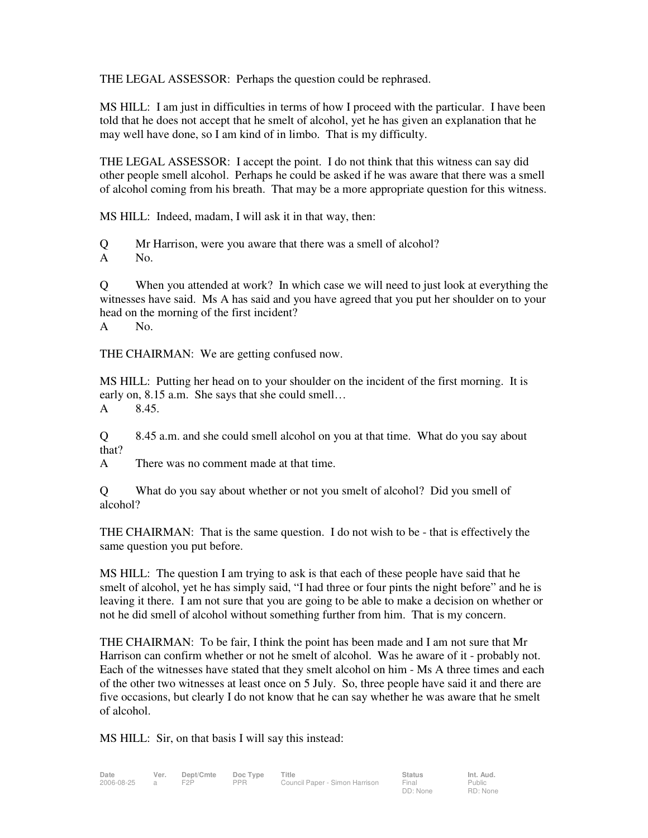THE LEGAL ASSESSOR: Perhaps the question could be rephrased.

MS HILL: I am just in difficulties in terms of how I proceed with the particular. I have been told that he does not accept that he smelt of alcohol, yet he has given an explanation that he may well have done, so I am kind of in limbo. That is my difficulty.

THE LEGAL ASSESSOR: I accept the point. I do not think that this witness can say did other people smell alcohol. Perhaps he could be asked if he was aware that there was a smell of alcohol coming from his breath. That may be a more appropriate question for this witness.

MS HILL: Indeed, madam, I will ask it in that way, then:

Q Mr Harrison, were you aware that there was a smell of alcohol?

A No.

Q When you attended at work? In which case we will need to just look at everything the witnesses have said. Ms A has said and you have agreed that you put her shoulder on to your head on the morning of the first incident? A No.

THE CHAIRMAN: We are getting confused now.

MS HILL: Putting her head on to your shoulder on the incident of the first morning. It is early on, 8.15 a.m. She says that she could smell… A 8.45.

Q 8.45 a.m. and she could smell alcohol on you at that time. What do you say about that?

A There was no comment made at that time.

Q What do you say about whether or not you smelt of alcohol? Did you smell of alcohol?

THE CHAIRMAN: That is the same question. I do not wish to be - that is effectively the same question you put before.

MS HILL: The question I am trying to ask is that each of these people have said that he smelt of alcohol, yet he has simply said, "I had three or four pints the night before" and he is leaving it there. I am not sure that you are going to be able to make a decision on whether or not he did smell of alcohol without something further from him. That is my concern.

THE CHAIRMAN: To be fair, I think the point has been made and I am not sure that Mr Harrison can confirm whether or not he smelt of alcohol. Was he aware of it - probably not. Each of the witnesses have stated that they smelt alcohol on him - Ms A three times and each of the other two witnesses at least once on 5 July. So, three people have said it and there are five occasions, but clearly I do not know that he can say whether he was aware that he smelt of alcohol.

MS HILL: Sir, on that basis I will say this instead: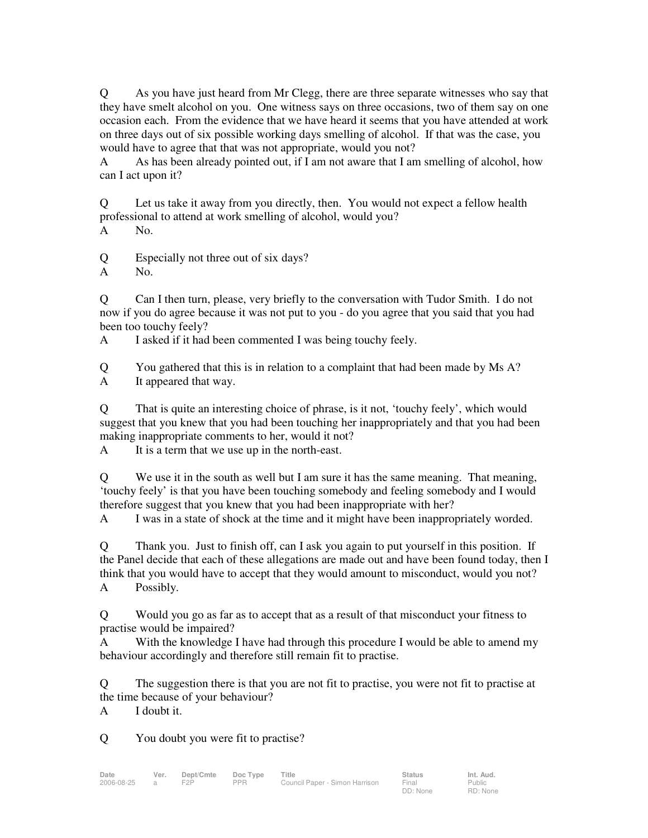Q As you have just heard from Mr Clegg, there are three separate witnesses who say that they have smelt alcohol on you. One witness says on three occasions, two of them say on one occasion each. From the evidence that we have heard it seems that you have attended at work on three days out of six possible working days smelling of alcohol. If that was the case, you would have to agree that that was not appropriate, would you not?

A As has been already pointed out, if I am not aware that I am smelling of alcohol, how can I act upon it?

Q Let us take it away from you directly, then. You would not expect a fellow health professional to attend at work smelling of alcohol, would you?

A No.

Q Especially not three out of six days?

A No.

Q Can I then turn, please, very briefly to the conversation with Tudor Smith. I do not now if you do agree because it was not put to you - do you agree that you said that you had been too touchy feely?

A I asked if it had been commented I was being touchy feely.

Q You gathered that this is in relation to a complaint that had been made by Ms A? A It appeared that way.

Q That is quite an interesting choice of phrase, is it not, 'touchy feely', which would suggest that you knew that you had been touching her inappropriately and that you had been making inappropriate comments to her, would it not?

A It is a term that we use up in the north-east.

Q We use it in the south as well but I am sure it has the same meaning. That meaning, 'touchy feely' is that you have been touching somebody and feeling somebody and I would therefore suggest that you knew that you had been inappropriate with her?

A I was in a state of shock at the time and it might have been inappropriately worded.

Q Thank you. Just to finish off, can I ask you again to put yourself in this position. If the Panel decide that each of these allegations are made out and have been found today, then I think that you would have to accept that they would amount to misconduct, would you not? A Possibly.

Q Would you go as far as to accept that as a result of that misconduct your fitness to practise would be impaired?

A With the knowledge I have had through this procedure I would be able to amend my behaviour accordingly and therefore still remain fit to practise.

Q The suggestion there is that you are not fit to practise, you were not fit to practise at the time because of your behaviour?

A I doubt it.

Q You doubt you were fit to practise?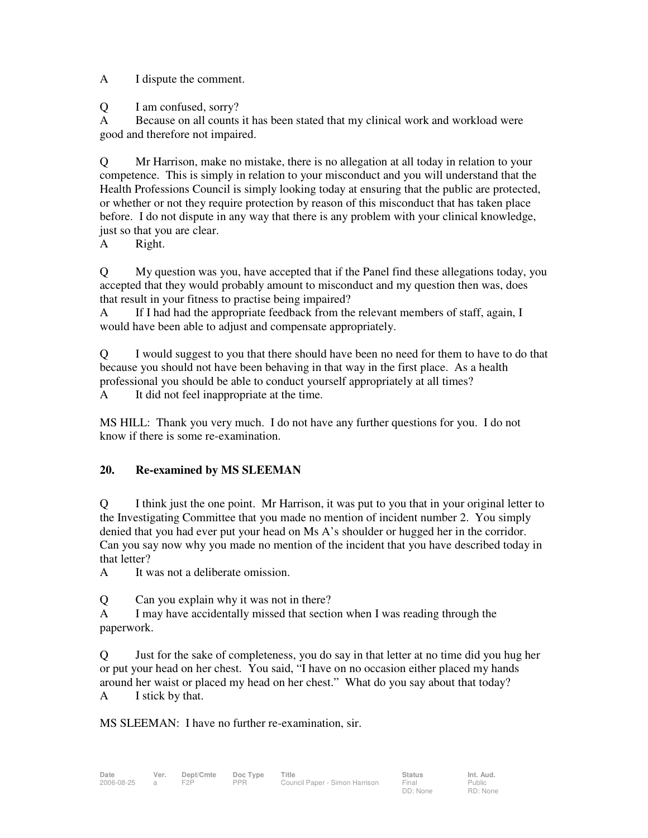A I dispute the comment.

Q I am confused, sorry?

A Because on all counts it has been stated that my clinical work and workload were good and therefore not impaired.

Q Mr Harrison, make no mistake, there is no allegation at all today in relation to your competence. This is simply in relation to your misconduct and you will understand that the Health Professions Council is simply looking today at ensuring that the public are protected, or whether or not they require protection by reason of this misconduct that has taken place before. I do not dispute in any way that there is any problem with your clinical knowledge, just so that you are clear.

A Right.

Q My question was you, have accepted that if the Panel find these allegations today, you accepted that they would probably amount to misconduct and my question then was, does that result in your fitness to practise being impaired?

A If I had had the appropriate feedback from the relevant members of staff, again, I would have been able to adjust and compensate appropriately.

Q I would suggest to you that there should have been no need for them to have to do that because you should not have been behaving in that way in the first place. As a health professional you should be able to conduct yourself appropriately at all times?

A It did not feel inappropriate at the time.

MS HILL: Thank you very much. I do not have any further questions for you. I do not know if there is some re-examination.

# **20. Re-examined by MS SLEEMAN**

Q I think just the one point. Mr Harrison, it was put to you that in your original letter to the Investigating Committee that you made no mention of incident number 2. You simply denied that you had ever put your head on Ms A's shoulder or hugged her in the corridor. Can you say now why you made no mention of the incident that you have described today in that letter?

A It was not a deliberate omission.

Q Can you explain why it was not in there?

A I may have accidentally missed that section when I was reading through the paperwork.

Q Just for the sake of completeness, you do say in that letter at no time did you hug her or put your head on her chest. You said, "I have on no occasion either placed my hands around her waist or placed my head on her chest." What do you say about that today? A I stick by that.

MS SLEEMAN: I have no further re-examination, sir.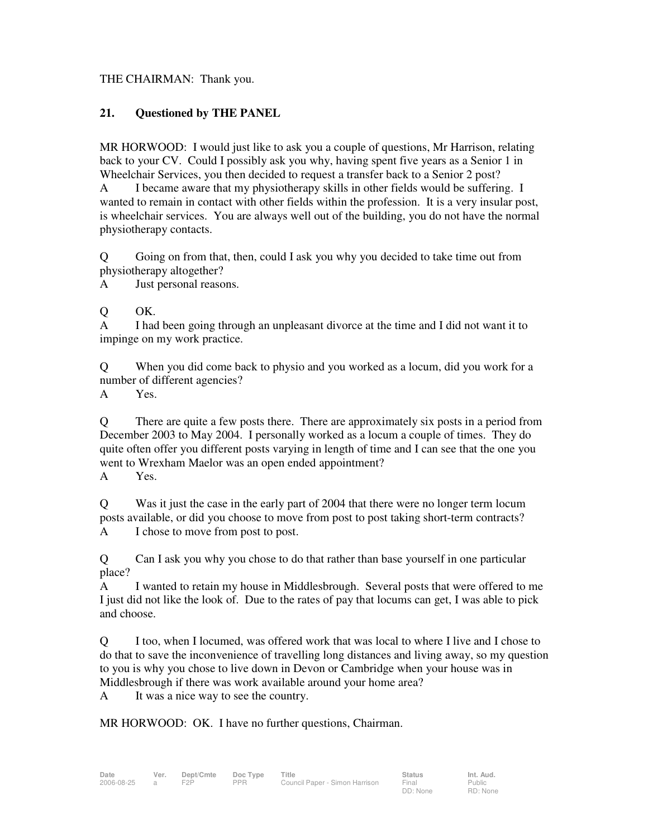### THE CHAIRMAN: Thank you.

## **21. Questioned by THE PANEL**

MR HORWOOD: I would just like to ask you a couple of questions, Mr Harrison, relating back to your CV. Could I possibly ask you why, having spent five years as a Senior 1 in Wheelchair Services, you then decided to request a transfer back to a Senior 2 post?

A I became aware that my physiotherapy skills in other fields would be suffering. I wanted to remain in contact with other fields within the profession. It is a very insular post, is wheelchair services. You are always well out of the building, you do not have the normal physiotherapy contacts.

Q Going on from that, then, could I ask you why you decided to take time out from physiotherapy altogether?

A Just personal reasons.

Q OK.

A I had been going through an unpleasant divorce at the time and I did not want it to impinge on my work practice.

Q When you did come back to physio and you worked as a locum, did you work for a number of different agencies?

A Yes.

Q There are quite a few posts there. There are approximately six posts in a period from December 2003 to May 2004. I personally worked as a locum a couple of times. They do quite often offer you different posts varying in length of time and I can see that the one you went to Wrexham Maelor was an open ended appointment?

A Yes.

Q Was it just the case in the early part of 2004 that there were no longer term locum posts available, or did you choose to move from post to post taking short-term contracts? A I chose to move from post to post.

Q Can I ask you why you chose to do that rather than base yourself in one particular place?

A I wanted to retain my house in Middlesbrough. Several posts that were offered to me I just did not like the look of. Due to the rates of pay that locums can get, I was able to pick and choose.

Q I too, when I locumed, was offered work that was local to where I live and I chose to do that to save the inconvenience of travelling long distances and living away, so my question to you is why you chose to live down in Devon or Cambridge when your house was in Middlesbrough if there was work available around your home area?

A It was a nice way to see the country.

MR HORWOOD: OK. I have no further questions, Chairman.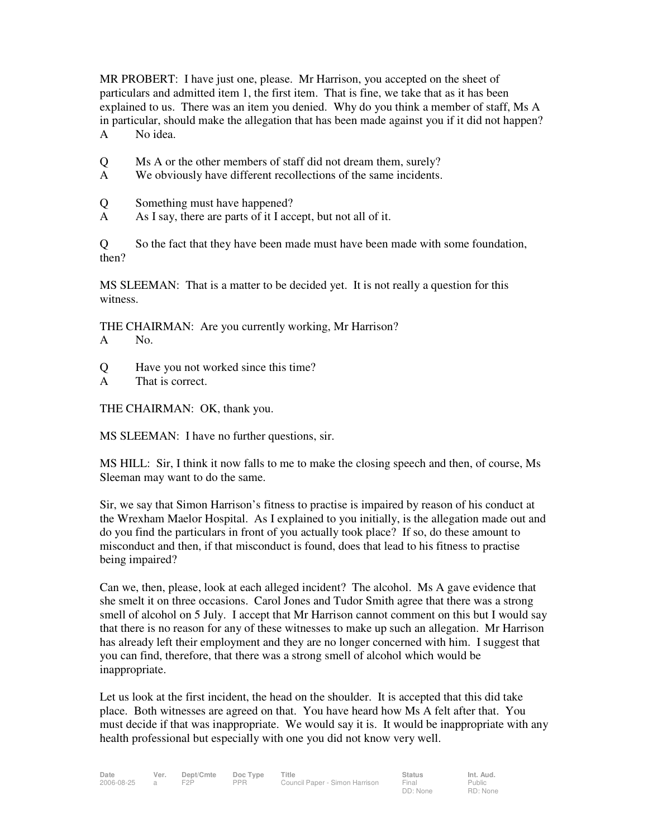MR PROBERT: I have just one, please. Mr Harrison, you accepted on the sheet of particulars and admitted item 1, the first item. That is fine, we take that as it has been explained to us. There was an item you denied. Why do you think a member of staff, Ms A in particular, should make the allegation that has been made against you if it did not happen? A No idea.

- Q Ms A or the other members of staff did not dream them, surely?
- A We obviously have different recollections of the same incidents.
- Q Something must have happened?
- A As I say, there are parts of it I accept, but not all of it.

Q So the fact that they have been made must have been made with some foundation, then?

MS SLEEMAN: That is a matter to be decided yet. It is not really a question for this witness.

THE CHAIRMAN: Are you currently working, Mr Harrison?

- A No.
- Q Have you not worked since this time?
- A That is correct.

THE CHAIRMAN: OK, thank you.

MS SLEEMAN: I have no further questions, sir.

MS HILL: Sir, I think it now falls to me to make the closing speech and then, of course, Ms Sleeman may want to do the same.

Sir, we say that Simon Harrison's fitness to practise is impaired by reason of his conduct at the Wrexham Maelor Hospital. As I explained to you initially, is the allegation made out and do you find the particulars in front of you actually took place? If so, do these amount to misconduct and then, if that misconduct is found, does that lead to his fitness to practise being impaired?

Can we, then, please, look at each alleged incident? The alcohol. Ms A gave evidence that she smelt it on three occasions. Carol Jones and Tudor Smith agree that there was a strong smell of alcohol on 5 July. I accept that Mr Harrison cannot comment on this but I would say that there is no reason for any of these witnesses to make up such an allegation. Mr Harrison has already left their employment and they are no longer concerned with him. I suggest that you can find, therefore, that there was a strong smell of alcohol which would be inappropriate.

Let us look at the first incident, the head on the shoulder. It is accepted that this did take place. Both witnesses are agreed on that. You have heard how Ms A felt after that. You must decide if that was inappropriate. We would say it is. It would be inappropriate with any health professional but especially with one you did not know very well.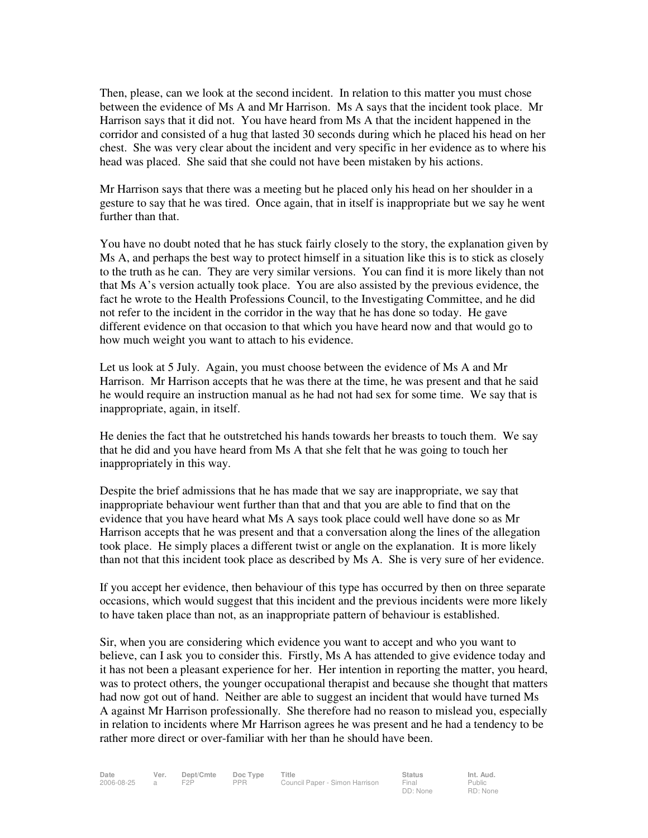Then, please, can we look at the second incident. In relation to this matter you must chose between the evidence of Ms A and Mr Harrison. Ms A says that the incident took place. Mr Harrison says that it did not. You have heard from Ms A that the incident happened in the corridor and consisted of a hug that lasted 30 seconds during which he placed his head on her chest. She was very clear about the incident and very specific in her evidence as to where his head was placed. She said that she could not have been mistaken by his actions.

Mr Harrison says that there was a meeting but he placed only his head on her shoulder in a gesture to say that he was tired. Once again, that in itself is inappropriate but we say he went further than that.

You have no doubt noted that he has stuck fairly closely to the story, the explanation given by Ms A, and perhaps the best way to protect himself in a situation like this is to stick as closely to the truth as he can. They are very similar versions. You can find it is more likely than not that Ms A's version actually took place. You are also assisted by the previous evidence, the fact he wrote to the Health Professions Council, to the Investigating Committee, and he did not refer to the incident in the corridor in the way that he has done so today. He gave different evidence on that occasion to that which you have heard now and that would go to how much weight you want to attach to his evidence.

Let us look at 5 July. Again, you must choose between the evidence of Ms A and Mr Harrison. Mr Harrison accepts that he was there at the time, he was present and that he said he would require an instruction manual as he had not had sex for some time. We say that is inappropriate, again, in itself.

He denies the fact that he outstretched his hands towards her breasts to touch them. We say that he did and you have heard from Ms A that she felt that he was going to touch her inappropriately in this way.

Despite the brief admissions that he has made that we say are inappropriate, we say that inappropriate behaviour went further than that and that you are able to find that on the evidence that you have heard what Ms A says took place could well have done so as Mr Harrison accepts that he was present and that a conversation along the lines of the allegation took place. He simply places a different twist or angle on the explanation. It is more likely than not that this incident took place as described by Ms A. She is very sure of her evidence.

If you accept her evidence, then behaviour of this type has occurred by then on three separate occasions, which would suggest that this incident and the previous incidents were more likely to have taken place than not, as an inappropriate pattern of behaviour is established.

Sir, when you are considering which evidence you want to accept and who you want to believe, can I ask you to consider this. Firstly, Ms A has attended to give evidence today and it has not been a pleasant experience for her. Her intention in reporting the matter, you heard, was to protect others, the younger occupational therapist and because she thought that matters had now got out of hand. Neither are able to suggest an incident that would have turned Ms A against Mr Harrison professionally. She therefore had no reason to mislead you, especially in relation to incidents where Mr Harrison agrees he was present and he had a tendency to be rather more direct or over-familiar with her than he should have been.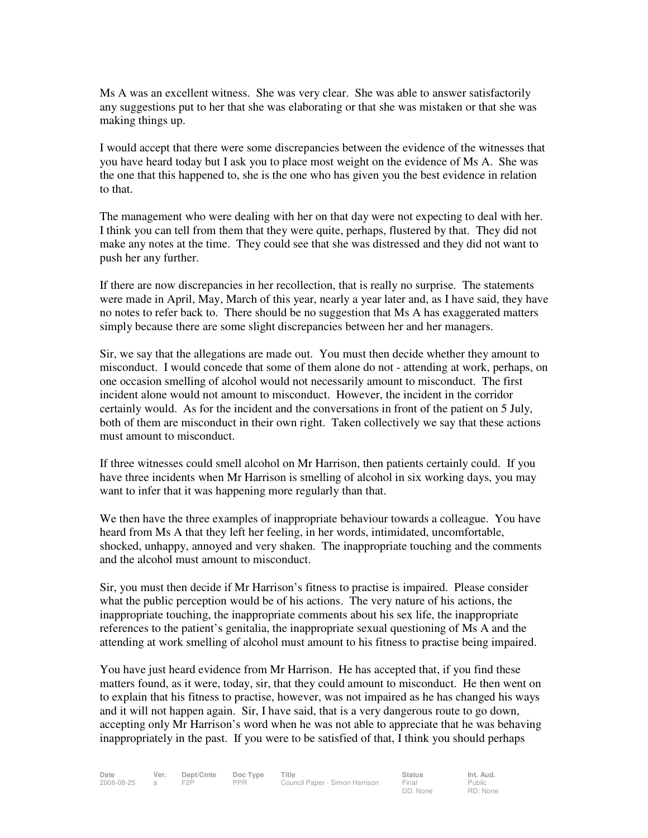Ms A was an excellent witness. She was very clear. She was able to answer satisfactorily any suggestions put to her that she was elaborating or that she was mistaken or that she was making things up.

I would accept that there were some discrepancies between the evidence of the witnesses that you have heard today but I ask you to place most weight on the evidence of Ms A. She was the one that this happened to, she is the one who has given you the best evidence in relation to that.

The management who were dealing with her on that day were not expecting to deal with her. I think you can tell from them that they were quite, perhaps, flustered by that. They did not make any notes at the time. They could see that she was distressed and they did not want to push her any further.

If there are now discrepancies in her recollection, that is really no surprise. The statements were made in April, May, March of this year, nearly a year later and, as I have said, they have no notes to refer back to. There should be no suggestion that Ms A has exaggerated matters simply because there are some slight discrepancies between her and her managers.

Sir, we say that the allegations are made out. You must then decide whether they amount to misconduct. I would concede that some of them alone do not - attending at work, perhaps, on one occasion smelling of alcohol would not necessarily amount to misconduct. The first incident alone would not amount to misconduct. However, the incident in the corridor certainly would. As for the incident and the conversations in front of the patient on 5 July, both of them are misconduct in their own right. Taken collectively we say that these actions must amount to misconduct.

If three witnesses could smell alcohol on Mr Harrison, then patients certainly could. If you have three incidents when Mr Harrison is smelling of alcohol in six working days, you may want to infer that it was happening more regularly than that.

We then have the three examples of inappropriate behaviour towards a colleague. You have heard from Ms A that they left her feeling, in her words, intimidated, uncomfortable, shocked, unhappy, annoyed and very shaken. The inappropriate touching and the comments and the alcohol must amount to misconduct.

Sir, you must then decide if Mr Harrison's fitness to practise is impaired. Please consider what the public perception would be of his actions. The very nature of his actions, the inappropriate touching, the inappropriate comments about his sex life, the inappropriate references to the patient's genitalia, the inappropriate sexual questioning of Ms A and the attending at work smelling of alcohol must amount to his fitness to practise being impaired.

You have just heard evidence from Mr Harrison. He has accepted that, if you find these matters found, as it were, today, sir, that they could amount to misconduct. He then went on to explain that his fitness to practise, however, was not impaired as he has changed his ways and it will not happen again. Sir, I have said, that is a very dangerous route to go down, accepting only Mr Harrison's word when he was not able to appreciate that he was behaving inappropriately in the past. If you were to be satisfied of that, I think you should perhaps

Public RD: None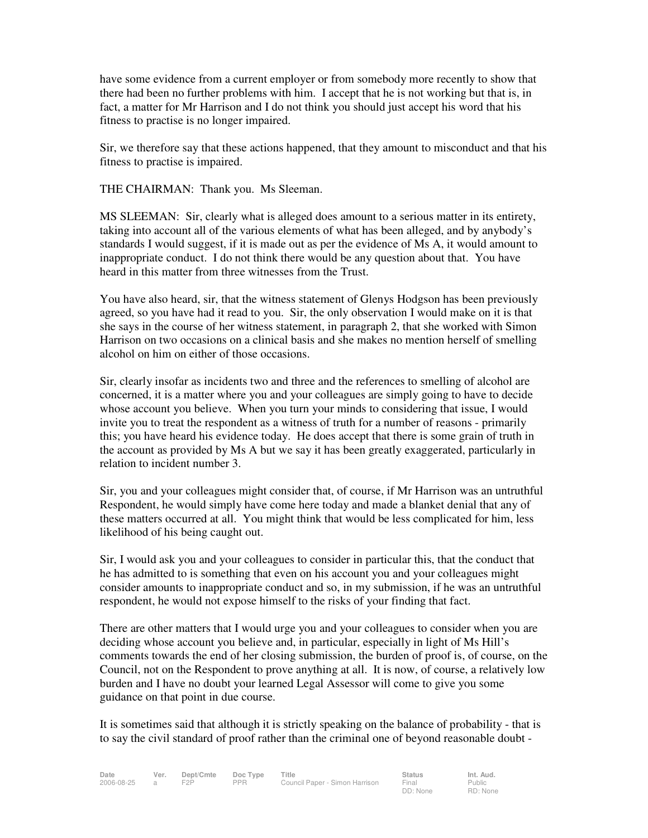have some evidence from a current employer or from somebody more recently to show that there had been no further problems with him. I accept that he is not working but that is, in fact, a matter for Mr Harrison and I do not think you should just accept his word that his fitness to practise is no longer impaired.

Sir, we therefore say that these actions happened, that they amount to misconduct and that his fitness to practise is impaired.

THE CHAIRMAN: Thank you. Ms Sleeman.

MS SLEEMAN: Sir, clearly what is alleged does amount to a serious matter in its entirety, taking into account all of the various elements of what has been alleged, and by anybody's standards I would suggest, if it is made out as per the evidence of Ms A, it would amount to inappropriate conduct. I do not think there would be any question about that. You have heard in this matter from three witnesses from the Trust.

You have also heard, sir, that the witness statement of Glenys Hodgson has been previously agreed, so you have had it read to you. Sir, the only observation I would make on it is that she says in the course of her witness statement, in paragraph 2, that she worked with Simon Harrison on two occasions on a clinical basis and she makes no mention herself of smelling alcohol on him on either of those occasions.

Sir, clearly insofar as incidents two and three and the references to smelling of alcohol are concerned, it is a matter where you and your colleagues are simply going to have to decide whose account you believe. When you turn your minds to considering that issue, I would invite you to treat the respondent as a witness of truth for a number of reasons - primarily this; you have heard his evidence today. He does accept that there is some grain of truth in the account as provided by Ms A but we say it has been greatly exaggerated, particularly in relation to incident number 3.

Sir, you and your colleagues might consider that, of course, if Mr Harrison was an untruthful Respondent, he would simply have come here today and made a blanket denial that any of these matters occurred at all. You might think that would be less complicated for him, less likelihood of his being caught out.

Sir, I would ask you and your colleagues to consider in particular this, that the conduct that he has admitted to is something that even on his account you and your colleagues might consider amounts to inappropriate conduct and so, in my submission, if he was an untruthful respondent, he would not expose himself to the risks of your finding that fact.

There are other matters that I would urge you and your colleagues to consider when you are deciding whose account you believe and, in particular, especially in light of Ms Hill's comments towards the end of her closing submission, the burden of proof is, of course, on the Council, not on the Respondent to prove anything at all. It is now, of course, a relatively low burden and I have no doubt your learned Legal Assessor will come to give you some guidance on that point in due course.

It is sometimes said that although it is strictly speaking on the balance of probability - that is to say the civil standard of proof rather than the criminal one of beyond reasonable doubt -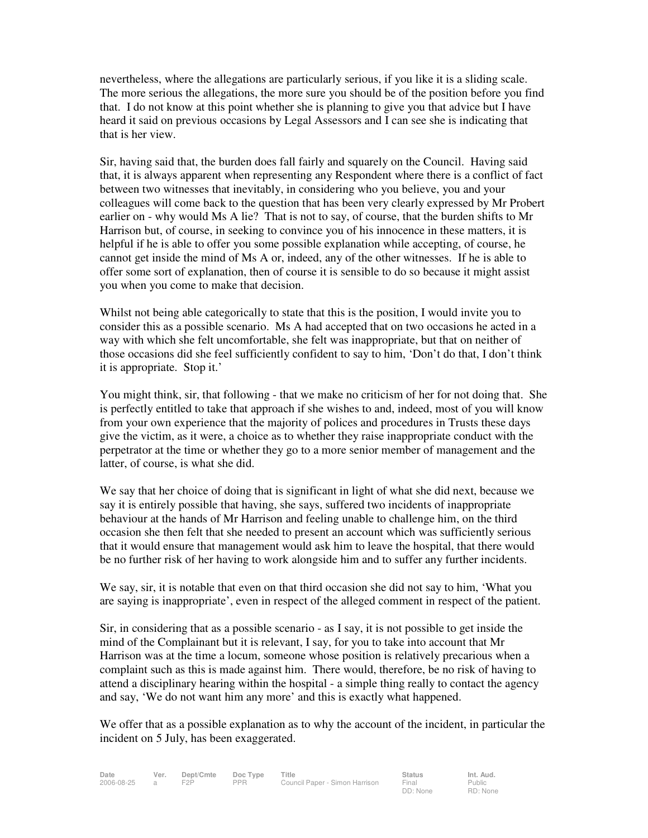nevertheless, where the allegations are particularly serious, if you like it is a sliding scale. The more serious the allegations, the more sure you should be of the position before you find that. I do not know at this point whether she is planning to give you that advice but I have heard it said on previous occasions by Legal Assessors and I can see she is indicating that that is her view.

Sir, having said that, the burden does fall fairly and squarely on the Council. Having said that, it is always apparent when representing any Respondent where there is a conflict of fact between two witnesses that inevitably, in considering who you believe, you and your colleagues will come back to the question that has been very clearly expressed by Mr Probert earlier on - why would Ms A lie? That is not to say, of course, that the burden shifts to Mr Harrison but, of course, in seeking to convince you of his innocence in these matters, it is helpful if he is able to offer you some possible explanation while accepting, of course, he cannot get inside the mind of Ms A or, indeed, any of the other witnesses. If he is able to offer some sort of explanation, then of course it is sensible to do so because it might assist you when you come to make that decision.

Whilst not being able categorically to state that this is the position, I would invite you to consider this as a possible scenario. Ms A had accepted that on two occasions he acted in a way with which she felt uncomfortable, she felt was inappropriate, but that on neither of those occasions did she feel sufficiently confident to say to him, 'Don't do that, I don't think it is appropriate. Stop it.'

You might think, sir, that following - that we make no criticism of her for not doing that. She is perfectly entitled to take that approach if she wishes to and, indeed, most of you will know from your own experience that the majority of polices and procedures in Trusts these days give the victim, as it were, a choice as to whether they raise inappropriate conduct with the perpetrator at the time or whether they go to a more senior member of management and the latter, of course, is what she did.

We say that her choice of doing that is significant in light of what she did next, because we say it is entirely possible that having, she says, suffered two incidents of inappropriate behaviour at the hands of Mr Harrison and feeling unable to challenge him, on the third occasion she then felt that she needed to present an account which was sufficiently serious that it would ensure that management would ask him to leave the hospital, that there would be no further risk of her having to work alongside him and to suffer any further incidents.

We say, sir, it is notable that even on that third occasion she did not say to him, 'What you are saying is inappropriate', even in respect of the alleged comment in respect of the patient.

Sir, in considering that as a possible scenario - as I say, it is not possible to get inside the mind of the Complainant but it is relevant, I say, for you to take into account that Mr Harrison was at the time a locum, someone whose position is relatively precarious when a complaint such as this is made against him. There would, therefore, be no risk of having to attend a disciplinary hearing within the hospital - a simple thing really to contact the agency and say, 'We do not want him any more' and this is exactly what happened.

We offer that as a possible explanation as to why the account of the incident, in particular the incident on 5 July, has been exaggerated.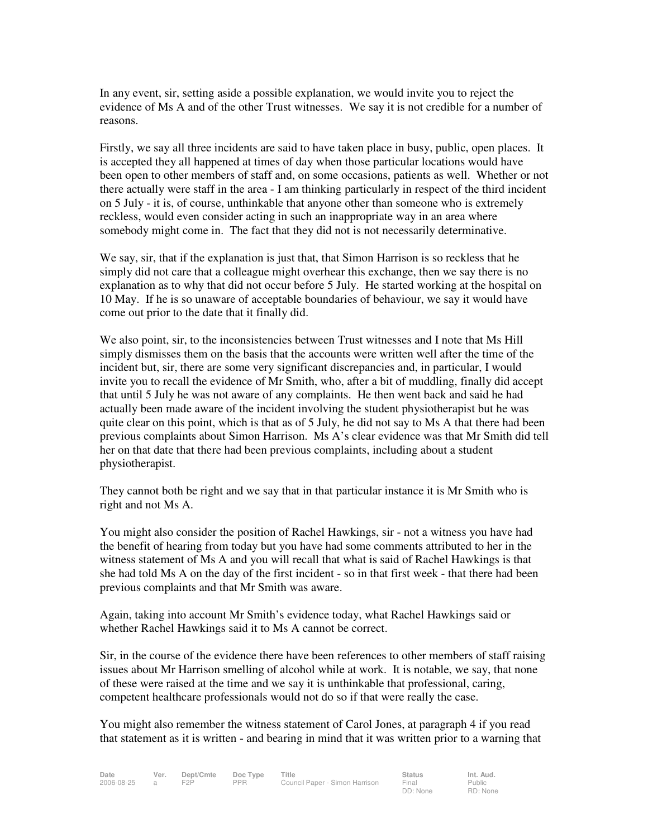In any event, sir, setting aside a possible explanation, we would invite you to reject the evidence of Ms A and of the other Trust witnesses. We say it is not credible for a number of reasons.

Firstly, we say all three incidents are said to have taken place in busy, public, open places. It is accepted they all happened at times of day when those particular locations would have been open to other members of staff and, on some occasions, patients as well. Whether or not there actually were staff in the area - I am thinking particularly in respect of the third incident on 5 July - it is, of course, unthinkable that anyone other than someone who is extremely reckless, would even consider acting in such an inappropriate way in an area where somebody might come in. The fact that they did not is not necessarily determinative.

We say, sir, that if the explanation is just that, that Simon Harrison is so reckless that he simply did not care that a colleague might overhear this exchange, then we say there is no explanation as to why that did not occur before 5 July. He started working at the hospital on 10 May. If he is so unaware of acceptable boundaries of behaviour, we say it would have come out prior to the date that it finally did.

We also point, sir, to the inconsistencies between Trust witnesses and I note that Ms Hill simply dismisses them on the basis that the accounts were written well after the time of the incident but, sir, there are some very significant discrepancies and, in particular, I would invite you to recall the evidence of Mr Smith, who, after a bit of muddling, finally did accept that until 5 July he was not aware of any complaints. He then went back and said he had actually been made aware of the incident involving the student physiotherapist but he was quite clear on this point, which is that as of 5 July, he did not say to Ms A that there had been previous complaints about Simon Harrison. Ms A's clear evidence was that Mr Smith did tell her on that date that there had been previous complaints, including about a student physiotherapist.

They cannot both be right and we say that in that particular instance it is Mr Smith who is right and not Ms A.

You might also consider the position of Rachel Hawkings, sir - not a witness you have had the benefit of hearing from today but you have had some comments attributed to her in the witness statement of Ms A and you will recall that what is said of Rachel Hawkings is that she had told Ms A on the day of the first incident - so in that first week - that there had been previous complaints and that Mr Smith was aware.

Again, taking into account Mr Smith's evidence today, what Rachel Hawkings said or whether Rachel Hawkings said it to Ms A cannot be correct.

Sir, in the course of the evidence there have been references to other members of staff raising issues about Mr Harrison smelling of alcohol while at work. It is notable, we say, that none of these were raised at the time and we say it is unthinkable that professional, caring, competent healthcare professionals would not do so if that were really the case.

You might also remember the witness statement of Carol Jones, at paragraph 4 if you read that statement as it is written - and bearing in mind that it was written prior to a warning that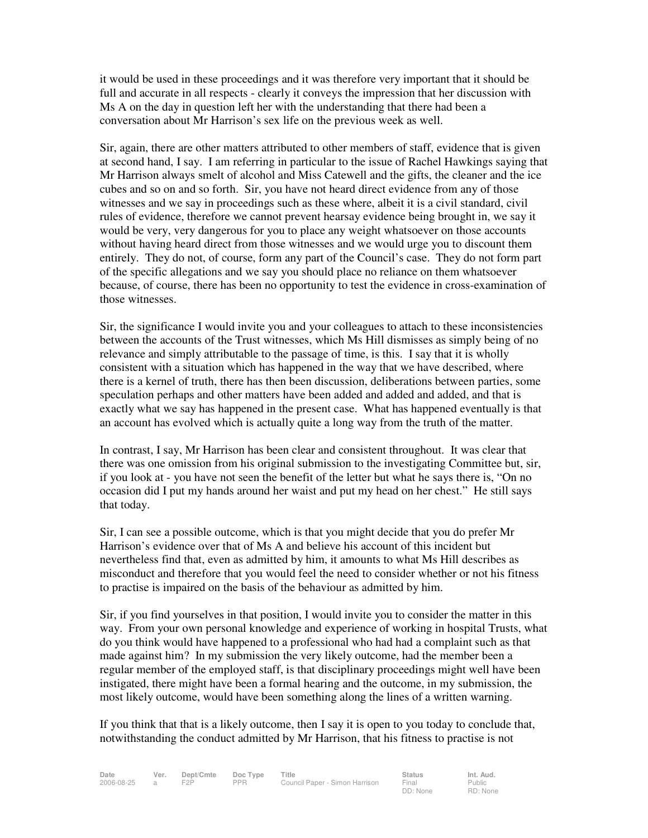it would be used in these proceedings and it was therefore very important that it should be full and accurate in all respects - clearly it conveys the impression that her discussion with Ms A on the day in question left her with the understanding that there had been a conversation about Mr Harrison's sex life on the previous week as well.

Sir, again, there are other matters attributed to other members of staff, evidence that is given at second hand, I say. I am referring in particular to the issue of Rachel Hawkings saying that Mr Harrison always smelt of alcohol and Miss Catewell and the gifts, the cleaner and the ice cubes and so on and so forth. Sir, you have not heard direct evidence from any of those witnesses and we say in proceedings such as these where, albeit it is a civil standard, civil rules of evidence, therefore we cannot prevent hearsay evidence being brought in, we say it would be very, very dangerous for you to place any weight whatsoever on those accounts without having heard direct from those witnesses and we would urge you to discount them entirely. They do not, of course, form any part of the Council's case. They do not form part of the specific allegations and we say you should place no reliance on them whatsoever because, of course, there has been no opportunity to test the evidence in cross-examination of those witnesses.

Sir, the significance I would invite you and your colleagues to attach to these inconsistencies between the accounts of the Trust witnesses, which Ms Hill dismisses as simply being of no relevance and simply attributable to the passage of time, is this. I say that it is wholly consistent with a situation which has happened in the way that we have described, where there is a kernel of truth, there has then been discussion, deliberations between parties, some speculation perhaps and other matters have been added and added and added, and that is exactly what we say has happened in the present case. What has happened eventually is that an account has evolved which is actually quite a long way from the truth of the matter.

In contrast, I say, Mr Harrison has been clear and consistent throughout. It was clear that there was one omission from his original submission to the investigating Committee but, sir, if you look at - you have not seen the benefit of the letter but what he says there is, "On no occasion did I put my hands around her waist and put my head on her chest." He still says that today.

Sir, I can see a possible outcome, which is that you might decide that you do prefer Mr Harrison's evidence over that of Ms A and believe his account of this incident but nevertheless find that, even as admitted by him, it amounts to what Ms Hill describes as misconduct and therefore that you would feel the need to consider whether or not his fitness to practise is impaired on the basis of the behaviour as admitted by him.

Sir, if you find yourselves in that position, I would invite you to consider the matter in this way. From your own personal knowledge and experience of working in hospital Trusts, what do you think would have happened to a professional who had had a complaint such as that made against him? In my submission the very likely outcome, had the member been a regular member of the employed staff, is that disciplinary proceedings might well have been instigated, there might have been a formal hearing and the outcome, in my submission, the most likely outcome, would have been something along the lines of a written warning.

If you think that that is a likely outcome, then I say it is open to you today to conclude that, notwithstanding the conduct admitted by Mr Harrison, that his fitness to practise is not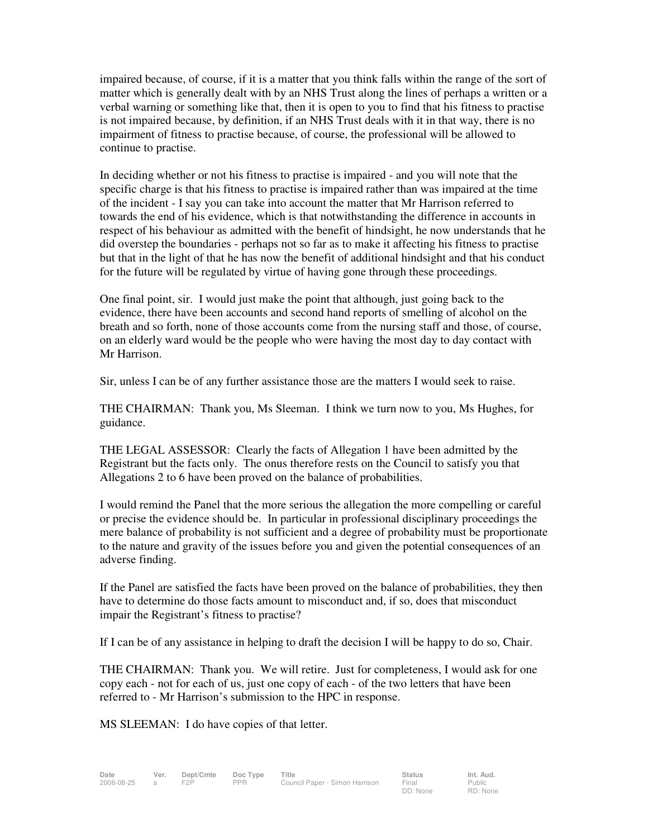impaired because, of course, if it is a matter that you think falls within the range of the sort of matter which is generally dealt with by an NHS Trust along the lines of perhaps a written or a verbal warning or something like that, then it is open to you to find that his fitness to practise is not impaired because, by definition, if an NHS Trust deals with it in that way, there is no impairment of fitness to practise because, of course, the professional will be allowed to continue to practise.

In deciding whether or not his fitness to practise is impaired - and you will note that the specific charge is that his fitness to practise is impaired rather than was impaired at the time of the incident - I say you can take into account the matter that Mr Harrison referred to towards the end of his evidence, which is that notwithstanding the difference in accounts in respect of his behaviour as admitted with the benefit of hindsight, he now understands that he did overstep the boundaries - perhaps not so far as to make it affecting his fitness to practise but that in the light of that he has now the benefit of additional hindsight and that his conduct for the future will be regulated by virtue of having gone through these proceedings.

One final point, sir. I would just make the point that although, just going back to the evidence, there have been accounts and second hand reports of smelling of alcohol on the breath and so forth, none of those accounts come from the nursing staff and those, of course, on an elderly ward would be the people who were having the most day to day contact with Mr Harrison.

Sir, unless I can be of any further assistance those are the matters I would seek to raise.

THE CHAIRMAN: Thank you, Ms Sleeman. I think we turn now to you, Ms Hughes, for guidance.

THE LEGAL ASSESSOR: Clearly the facts of Allegation 1 have been admitted by the Registrant but the facts only. The onus therefore rests on the Council to satisfy you that Allegations 2 to 6 have been proved on the balance of probabilities.

I would remind the Panel that the more serious the allegation the more compelling or careful or precise the evidence should be. In particular in professional disciplinary proceedings the mere balance of probability is not sufficient and a degree of probability must be proportionate to the nature and gravity of the issues before you and given the potential consequences of an adverse finding.

If the Panel are satisfied the facts have been proved on the balance of probabilities, they then have to determine do those facts amount to misconduct and, if so, does that misconduct impair the Registrant's fitness to practise?

If I can be of any assistance in helping to draft the decision I will be happy to do so, Chair.

THE CHAIRMAN: Thank you. We will retire. Just for completeness, I would ask for one copy each - not for each of us, just one copy of each - of the two letters that have been referred to - Mr Harrison's submission to the HPC in response.

MS SLEEMAN: I do have copies of that letter.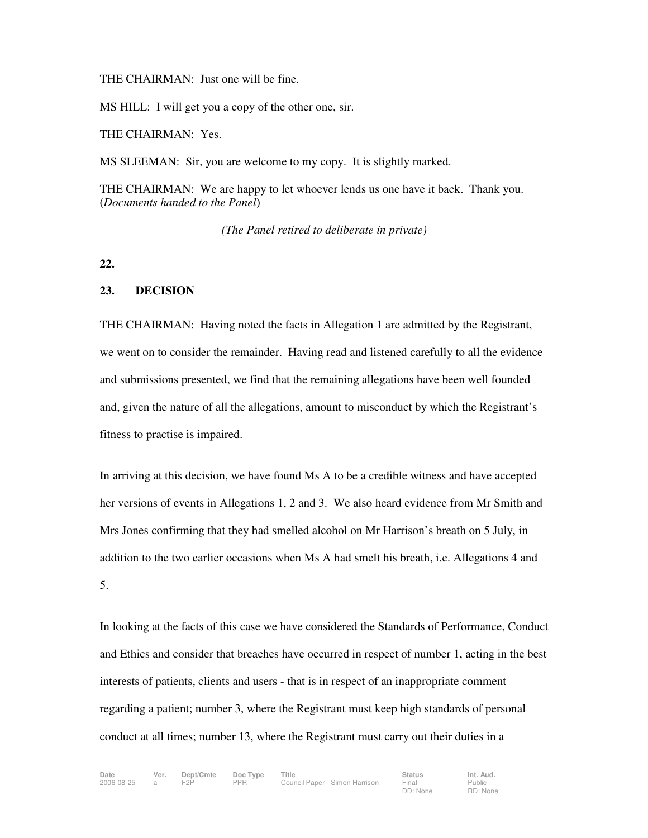THE CHAIRMAN: Just one will be fine.

MS HILL: I will get you a copy of the other one, sir.

THE CHAIRMAN: Yes.

MS SLEEMAN: Sir, you are welcome to my copy. It is slightly marked.

THE CHAIRMAN: We are happy to let whoever lends us one have it back. Thank you. (*Documents handed to the Panel*)

*(The Panel retired to deliberate in private)* 

**22.**

#### **23. DECISION**

THE CHAIRMAN: Having noted the facts in Allegation 1 are admitted by the Registrant, we went on to consider the remainder. Having read and listened carefully to all the evidence and submissions presented, we find that the remaining allegations have been well founded and, given the nature of all the allegations, amount to misconduct by which the Registrant's fitness to practise is impaired.

In arriving at this decision, we have found Ms A to be a credible witness and have accepted her versions of events in Allegations 1, 2 and 3. We also heard evidence from Mr Smith and Mrs Jones confirming that they had smelled alcohol on Mr Harrison's breath on 5 July, in addition to the two earlier occasions when Ms A had smelt his breath, i.e. Allegations 4 and 5.

In looking at the facts of this case we have considered the Standards of Performance, Conduct and Ethics and consider that breaches have occurred in respect of number 1, acting in the best interests of patients, clients and users - that is in respect of an inappropriate comment regarding a patient; number 3, where the Registrant must keep high standards of personal conduct at all times; number 13, where the Registrant must carry out their duties in a

Public RD: None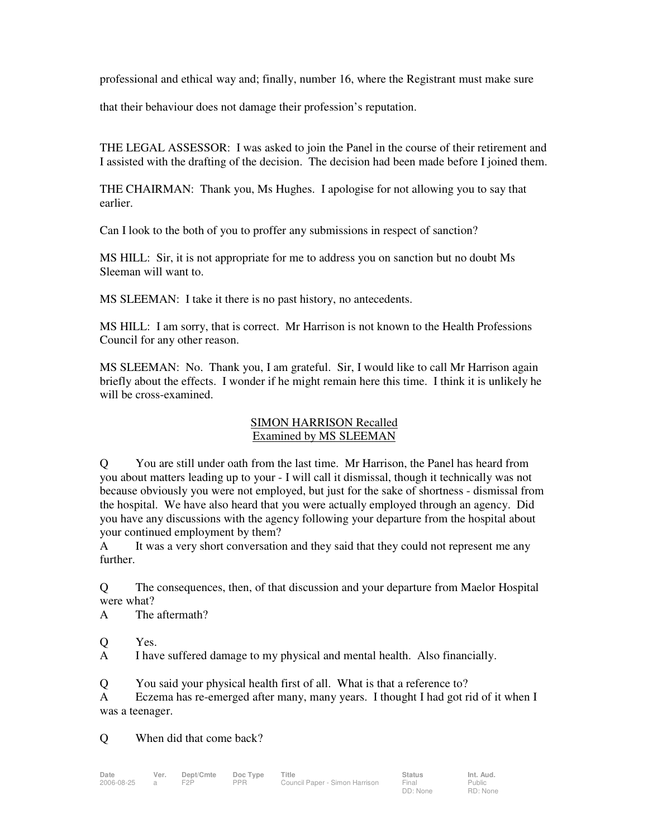professional and ethical way and; finally, number 16, where the Registrant must make sure

that their behaviour does not damage their profession's reputation.

THE LEGAL ASSESSOR: I was asked to join the Panel in the course of their retirement and I assisted with the drafting of the decision. The decision had been made before I joined them.

THE CHAIRMAN: Thank you, Ms Hughes. I apologise for not allowing you to say that earlier.

Can I look to the both of you to proffer any submissions in respect of sanction?

MS HILL: Sir, it is not appropriate for me to address you on sanction but no doubt Ms Sleeman will want to.

MS SLEEMAN: I take it there is no past history, no antecedents.

MS HILL: I am sorry, that is correct. Mr Harrison is not known to the Health Professions Council for any other reason.

MS SLEEMAN: No. Thank you, I am grateful. Sir, I would like to call Mr Harrison again briefly about the effects. I wonder if he might remain here this time. I think it is unlikely he will be cross-examined.

## SIMON HARRISON Recalled Examined by MS SLEEMAN

Q You are still under oath from the last time. Mr Harrison, the Panel has heard from you about matters leading up to your - I will call it dismissal, though it technically was not because obviously you were not employed, but just for the sake of shortness - dismissal from the hospital. We have also heard that you were actually employed through an agency. Did you have any discussions with the agency following your departure from the hospital about your continued employment by them?

A It was a very short conversation and they said that they could not represent me any further.

Q The consequences, then, of that discussion and your departure from Maelor Hospital were what?

A The aftermath?

Q Yes.

A I have suffered damage to my physical and mental health. Also financially.

Q You said your physical health first of all. What is that a reference to?

A Eczema has re-emerged after many, many years. I thought I had got rid of it when I was a teenager.

Q When did that come back?

Public RD: None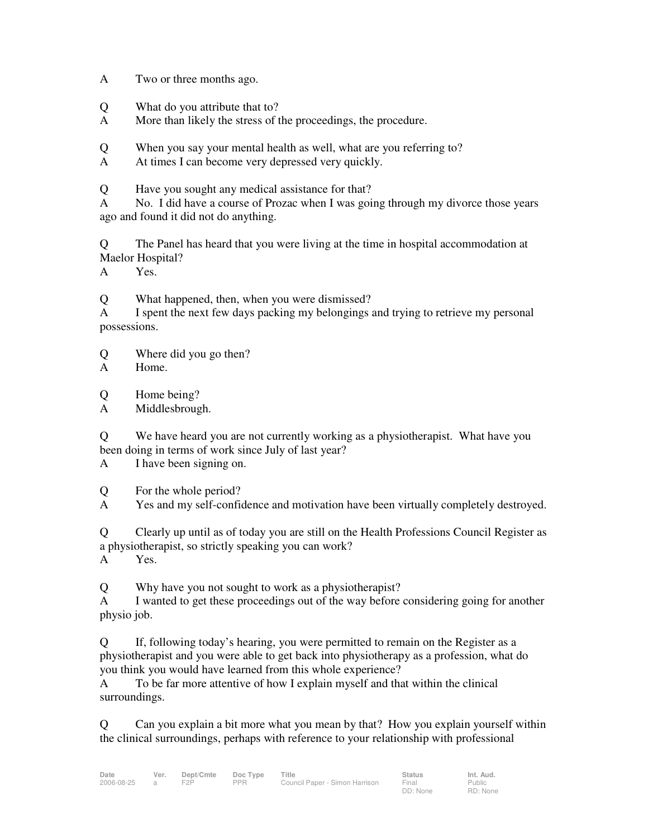A Two or three months ago.

- Q What do you attribute that to?
- A More than likely the stress of the proceedings, the procedure.

Q When you say your mental health as well, what are you referring to?

A At times I can become very depressed very quickly.

Q Have you sought any medical assistance for that?

A No. I did have a course of Prozac when I was going through my divorce those years ago and found it did not do anything.

Q The Panel has heard that you were living at the time in hospital accommodation at Maelor Hospital?

A Yes.

Q What happened, then, when you were dismissed?

A I spent the next few days packing my belongings and trying to retrieve my personal possessions.

- Q Where did you go then?
- A Home.

Q Home being?

A Middlesbrough.

Q We have heard you are not currently working as a physiotherapist. What have you been doing in terms of work since July of last year?

A I have been signing on.

Q For the whole period?

A Yes and my self-confidence and motivation have been virtually completely destroyed.

Q Clearly up until as of today you are still on the Health Professions Council Register as a physiotherapist, so strictly speaking you can work?

A Yes.

Q Why have you not sought to work as a physiotherapist?

A I wanted to get these proceedings out of the way before considering going for another physio job.

Q If, following today's hearing, you were permitted to remain on the Register as a physiotherapist and you were able to get back into physiotherapy as a profession, what do you think you would have learned from this whole experience?

A To be far more attentive of how I explain myself and that within the clinical surroundings.

Q Can you explain a bit more what you mean by that? How you explain yourself within the clinical surroundings, perhaps with reference to your relationship with professional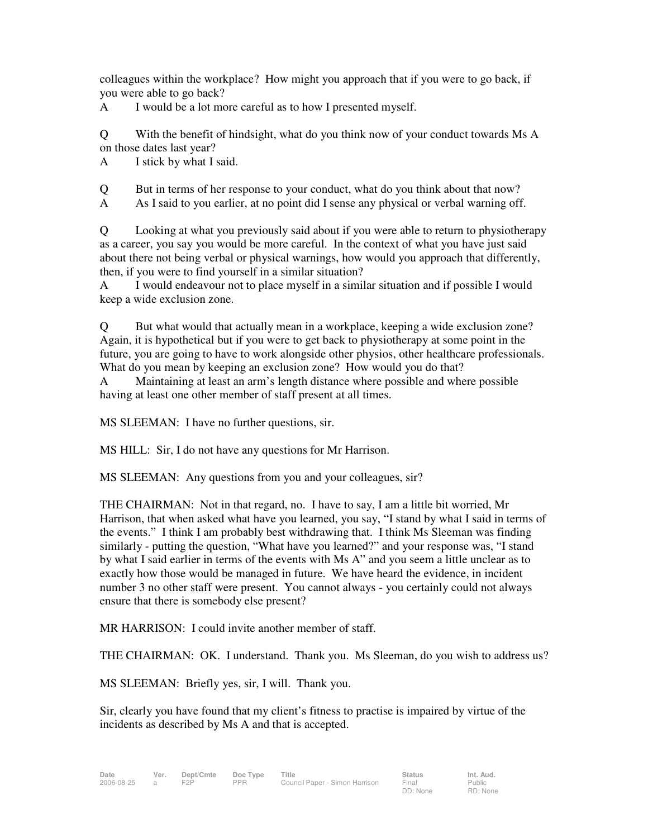colleagues within the workplace? How might you approach that if you were to go back, if you were able to go back?

A I would be a lot more careful as to how I presented myself.

Q With the benefit of hindsight, what do you think now of your conduct towards Ms A on those dates last year?

A I stick by what I said.

Q But in terms of her response to your conduct, what do you think about that now?

A As I said to you earlier, at no point did I sense any physical or verbal warning off.

Q Looking at what you previously said about if you were able to return to physiotherapy as a career, you say you would be more careful. In the context of what you have just said about there not being verbal or physical warnings, how would you approach that differently, then, if you were to find yourself in a similar situation?

A I would endeavour not to place myself in a similar situation and if possible I would keep a wide exclusion zone.

Q But what would that actually mean in a workplace, keeping a wide exclusion zone? Again, it is hypothetical but if you were to get back to physiotherapy at some point in the future, you are going to have to work alongside other physios, other healthcare professionals. What do you mean by keeping an exclusion zone? How would you do that?

A Maintaining at least an arm's length distance where possible and where possible having at least one other member of staff present at all times.

MS SLEEMAN: I have no further questions, sir.

MS HILL: Sir, I do not have any questions for Mr Harrison.

MS SLEEMAN: Any questions from you and your colleagues, sir?

THE CHAIRMAN: Not in that regard, no. I have to say, I am a little bit worried, Mr Harrison, that when asked what have you learned, you say, "I stand by what I said in terms of the events." I think I am probably best withdrawing that. I think Ms Sleeman was finding similarly - putting the question, "What have you learned?" and your response was, "I stand by what I said earlier in terms of the events with Ms A" and you seem a little unclear as to exactly how those would be managed in future. We have heard the evidence, in incident number 3 no other staff were present. You cannot always - you certainly could not always ensure that there is somebody else present?

MR HARRISON: I could invite another member of staff.

THE CHAIRMAN: OK. I understand. Thank you. Ms Sleeman, do you wish to address us?

MS SLEEMAN: Briefly yes, sir, I will. Thank you.

Sir, clearly you have found that my client's fitness to practise is impaired by virtue of the incidents as described by Ms A and that is accepted.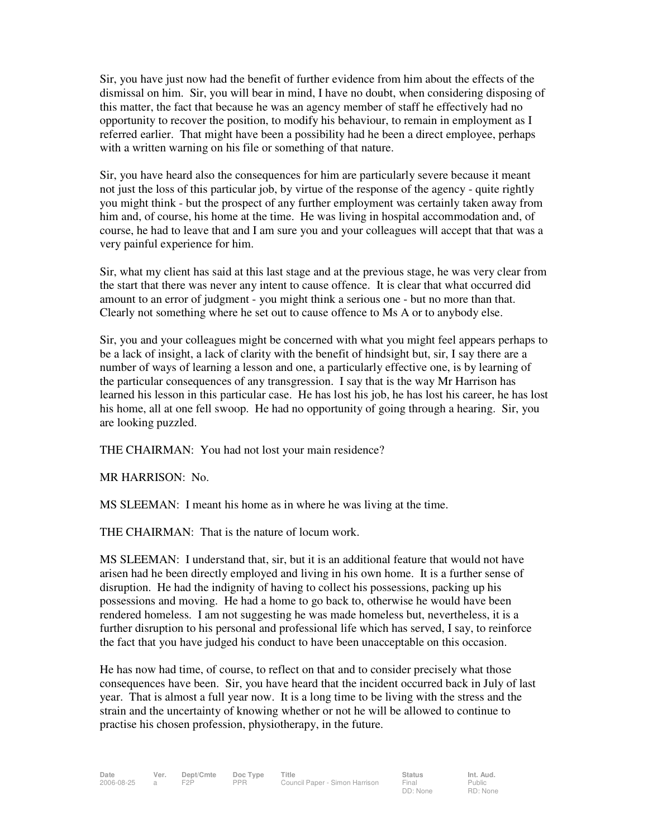Sir, you have just now had the benefit of further evidence from him about the effects of the dismissal on him. Sir, you will bear in mind, I have no doubt, when considering disposing of this matter, the fact that because he was an agency member of staff he effectively had no opportunity to recover the position, to modify his behaviour, to remain in employment as I referred earlier. That might have been a possibility had he been a direct employee, perhaps with a written warning on his file or something of that nature.

Sir, you have heard also the consequences for him are particularly severe because it meant not just the loss of this particular job, by virtue of the response of the agency - quite rightly you might think - but the prospect of any further employment was certainly taken away from him and, of course, his home at the time. He was living in hospital accommodation and, of course, he had to leave that and I am sure you and your colleagues will accept that that was a very painful experience for him.

Sir, what my client has said at this last stage and at the previous stage, he was very clear from the start that there was never any intent to cause offence. It is clear that what occurred did amount to an error of judgment - you might think a serious one - but no more than that. Clearly not something where he set out to cause offence to Ms A or to anybody else.

Sir, you and your colleagues might be concerned with what you might feel appears perhaps to be a lack of insight, a lack of clarity with the benefit of hindsight but, sir, I say there are a number of ways of learning a lesson and one, a particularly effective one, is by learning of the particular consequences of any transgression. I say that is the way Mr Harrison has learned his lesson in this particular case. He has lost his job, he has lost his career, he has lost his home, all at one fell swoop. He had no opportunity of going through a hearing. Sir, you are looking puzzled.

THE CHAIRMAN: You had not lost your main residence?

MR HARRISON: No.

MS SLEEMAN: I meant his home as in where he was living at the time.

THE CHAIRMAN: That is the nature of locum work.

MS SLEEMAN: I understand that, sir, but it is an additional feature that would not have arisen had he been directly employed and living in his own home. It is a further sense of disruption. He had the indignity of having to collect his possessions, packing up his possessions and moving. He had a home to go back to, otherwise he would have been rendered homeless. I am not suggesting he was made homeless but, nevertheless, it is a further disruption to his personal and professional life which has served, I say, to reinforce the fact that you have judged his conduct to have been unacceptable on this occasion.

He has now had time, of course, to reflect on that and to consider precisely what those consequences have been. Sir, you have heard that the incident occurred back in July of last year. That is almost a full year now. It is a long time to be living with the stress and the strain and the uncertainty of knowing whether or not he will be allowed to continue to practise his chosen profession, physiotherapy, in the future.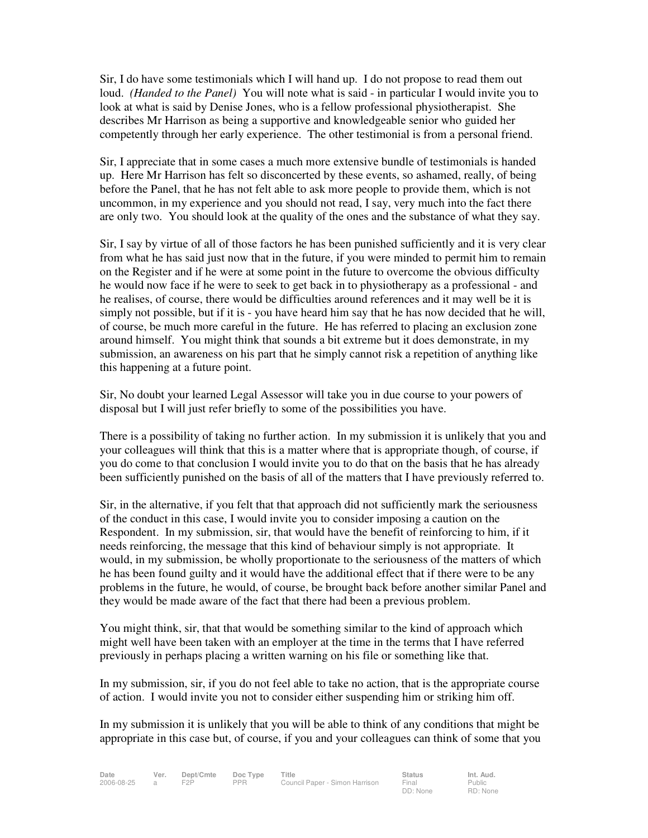Sir, I do have some testimonials which I will hand up. I do not propose to read them out loud. *(Handed to the Panel)* You will note what is said - in particular I would invite you to look at what is said by Denise Jones, who is a fellow professional physiotherapist. She describes Mr Harrison as being a supportive and knowledgeable senior who guided her competently through her early experience. The other testimonial is from a personal friend.

Sir, I appreciate that in some cases a much more extensive bundle of testimonials is handed up. Here Mr Harrison has felt so disconcerted by these events, so ashamed, really, of being before the Panel, that he has not felt able to ask more people to provide them, which is not uncommon, in my experience and you should not read, I say, very much into the fact there are only two. You should look at the quality of the ones and the substance of what they say.

Sir, I say by virtue of all of those factors he has been punished sufficiently and it is very clear from what he has said just now that in the future, if you were minded to permit him to remain on the Register and if he were at some point in the future to overcome the obvious difficulty he would now face if he were to seek to get back in to physiotherapy as a professional - and he realises, of course, there would be difficulties around references and it may well be it is simply not possible, but if it is - you have heard him say that he has now decided that he will, of course, be much more careful in the future. He has referred to placing an exclusion zone around himself. You might think that sounds a bit extreme but it does demonstrate, in my submission, an awareness on his part that he simply cannot risk a repetition of anything like this happening at a future point.

Sir, No doubt your learned Legal Assessor will take you in due course to your powers of disposal but I will just refer briefly to some of the possibilities you have.

There is a possibility of taking no further action. In my submission it is unlikely that you and your colleagues will think that this is a matter where that is appropriate though, of course, if you do come to that conclusion I would invite you to do that on the basis that he has already been sufficiently punished on the basis of all of the matters that I have previously referred to.

Sir, in the alternative, if you felt that that approach did not sufficiently mark the seriousness of the conduct in this case, I would invite you to consider imposing a caution on the Respondent. In my submission, sir, that would have the benefit of reinforcing to him, if it needs reinforcing, the message that this kind of behaviour simply is not appropriate. It would, in my submission, be wholly proportionate to the seriousness of the matters of which he has been found guilty and it would have the additional effect that if there were to be any problems in the future, he would, of course, be brought back before another similar Panel and they would be made aware of the fact that there had been a previous problem.

You might think, sir, that that would be something similar to the kind of approach which might well have been taken with an employer at the time in the terms that I have referred previously in perhaps placing a written warning on his file or something like that.

In my submission, sir, if you do not feel able to take no action, that is the appropriate course of action. I would invite you not to consider either suspending him or striking him off.

In my submission it is unlikely that you will be able to think of any conditions that might be appropriate in this case but, of course, if you and your colleagues can think of some that you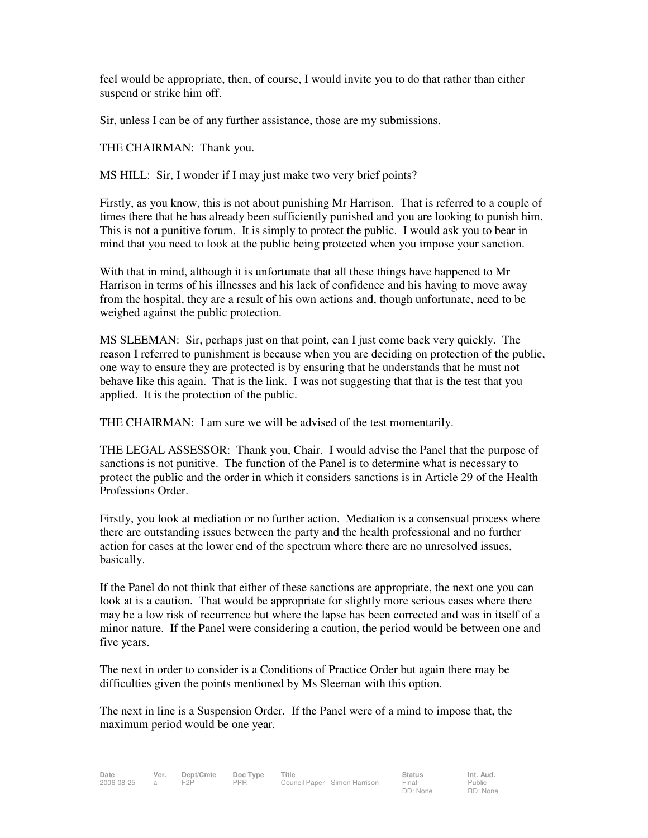feel would be appropriate, then, of course, I would invite you to do that rather than either suspend or strike him off.

Sir, unless I can be of any further assistance, those are my submissions.

THE CHAIRMAN: Thank you.

MS HILL: Sir, I wonder if I may just make two very brief points?

Firstly, as you know, this is not about punishing Mr Harrison. That is referred to a couple of times there that he has already been sufficiently punished and you are looking to punish him. This is not a punitive forum. It is simply to protect the public. I would ask you to bear in mind that you need to look at the public being protected when you impose your sanction.

With that in mind, although it is unfortunate that all these things have happened to Mr Harrison in terms of his illnesses and his lack of confidence and his having to move away from the hospital, they are a result of his own actions and, though unfortunate, need to be weighed against the public protection.

MS SLEEMAN: Sir, perhaps just on that point, can I just come back very quickly. The reason I referred to punishment is because when you are deciding on protection of the public, one way to ensure they are protected is by ensuring that he understands that he must not behave like this again. That is the link. I was not suggesting that that is the test that you applied. It is the protection of the public.

THE CHAIRMAN: I am sure we will be advised of the test momentarily.

THE LEGAL ASSESSOR: Thank you, Chair. I would advise the Panel that the purpose of sanctions is not punitive. The function of the Panel is to determine what is necessary to protect the public and the order in which it considers sanctions is in Article 29 of the Health Professions Order.

Firstly, you look at mediation or no further action. Mediation is a consensual process where there are outstanding issues between the party and the health professional and no further action for cases at the lower end of the spectrum where there are no unresolved issues, basically.

If the Panel do not think that either of these sanctions are appropriate, the next one you can look at is a caution. That would be appropriate for slightly more serious cases where there may be a low risk of recurrence but where the lapse has been corrected and was in itself of a minor nature. If the Panel were considering a caution, the period would be between one and five years.

The next in order to consider is a Conditions of Practice Order but again there may be difficulties given the points mentioned by Ms Sleeman with this option.

The next in line is a Suspension Order. If the Panel were of a mind to impose that, the maximum period would be one year.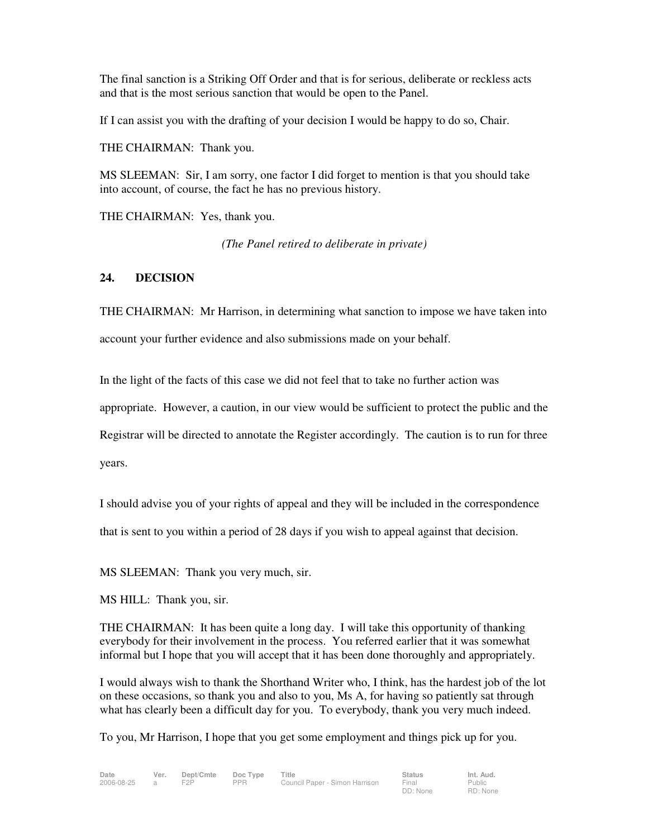The final sanction is a Striking Off Order and that is for serious, deliberate or reckless acts and that is the most serious sanction that would be open to the Panel.

If I can assist you with the drafting of your decision I would be happy to do so, Chair.

THE CHAIRMAN: Thank you.

MS SLEEMAN: Sir, I am sorry, one factor I did forget to mention is that you should take into account, of course, the fact he has no previous history.

THE CHAIRMAN: Yes, thank you.

*(The Panel retired to deliberate in private)* 

## **24. DECISION**

THE CHAIRMAN: Mr Harrison, in determining what sanction to impose we have taken into account your further evidence and also submissions made on your behalf.

In the light of the facts of this case we did not feel that to take no further action was

appropriate. However, a caution, in our view would be sufficient to protect the public and the

Registrar will be directed to annotate the Register accordingly. The caution is to run for three

years.

I should advise you of your rights of appeal and they will be included in the correspondence

that is sent to you within a period of 28 days if you wish to appeal against that decision.

MS SLEEMAN: Thank you very much, sir.

MS HILL: Thank you, sir.

THE CHAIRMAN: It has been quite a long day. I will take this opportunity of thanking everybody for their involvement in the process. You referred earlier that it was somewhat informal but I hope that you will accept that it has been done thoroughly and appropriately.

I would always wish to thank the Shorthand Writer who, I think, has the hardest job of the lot on these occasions, so thank you and also to you, Ms A, for having so patiently sat through what has clearly been a difficult day for you. To everybody, thank you very much indeed.

To you, Mr Harrison, I hope that you get some employment and things pick up for you.